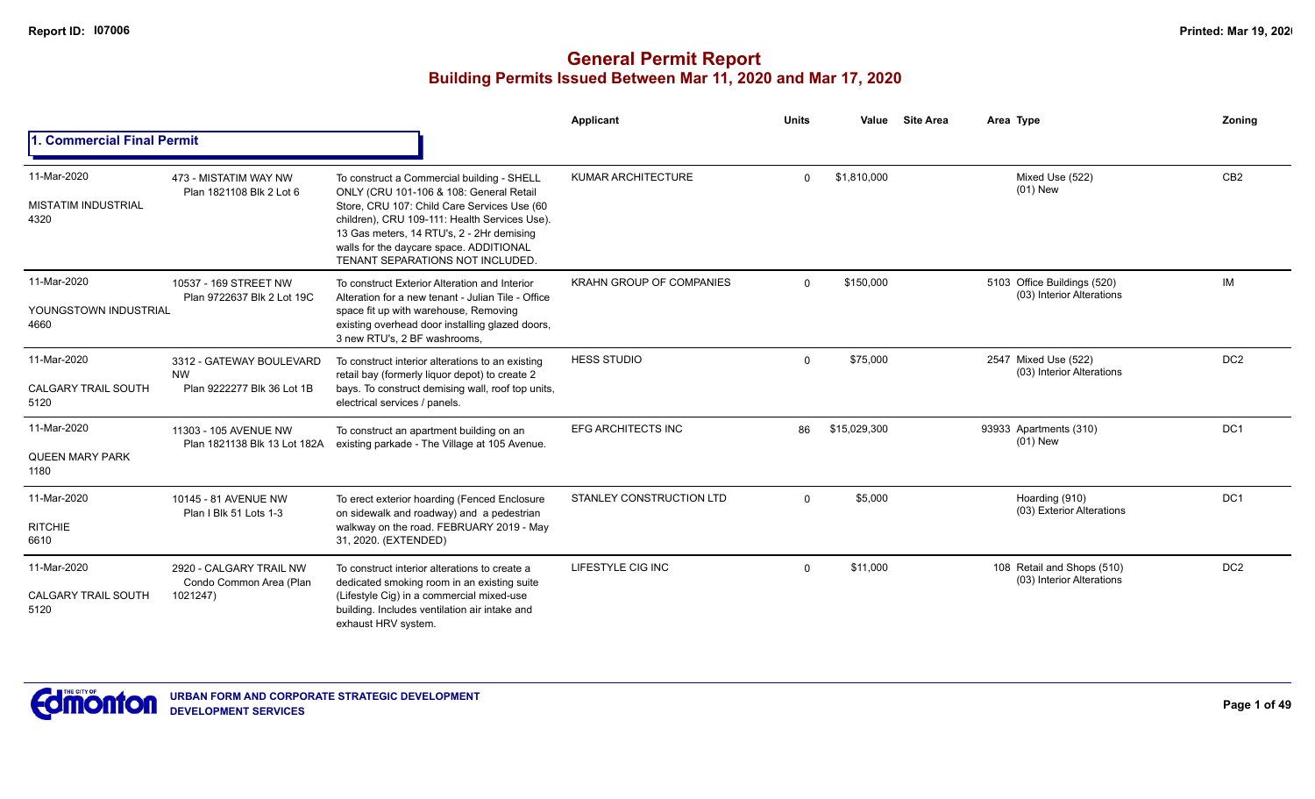|                                                   |                                                                     |                                                                                                                                                                                                                                                                                                                   | Applicant                       | <b>Units</b> | Value        | <b>Site Area</b> | Area Type                                                | Zoning          |
|---------------------------------------------------|---------------------------------------------------------------------|-------------------------------------------------------------------------------------------------------------------------------------------------------------------------------------------------------------------------------------------------------------------------------------------------------------------|---------------------------------|--------------|--------------|------------------|----------------------------------------------------------|-----------------|
| I. Commercial Final Permit                        |                                                                     |                                                                                                                                                                                                                                                                                                                   |                                 |              |              |                  |                                                          |                 |
| 11-Mar-2020<br><b>MISTATIM INDUSTRIAL</b><br>4320 | 473 - MISTATIM WAY NW<br>Plan 1821108 Blk 2 Lot 6                   | To construct a Commercial building - SHELL<br>ONLY (CRU 101-106 & 108: General Retail<br>Store, CRU 107: Child Care Services Use (60<br>children), CRU 109-111: Health Services Use).<br>13 Gas meters, 14 RTU's, 2 - 2Hr demising<br>walls for the daycare space. ADDITIONAL<br>TENANT SEPARATIONS NOT INCLUDED. | <b>KUMAR ARCHITECTURE</b>       | $\Omega$     | \$1,810,000  |                  | Mixed Use (522)<br>$(01)$ New                            | CB <sub>2</sub> |
| 11-Mar-2020<br>YOUNGSTOWN INDUSTRIAL<br>4660      | 10537 - 169 STREET NW<br>Plan 9722637 Blk 2 Lot 19C                 | To construct Exterior Alteration and Interior<br>Alteration for a new tenant - Julian Tile - Office<br>space fit up with warehouse, Removing<br>existing overhead door installing glazed doors,<br>3 new RTU's, 2 BF washrooms,                                                                                   | <b>KRAHN GROUP OF COMPANIES</b> | $\Omega$     | \$150,000    |                  | 5103 Office Buildings (520)<br>(03) Interior Alterations | IM              |
| 11-Mar-2020<br><b>CALGARY TRAIL SOUTH</b><br>5120 | 3312 - GATEWAY BOULEVARD<br><b>NW</b><br>Plan 9222277 Blk 36 Lot 1B | To construct interior alterations to an existing<br>retail bay (formerly liquor depot) to create 2<br>bays. To construct demising wall, roof top units,<br>electrical services / panels.                                                                                                                          | <b>HESS STUDIO</b>              | $\Omega$     | \$75,000     |                  | 2547 Mixed Use (522)<br>(03) Interior Alterations        | DC <sub>2</sub> |
| 11-Mar-2020<br><b>QUEEN MARY PARK</b><br>1180     | 11303 - 105 AVENUE NW<br>Plan 1821138 Blk 13 Lot 182A               | To construct an apartment building on an<br>existing parkade - The Village at 105 Avenue.                                                                                                                                                                                                                         | <b>EFG ARCHITECTS INC</b>       | 86           | \$15,029,300 |                  | 93933 Apartments (310)<br>$(01)$ New                     | DC <sub>1</sub> |
| 11-Mar-2020<br><b>RITCHIE</b><br>6610             | 10145 - 81 AVENUE NW<br>Plan I Blk 51 Lots 1-3                      | To erect exterior hoarding (Fenced Enclosure<br>on sidewalk and roadway) and a pedestrian<br>walkway on the road. FEBRUARY 2019 - May<br>31, 2020. (EXTENDED)                                                                                                                                                     | <b>STANLEY CONSTRUCTION LTD</b> | $\Omega$     | \$5,000      |                  | Hoarding (910)<br>(03) Exterior Alterations              | DC <sub>1</sub> |
| 11-Mar-2020<br><b>CALGARY TRAIL SOUTH</b><br>5120 | 2920 - CALGARY TRAIL NW<br>Condo Common Area (Plan<br>1021247)      | To construct interior alterations to create a<br>dedicated smoking room in an existing suite<br>(Lifestyle Cig) in a commercial mixed-use<br>building. Includes ventilation air intake and<br>exhaust HRV system.                                                                                                 | LIFESTYLE CIG INC               | $\mathbf{0}$ | \$11,000     |                  | 108 Retail and Shops (510)<br>(03) Interior Alterations  | DC <sub>2</sub> |

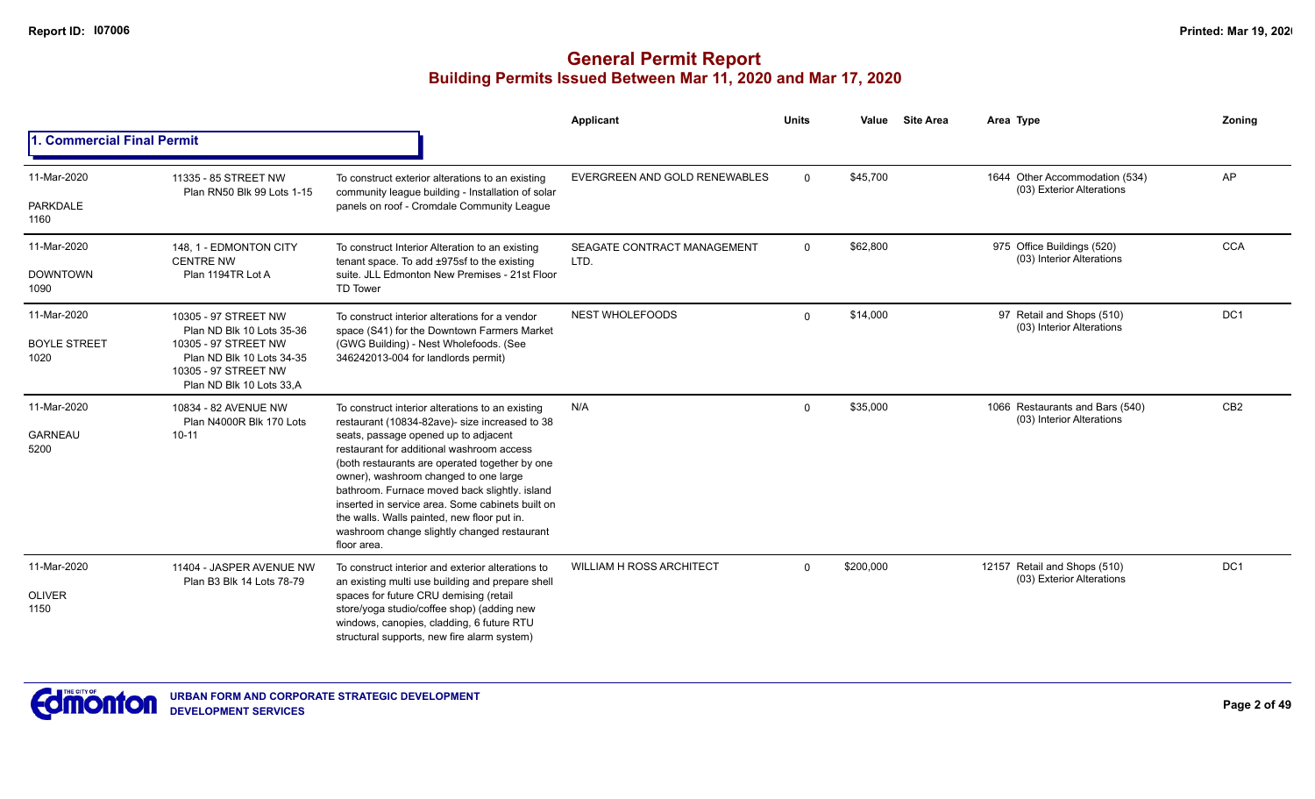|                                            |                                                                                                                                                            |                                                                                                                                                                                                                                                                                                                                                                                                                                                                                                      | Applicant                           | <b>Units</b> | Value     | <b>Site Area</b> | Area Type                                                    | Zoning          |
|--------------------------------------------|------------------------------------------------------------------------------------------------------------------------------------------------------------|------------------------------------------------------------------------------------------------------------------------------------------------------------------------------------------------------------------------------------------------------------------------------------------------------------------------------------------------------------------------------------------------------------------------------------------------------------------------------------------------------|-------------------------------------|--------------|-----------|------------------|--------------------------------------------------------------|-----------------|
| <b>Commercial Final Permit</b>             |                                                                                                                                                            |                                                                                                                                                                                                                                                                                                                                                                                                                                                                                                      |                                     |              |           |                  |                                                              |                 |
| 11-Mar-2020<br>PARKDALE<br>1160            | 11335 - 85 STREET NW<br>Plan RN50 Blk 99 Lots 1-15                                                                                                         | To construct exterior alterations to an existing<br>community league building - Installation of solar<br>panels on roof - Cromdale Community League                                                                                                                                                                                                                                                                                                                                                  | EVERGREEN AND GOLD RENEWABLES       | $\mathbf{0}$ | \$45,700  |                  | 1644 Other Accommodation (534)<br>(03) Exterior Alterations  | <b>AP</b>       |
| 11-Mar-2020<br><b>DOWNTOWN</b><br>1090     | 148, 1 - EDMONTON CITY<br><b>CENTRE NW</b><br>Plan 1194TR Lot A                                                                                            | To construct Interior Alteration to an existing<br>tenant space. To add ±975sf to the existing<br>suite, JLL Edmonton New Premises - 21st Floor<br><b>TD Tower</b>                                                                                                                                                                                                                                                                                                                                   | SEAGATE CONTRACT MANAGEMENT<br>LTD. | $\mathbf{0}$ | \$62,800  |                  | 975 Office Buildings (520)<br>(03) Interior Alterations      | <b>CCA</b>      |
| 11-Mar-2020<br><b>BOYLE STREET</b><br>1020 | 10305 - 97 STREET NW<br>Plan ND Blk 10 Lots 35-36<br>10305 - 97 STREET NW<br>Plan ND Blk 10 Lots 34-35<br>10305 - 97 STREET NW<br>Plan ND Blk 10 Lots 33,A | To construct interior alterations for a vendor<br>space (S41) for the Downtown Farmers Market<br>(GWG Building) - Nest Wholefoods. (See<br>346242013-004 for landlords permit)                                                                                                                                                                                                                                                                                                                       | <b>NEST WHOLEFOODS</b>              | $\mathbf 0$  | \$14,000  |                  | 97 Retail and Shops (510)<br>(03) Interior Alterations       | DC1             |
| 11-Mar-2020<br><b>GARNEAU</b><br>5200      | 10834 - 82 AVENUE NW<br>Plan N4000R Blk 170 Lots<br>$10 - 11$                                                                                              | To construct interior alterations to an existing<br>restaurant (10834-82ave)- size increased to 38<br>seats, passage opened up to adjacent<br>restaurant for additional washroom access<br>(both restaurants are operated together by one<br>owner), washroom changed to one large<br>bathroom. Furnace moved back slightly. island<br>inserted in service area. Some cabinets built on<br>the walls. Walls painted, new floor put in.<br>washroom change slightly changed restaurant<br>floor area. | N/A                                 | 0            | \$35,000  |                  | 1066 Restaurants and Bars (540)<br>(03) Interior Alterations | CB <sub>2</sub> |
| 11-Mar-2020<br><b>OLIVER</b><br>1150       | 11404 - JASPER AVENUE NW<br>Plan B3 Blk 14 Lots 78-79                                                                                                      | To construct interior and exterior alterations to<br>an existing multi use building and prepare shell<br>spaces for future CRU demising (retail<br>store/yoga studio/coffee shop) (adding new<br>windows, canopies, cladding, 6 future RTU<br>structural supports, new fire alarm system)                                                                                                                                                                                                            | <b>WILLIAM H ROSS ARCHITECT</b>     | $\Omega$     | \$200,000 |                  | 12157 Retail and Shops (510)<br>(03) Exterior Alterations    | DC <sub>1</sub> |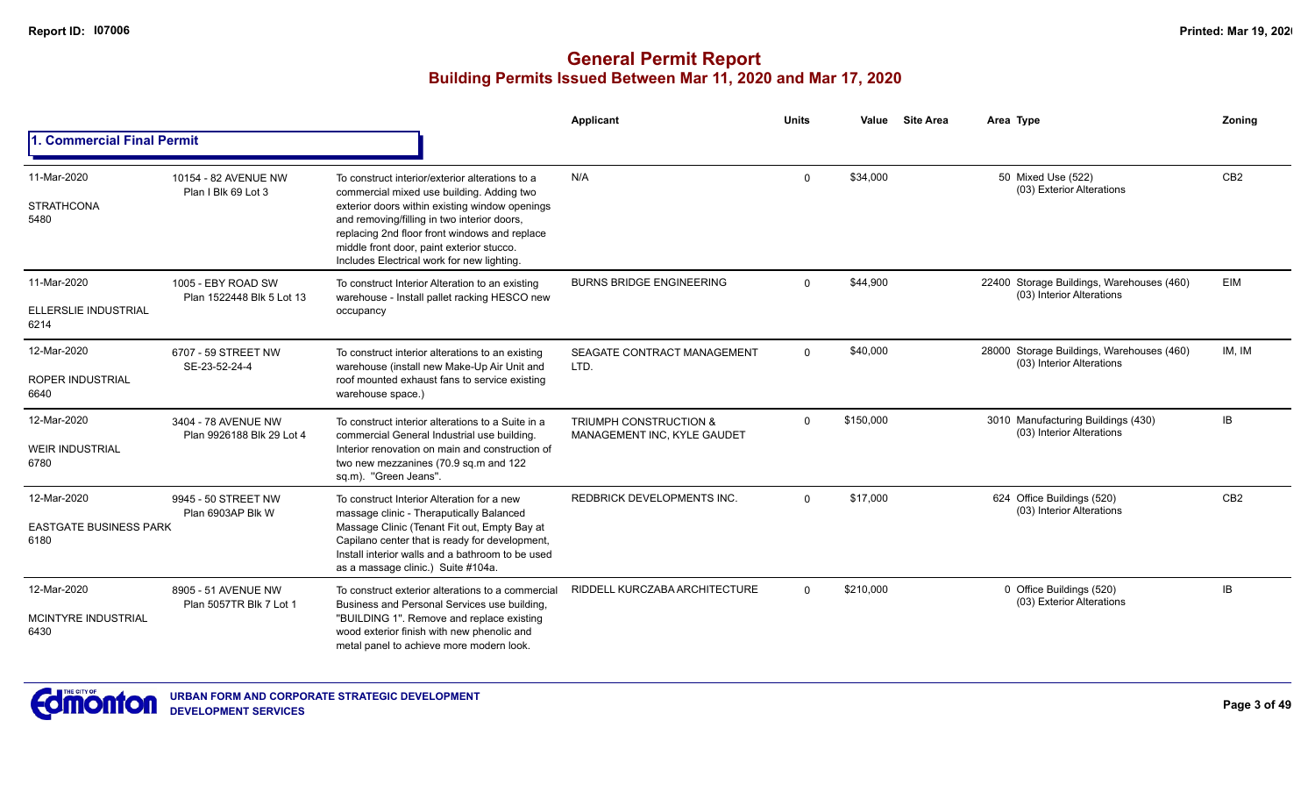|                                                      |                                                  |                                                                                                                                                                                                                                                                                                                                           | Applicant                                                        | <b>Units</b> | Value     | <b>Site Area</b> | Area Type                                                              | Zoning                                        |
|------------------------------------------------------|--------------------------------------------------|-------------------------------------------------------------------------------------------------------------------------------------------------------------------------------------------------------------------------------------------------------------------------------------------------------------------------------------------|------------------------------------------------------------------|--------------|-----------|------------------|------------------------------------------------------------------------|-----------------------------------------------|
| 1. Commercial Final Permit                           |                                                  |                                                                                                                                                                                                                                                                                                                                           |                                                                  |              |           |                  |                                                                        | CB <sub>2</sub><br>EIM<br>IM, IM<br><b>IB</b> |
| 11-Mar-2020<br><b>STRATHCONA</b><br>5480             | 10154 - 82 AVENUE NW<br>Plan I Blk 69 Lot 3      | To construct interior/exterior alterations to a<br>commercial mixed use building. Adding two<br>exterior doors within existing window openings<br>and removing/filling in two interior doors,<br>replacing 2nd floor front windows and replace<br>middle front door, paint exterior stucco.<br>Includes Electrical work for new lighting. | N/A                                                              | $\Omega$     | \$34,000  |                  | 50 Mixed Use (522)<br>(03) Exterior Alterations                        |                                               |
| 11-Mar-2020<br>ELLERSLIE INDUSTRIAL<br>6214          | 1005 - EBY ROAD SW<br>Plan 1522448 Blk 5 Lot 13  | To construct Interior Alteration to an existing<br>warehouse - Install pallet racking HESCO new<br>occupancy                                                                                                                                                                                                                              | <b>BURNS BRIDGE ENGINEERING</b>                                  | $\Omega$     | \$44,900  |                  | 22400 Storage Buildings, Warehouses (460)<br>(03) Interior Alterations |                                               |
| 12-Mar-2020<br><b>ROPER INDUSTRIAL</b><br>6640       | 6707 - 59 STREET NW<br>SE-23-52-24-4             | To construct interior alterations to an existing<br>warehouse (install new Make-Up Air Unit and<br>roof mounted exhaust fans to service existing<br>warehouse space.)                                                                                                                                                                     | SEAGATE CONTRACT MANAGEMENT<br>LTD.                              | $\Omega$     | \$40,000  |                  | 28000 Storage Buildings, Warehouses (460)<br>(03) Interior Alterations |                                               |
| 12-Mar-2020<br><b>WEIR INDUSTRIAL</b><br>6780        | 3404 - 78 AVENUE NW<br>Plan 9926188 Blk 29 Lot 4 | To construct interior alterations to a Suite in a<br>commercial General Industrial use building.<br>Interior renovation on main and construction of<br>two new mezzanines (70.9 sq.m and 122<br>sq.m). "Green Jeans".                                                                                                                     | <b>TRIUMPH CONSTRUCTION &amp;</b><br>MANAGEMENT INC, KYLE GAUDET | $\mathbf{0}$ | \$150,000 |                  | 3010 Manufacturing Buildings (430)<br>(03) Interior Alterations        |                                               |
| 12-Mar-2020<br><b>EASTGATE BUSINESS PARK</b><br>6180 | 9945 - 50 STREET NW<br>Plan 6903AP Blk W         | To construct Interior Alteration for a new<br>massage clinic - Theraputically Balanced<br>Massage Clinic (Tenant Fit out, Empty Bay at<br>Capilano center that is ready for development,<br>Install interior walls and a bathroom to be used<br>as a massage clinic.) Suite #104a.                                                        | <b>REDBRICK DEVELOPMENTS INC.</b>                                | $\Omega$     | \$17,000  |                  | 624 Office Buildings (520)<br>(03) Interior Alterations                | CB <sub>2</sub>                               |
| 12-Mar-2020<br>MCINTYRE INDUSTRIAL<br>6430           | 8905 - 51 AVENUE NW<br>Plan 5057TR Blk 7 Lot 1   | To construct exterior alterations to a commercial<br>Business and Personal Services use building,<br>"BUILDING 1". Remove and replace existing<br>wood exterior finish with new phenolic and<br>metal panel to achieve more modern look.                                                                                                  | RIDDELL KURCZABA ARCHITECTURE                                    | $\Omega$     | \$210,000 |                  | 0 Office Buildings (520)<br>(03) Exterior Alterations                  | <b>IB</b>                                     |

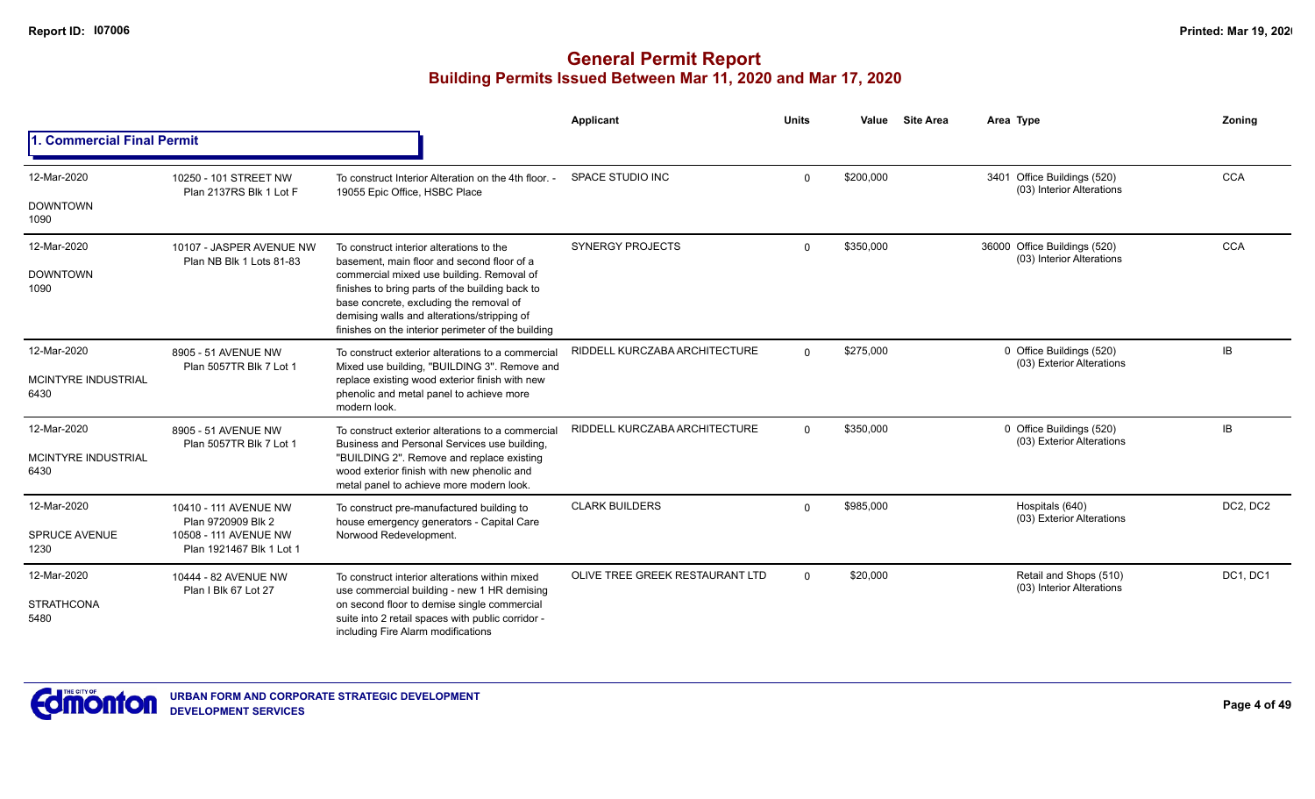|                                                   |                                                                                                  |                                                                                                                                                                                                                                                                                                                                        | Applicant                       | <b>Units</b> | Value     | <b>Site Area</b> | Area Type                                                 | Zoning     |
|---------------------------------------------------|--------------------------------------------------------------------------------------------------|----------------------------------------------------------------------------------------------------------------------------------------------------------------------------------------------------------------------------------------------------------------------------------------------------------------------------------------|---------------------------------|--------------|-----------|------------------|-----------------------------------------------------------|------------|
| 1. Commercial Final Permit                        |                                                                                                  |                                                                                                                                                                                                                                                                                                                                        |                                 |              |           |                  |                                                           |            |
| 12-Mar-2020<br><b>DOWNTOWN</b><br>1090            | 10250 - 101 STREET NW<br>Plan 2137RS Blk 1 Lot F                                                 | To construct Interior Alteration on the 4th floor. -<br>19055 Epic Office, HSBC Place                                                                                                                                                                                                                                                  | SPACE STUDIO INC                | $\Omega$     | \$200,000 |                  | 3401 Office Buildings (520)<br>(03) Interior Alterations  | <b>CCA</b> |
| 12-Mar-2020<br><b>DOWNTOWN</b><br>1090            | 10107 - JASPER AVENUE NW<br>Plan NB Blk 1 Lots 81-83                                             | To construct interior alterations to the<br>basement, main floor and second floor of a<br>commercial mixed use building. Removal of<br>finishes to bring parts of the building back to<br>base concrete, excluding the removal of<br>demising walls and alterations/stripping of<br>finishes on the interior perimeter of the building | <b>SYNERGY PROJECTS</b>         | $\Omega$     | \$350,000 |                  | 36000 Office Buildings (520)<br>(03) Interior Alterations | <b>CCA</b> |
| 12-Mar-2020<br>MCINTYRE INDUSTRIAL<br>6430        | 8905 - 51 AVENUE NW<br>Plan 5057TR Blk 7 Lot 1                                                   | To construct exterior alterations to a commercial<br>Mixed use building, "BUILDING 3". Remove and<br>replace existing wood exterior finish with new<br>phenolic and metal panel to achieve more<br>modern look.                                                                                                                        | RIDDELL KURCZABA ARCHITECTURE   | $\Omega$     | \$275,000 |                  | 0 Office Buildings (520)<br>(03) Exterior Alterations     | IB         |
| 12-Mar-2020<br><b>MCINTYRE INDUSTRIAL</b><br>6430 | 8905 - 51 AVENUE NW<br>Plan 5057TR Blk 7 Lot 1                                                   | To construct exterior alterations to a commercial<br>Business and Personal Services use building.<br>"BUILDING 2". Remove and replace existing<br>wood exterior finish with new phenolic and<br>metal panel to achieve more modern look.                                                                                               | RIDDELL KURCZABA ARCHITECTURE   | $\Omega$     | \$350,000 |                  | 0 Office Buildings (520)<br>(03) Exterior Alterations     | IB         |
| 12-Mar-2020<br><b>SPRUCE AVENUE</b><br>1230       | 10410 - 111 AVENUE NW<br>Plan 9720909 Blk 2<br>10508 - 111 AVENUE NW<br>Plan 1921467 Blk 1 Lot 1 | To construct pre-manufactured building to<br>house emergency generators - Capital Care<br>Norwood Redevelopment.                                                                                                                                                                                                                       | <b>CLARK BUILDERS</b>           | $\Omega$     | \$985,000 |                  | Hospitals (640)<br>(03) Exterior Alterations              | DC2, DC2   |
| 12-Mar-2020<br><b>STRATHCONA</b><br>5480          | 10444 - 82 AVENUE NW<br>Plan I Blk 67 Lot 27                                                     | To construct interior alterations within mixed<br>use commercial building - new 1 HR demising<br>on second floor to demise single commercial<br>suite into 2 retail spaces with public corridor -<br>including Fire Alarm modifications                                                                                                | OLIVE TREE GREEK RESTAURANT LTD | $\Omega$     | \$20,000  |                  | Retail and Shops (510)<br>(03) Interior Alterations       | DC1, DC1   |

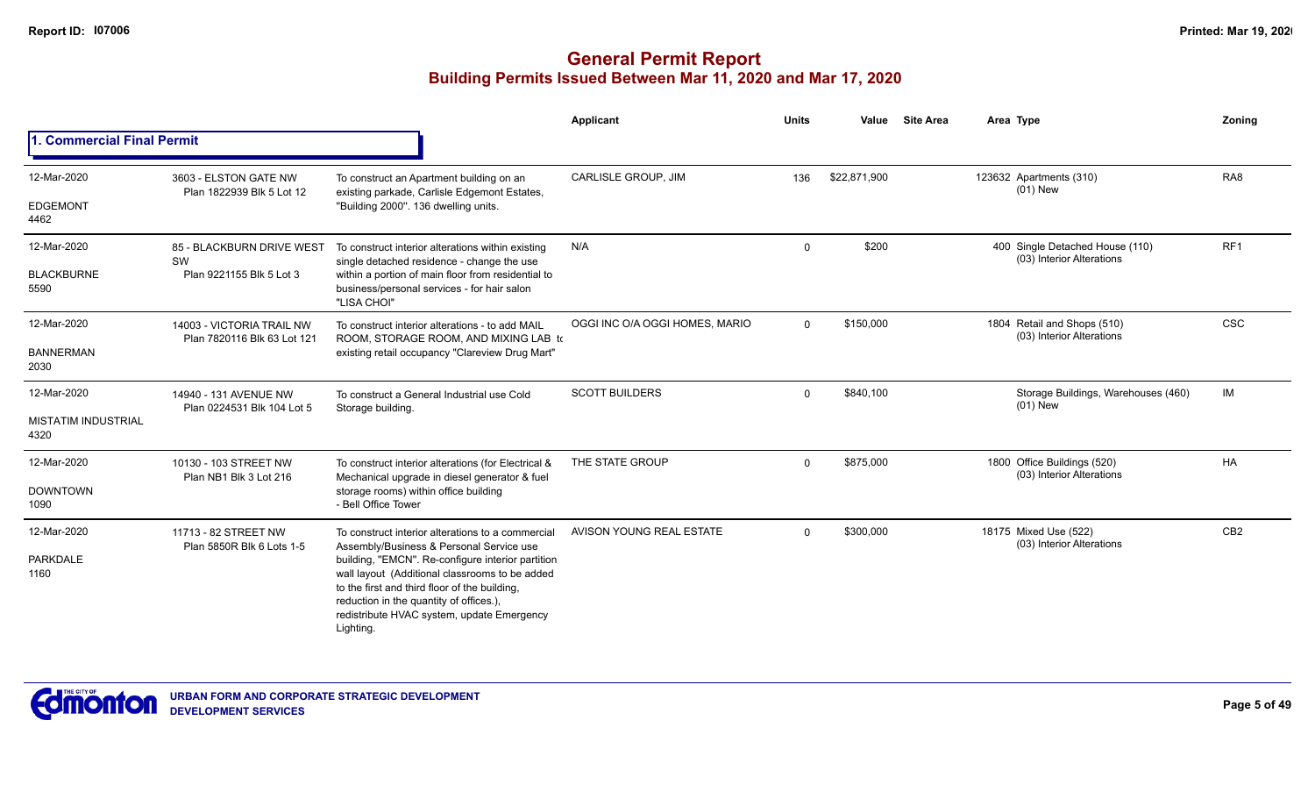|                                                   |                                                             |                                                                                                                                                                                                                                                                                                                                                             | Applicant                      | <b>Units</b> | Value        | <b>Site Area</b> | Area Type                                                    | Zoning          |
|---------------------------------------------------|-------------------------------------------------------------|-------------------------------------------------------------------------------------------------------------------------------------------------------------------------------------------------------------------------------------------------------------------------------------------------------------------------------------------------------------|--------------------------------|--------------|--------------|------------------|--------------------------------------------------------------|-----------------|
| 1. Commercial Final Permit                        |                                                             |                                                                                                                                                                                                                                                                                                                                                             |                                |              |              |                  |                                                              |                 |
| 12-Mar-2020<br><b>EDGEMONT</b><br>4462            | 3603 - ELSTON GATE NW<br>Plan 1822939 Blk 5 Lot 12          | To construct an Apartment building on an<br>existing parkade, Carlisle Edgemont Estates,<br>"Building 2000". 136 dwelling units.                                                                                                                                                                                                                            | <b>CARLISLE GROUP, JIM</b>     | 136          | \$22,871,900 |                  | 123632 Apartments (310)<br>$(01)$ New                        | RA <sub>8</sub> |
| 12-Mar-2020<br><b>BLACKBURNE</b><br>5590          | 85 - BLACKBURN DRIVE WEST<br>SW<br>Plan 9221155 Blk 5 Lot 3 | To construct interior alterations within existing<br>single detached residence - change the use<br>within a portion of main floor from residential to<br>business/personal services - for hair salon<br>"LISA CHOI"                                                                                                                                         | N/A                            | $\Omega$     | \$200        |                  | 400 Single Detached House (110)<br>(03) Interior Alterations | RF1             |
| 12-Mar-2020<br><b>BANNERMAN</b><br>2030           | 14003 - VICTORIA TRAIL NW<br>Plan 7820116 Blk 63 Lot 121    | To construct interior alterations - to add MAIL<br>ROOM, STORAGE ROOM, AND MIXING LAB to<br>existing retail occupancy "Clareview Drug Mart"                                                                                                                                                                                                                 | OGGI INC O/A OGGI HOMES, MARIO | $\Omega$     | \$150,000    |                  | 1804 Retail and Shops (510)<br>(03) Interior Alterations     | <b>CSC</b>      |
| 12-Mar-2020<br><b>MISTATIM INDUSTRIAL</b><br>4320 | 14940 - 131 AVENUE NW<br>Plan 0224531 Blk 104 Lot 5         | To construct a General Industrial use Cold<br>Storage building.                                                                                                                                                                                                                                                                                             | <b>SCOTT BUILDERS</b>          | $\Omega$     | \$840,100    |                  | Storage Buildings, Warehouses (460)<br>$(01)$ New            | IM              |
| 12-Mar-2020<br><b>DOWNTOWN</b><br>1090            | 10130 - 103 STREET NW<br>Plan NB1 Blk 3 Lot 216             | To construct interior alterations (for Electrical &<br>Mechanical upgrade in diesel generator & fuel<br>storage rooms) within office building<br>- Bell Office Tower                                                                                                                                                                                        | THE STATE GROUP                | $\Omega$     | \$875,000    |                  | 1800 Office Buildings (520)<br>(03) Interior Alterations     | HA              |
| 12-Mar-2020<br>PARKDALE<br>1160                   | 11713 - 82 STREET NW<br>Plan 5850R Blk 6 Lots 1-5           | To construct interior alterations to a commercial<br>Assembly/Business & Personal Service use<br>building, "EMCN". Re-configure interior partition<br>wall layout (Additional classrooms to be added<br>to the first and third floor of the building,<br>reduction in the quantity of offices.),<br>redistribute HVAC system, update Emergency<br>Lighting. | AVISON YOUNG REAL ESTATE       | $\Omega$     | \$300,000    |                  | 18175 Mixed Use (522)<br>(03) Interior Alterations           | CB <sub>2</sub> |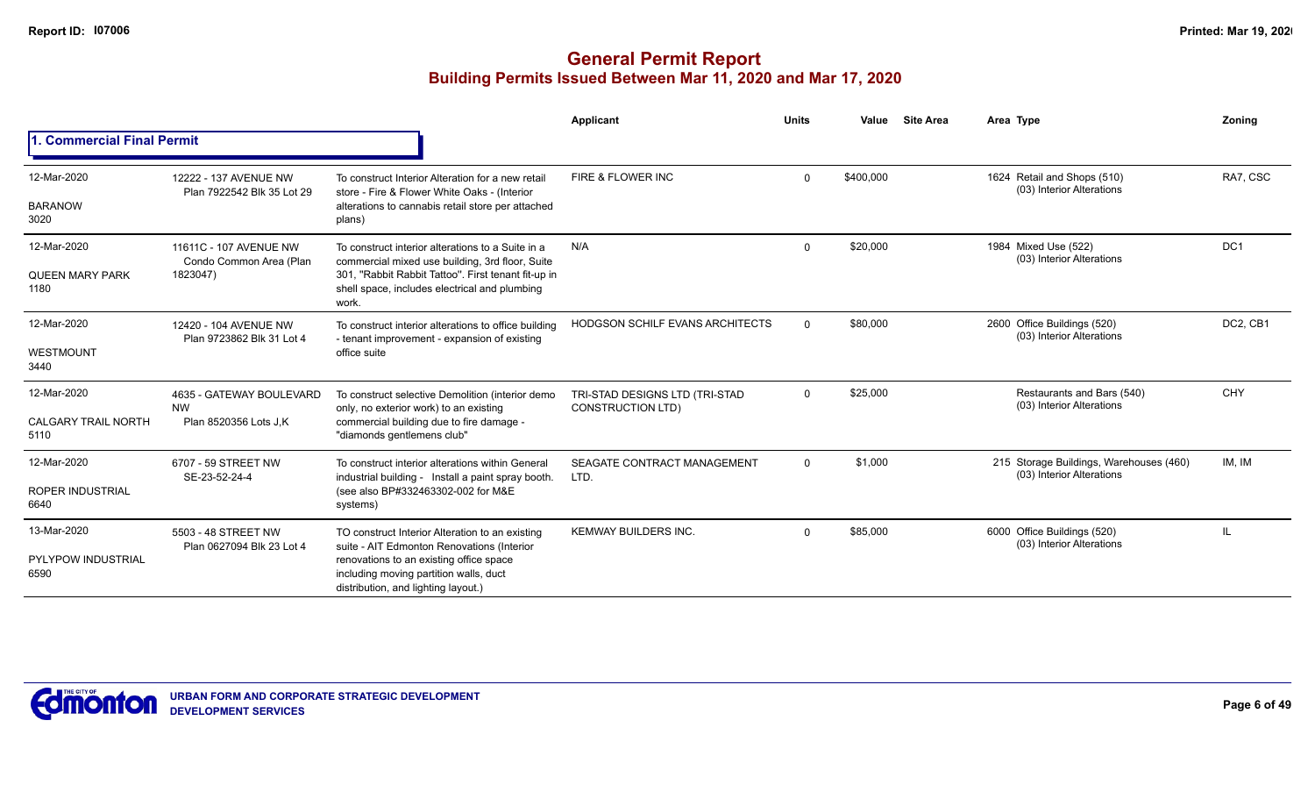|                                    |                                                              |                                                                                                                                                                  | Applicant                                                  | <b>Units</b>         | Value     | <b>Site Area</b> | Area Type                                                            | Zoning          |
|------------------------------------|--------------------------------------------------------------|------------------------------------------------------------------------------------------------------------------------------------------------------------------|------------------------------------------------------------|----------------------|-----------|------------------|----------------------------------------------------------------------|-----------------|
| 1. Commercial Final Permit         |                                                              |                                                                                                                                                                  |                                                            |                      |           |                  |                                                                      |                 |
| 12-Mar-2020                        | 12222 - 137 AVENUE NW<br>Plan 7922542 Blk 35 Lot 29          | To construct Interior Alteration for a new retail<br>store - Fire & Flower White Oaks - (Interior                                                                | FIRE & FLOWER INC                                          | $\Omega$             | \$400,000 |                  | 1624 Retail and Shops (510)<br>(03) Interior Alterations             | RA7, CSC        |
| <b>BARANOW</b><br>3020             |                                                              | alterations to cannabis retail store per attached<br>plans)                                                                                                      |                                                            |                      |           |                  |                                                                      |                 |
| 12-Mar-2020                        | 11611C - 107 AVENUE NW                                       | To construct interior alterations to a Suite in a                                                                                                                | N/A                                                        | $\mathbf 0$          | \$20,000  |                  | 1984 Mixed Use (522)<br>(03) Interior Alterations                    | DC <sub>1</sub> |
| <b>QUEEN MARY PARK</b><br>1180     | Condo Common Area (Plan<br>1823047)<br>12420 - 104 AVENUE NW | commercial mixed use building, 3rd floor, Suite<br>301, "Rabbit Rabbit Tattoo". First tenant fit-up in<br>shell space, includes electrical and plumbing<br>work. |                                                            | \$80,000<br>$\Omega$ |           |                  |                                                                      |                 |
| 12-Mar-2020                        |                                                              | To construct interior alterations to office building<br>- tenant improvement - expansion of existing                                                             | HODGSON SCHILF EVANS ARCHITECTS                            |                      |           |                  | 2600 Office Buildings (520)<br>(03) Interior Alterations             | DC2, CB1        |
| WESTMOUNT<br>3440                  | Plan 9723862 Blk 31 Lot 4                                    | office suite                                                                                                                                                     |                                                            |                      |           |                  |                                                                      |                 |
| 12-Mar-2020                        | 4635 - GATEWAY BOULEVARD<br><b>NW</b>                        | To construct selective Demolition (interior demo<br>only, no exterior work) to an existing                                                                       | TRI-STAD DESIGNS LTD (TRI-STAD<br><b>CONSTRUCTION LTD)</b> | $\Omega$             | \$25,000  |                  | Restaurants and Bars (540)<br>(03) Interior Alterations              | CHY             |
| <b>CALGARY TRAIL NORTH</b><br>5110 | Plan 8520356 Lots J.K                                        | commercial building due to fire damage -<br>"diamonds gentlemens club"                                                                                           |                                                            |                      |           |                  |                                                                      |                 |
| 12-Mar-2020                        | 6707 - 59 STREET NW<br>SE-23-52-24-4                         | To construct interior alterations within General<br>industrial building - Install a paint spray booth.                                                           | SEAGATE CONTRACT MANAGEMENT<br>LTD.                        | $\mathbf 0$          | \$1,000   |                  | 215 Storage Buildings, Warehouses (460)<br>(03) Interior Alterations | IM, IM          |
| <b>ROPER INDUSTRIAL</b><br>6640    |                                                              | (see also BP#332463302-002 for M&E<br>systems)                                                                                                                   |                                                            |                      |           |                  |                                                                      |                 |
| 13-Mar-2020                        | 5503 - 48 STREET NW<br>Plan 0627094 Blk 23 Lot 4             | TO construct Interior Alteration to an existing<br>suite - AIT Edmonton Renovations (Interior                                                                    | <b>KEMWAY BUILDERS INC.</b>                                | $\Omega$             | \$85,000  |                  | 6000 Office Buildings (520)<br>(03) Interior Alterations             | H.              |
| <b>PYLYPOW INDUSTRIAL</b><br>6590  |                                                              | renovations to an existing office space<br>including moving partition walls, duct<br>distribution, and lighting layout.)                                         |                                                            |                      |           |                  |                                                                      |                 |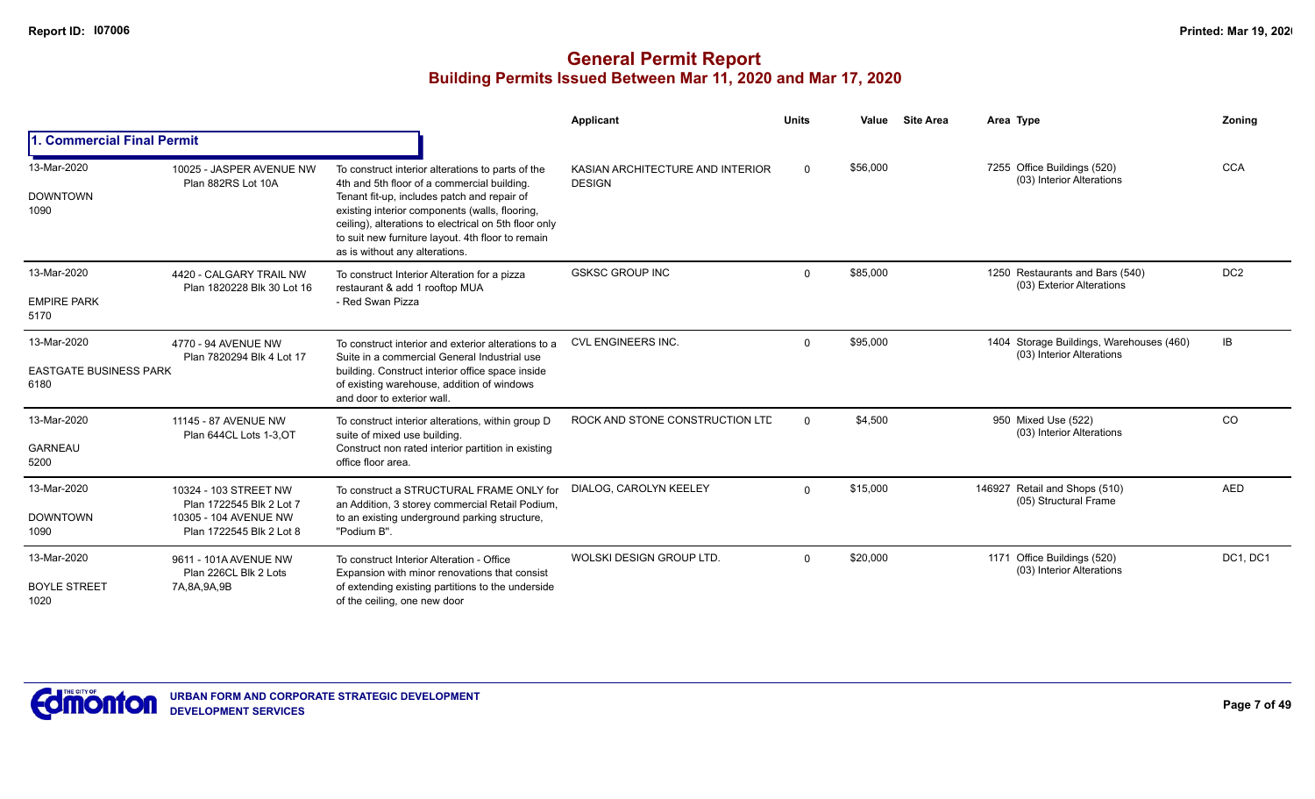|                                                      |                                                                                                        |                                                                                                                                                                                                                                                                                                                                                   | Applicant                                         | <b>Units</b> | Value    | <b>Site Area</b> | Area Type                                                             | Zoning          |
|------------------------------------------------------|--------------------------------------------------------------------------------------------------------|---------------------------------------------------------------------------------------------------------------------------------------------------------------------------------------------------------------------------------------------------------------------------------------------------------------------------------------------------|---------------------------------------------------|--------------|----------|------------------|-----------------------------------------------------------------------|-----------------|
| 1. Commercial Final Permit                           |                                                                                                        |                                                                                                                                                                                                                                                                                                                                                   |                                                   |              |          |                  |                                                                       |                 |
| 13-Mar-2020<br><b>DOWNTOWN</b><br>1090               | 10025 - JASPER AVENUE NW<br>Plan 882RS Lot 10A                                                         | To construct interior alterations to parts of the<br>4th and 5th floor of a commercial building.<br>Tenant fit-up, includes patch and repair of<br>existing interior components (walls, flooring,<br>ceiling), alterations to electrical on 5th floor only<br>to suit new furniture layout. 4th floor to remain<br>as is without any alterations. | KASIAN ARCHITECTURE AND INTERIOR<br><b>DESIGN</b> | $\Omega$     | \$56,000 |                  | 7255 Office Buildings (520)<br>(03) Interior Alterations              | <b>CCA</b>      |
| 13-Mar-2020<br><b>EMPIRE PARK</b><br>5170            | 4420 - CALGARY TRAIL NW<br>Plan 1820228 Blk 30 Lot 16                                                  | To construct Interior Alteration for a pizza<br>restaurant & add 1 rooftop MUA<br>- Red Swan Pizza                                                                                                                                                                                                                                                | <b>GSKSC GROUP INC</b>                            | $\Omega$     | \$85,000 |                  | 1250 Restaurants and Bars (540)<br>(03) Exterior Alterations          | DC <sub>2</sub> |
| 13-Mar-2020<br><b>EASTGATE BUSINESS PARK</b><br>6180 | 4770 - 94 AVENUE NW<br>Plan 7820294 Blk 4 Lot 17                                                       | To construct interior and exterior alterations to a<br>Suite in a commercial General Industrial use<br>building. Construct interior office space inside<br>of existing warehouse, addition of windows<br>and door to exterior wall.                                                                                                               | <b>CVL ENGINEERS INC.</b>                         | $\Omega$     | \$95,000 |                  | 1404 Storage Buildings, Warehouses (460)<br>(03) Interior Alterations | IB              |
| 13-Mar-2020<br><b>GARNEAU</b><br>5200                | 11145 - 87 AVENUE NW<br>Plan 644CL Lots 1-3, OT                                                        | To construct interior alterations, within group D<br>suite of mixed use building.<br>Construct non rated interior partition in existing<br>office floor area.                                                                                                                                                                                     | ROCK AND STONE CONSTRUCTION LTD                   | $\Omega$     | \$4,500  |                  | 950 Mixed Use (522)<br>(03) Interior Alterations                      | CO              |
| 13-Mar-2020<br><b>DOWNTOWN</b><br>1090               | 10324 - 103 STREET NW<br>Plan 1722545 Blk 2 Lot 7<br>10305 - 104 AVENUE NW<br>Plan 1722545 Blk 2 Lot 8 | To construct a STRUCTURAL FRAME ONLY for<br>an Addition, 3 storey commercial Retail Podium,<br>to an existing underground parking structure,<br>"Podium B".                                                                                                                                                                                       | DIALOG. CAROLYN KEELEY                            | $\Omega$     | \$15,000 |                  | 146927 Retail and Shops (510)<br>(05) Structural Frame                | <b>AED</b>      |
| 13-Mar-2020<br><b>BOYLE STREET</b><br>1020           | 9611 - 101A AVENUE NW<br>Plan 226CL Blk 2 Lots<br>7A, 8A, 9A, 9B                                       | To construct Interior Alteration - Office<br>Expansion with minor renovations that consist<br>of extending existing partitions to the underside<br>of the ceiling, one new door                                                                                                                                                                   | WOLSKI DESIGN GROUP LTD.                          | $\Omega$     | \$20,000 |                  | 1171 Office Buildings (520)<br>(03) Interior Alterations              | DC1, DC1        |

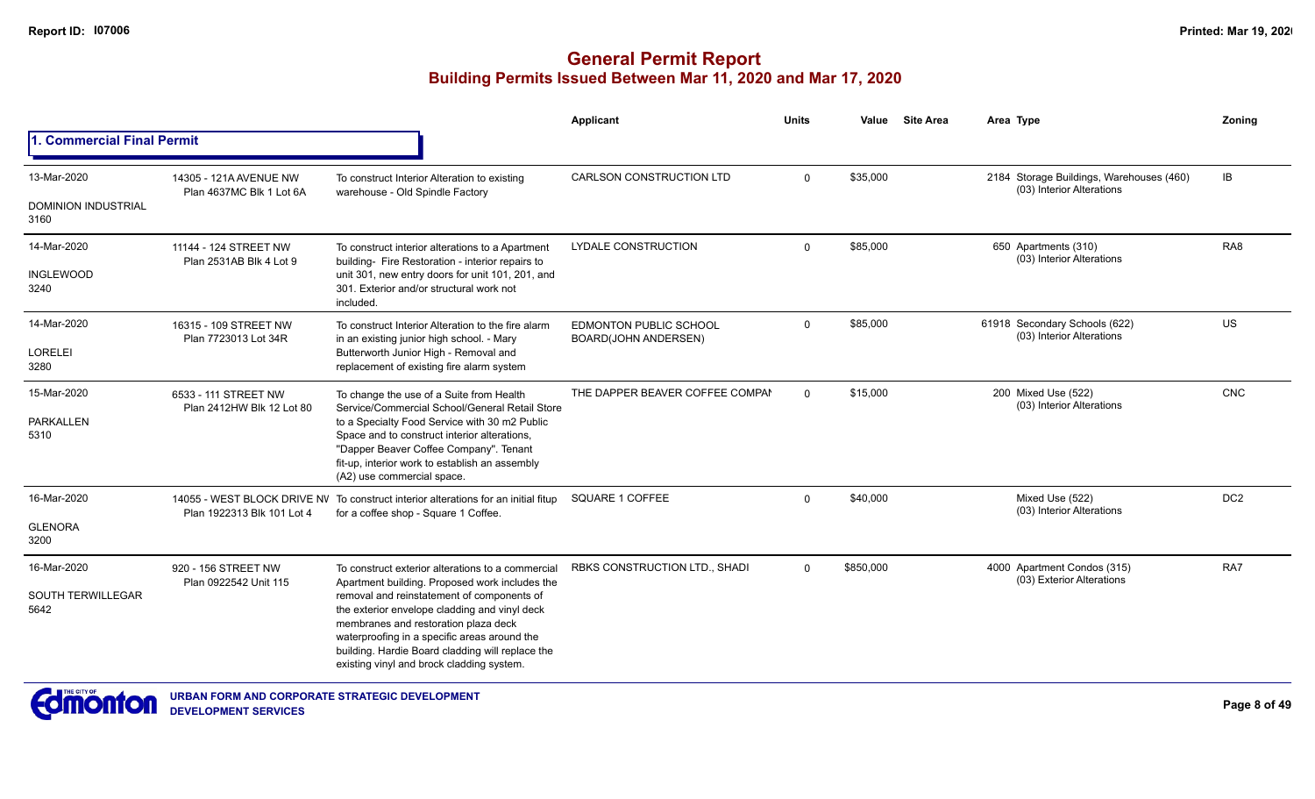|                                    |                                                    |                                                                                                                                                                                                                                                                                      | <b>Applicant</b>                                             | <b>Units</b> | Value     | <b>Site Area</b> | Area Type                                                             | Zoning          |
|------------------------------------|----------------------------------------------------|--------------------------------------------------------------------------------------------------------------------------------------------------------------------------------------------------------------------------------------------------------------------------------------|--------------------------------------------------------------|--------------|-----------|------------------|-----------------------------------------------------------------------|-----------------|
| 1. Commercial Final Permit         |                                                    |                                                                                                                                                                                                                                                                                      |                                                              |              |           |                  |                                                                       |                 |
| 13-Mar-2020                        | 14305 - 121A AVENUE NW<br>Plan 4637MC Blk 1 Lot 6A | To construct Interior Alteration to existing                                                                                                                                                                                                                                         | CARLSON CONSTRUCTION LTD                                     | $\mathbf 0$  | \$35,000  |                  | 2184 Storage Buildings, Warehouses (460)<br>(03) Interior Alterations | IB              |
| <b>DOMINION INDUSTRIAL</b><br>3160 |                                                    | warehouse - Old Spindle Factory                                                                                                                                                                                                                                                      |                                                              |              |           |                  |                                                                       |                 |
| 14-Mar-2020                        | 11144 - 124 STREET NW<br>Plan 2531AB Blk 4 Lot 9   | To construct interior alterations to a Apartment                                                                                                                                                                                                                                     | <b>LYDALE CONSTRUCTION</b>                                   | $\Omega$     | \$85,000  |                  | 650 Apartments (310)<br>(03) Interior Alterations                     | RA <sub>8</sub> |
| <b>INGLEWOOD</b><br>3240           |                                                    | building- Fire Restoration - interior repairs to<br>unit 301, new entry doors for unit 101, 201, and<br>301. Exterior and/or structural work not<br>included.                                                                                                                        |                                                              |              |           |                  |                                                                       |                 |
| 14-Mar-2020                        | 16315 - 109 STREET NW<br>Plan 7723013 Lot 34R      | To construct Interior Alteration to the fire alarm<br>in an existing junior high school. - Mary                                                                                                                                                                                      | <b>EDMONTON PUBLIC SCHOOL</b><br><b>BOARD(JOHN ANDERSEN)</b> | $\Omega$     | \$85,000  |                  | 61918 Secondary Schools (622)<br>(03) Interior Alterations            | US              |
| <b>LORELEI</b><br>3280             |                                                    | Butterworth Junior High - Removal and<br>replacement of existing fire alarm system                                                                                                                                                                                                   |                                                              |              |           |                  |                                                                       |                 |
| 15-Mar-2020                        | 6533 - 111 STREET NW<br>Plan 2412HW Blk 12 Lot 80  | To change the use of a Suite from Health<br>Service/Commercial School/General Retail Store                                                                                                                                                                                           | THE DAPPER BEAVER COFFEE COMPAI                              | $\Omega$     | \$15,000  |                  | 200 Mixed Use (522)<br>(03) Interior Alterations                      | CNC             |
| <b>PARKALLEN</b><br>5310           |                                                    | to a Specialty Food Service with 30 m2 Public<br>Space and to construct interior alterations,<br>"Dapper Beaver Coffee Company". Tenant<br>fit-up, interior work to establish an assembly<br>(A2) use commercial space.                                                              |                                                              |              |           |                  |                                                                       |                 |
| 16-Mar-2020                        | Plan 1922313 Blk 101 Lot 4                         | 14055 - WEST BLOCK DRIVE NV To construct interior alterations for an initial fitup<br>for a coffee shop - Square 1 Coffee.                                                                                                                                                           | SQUARE 1 COFFEE                                              | $\Omega$     | \$40,000  |                  | Mixed Use (522)<br>(03) Interior Alterations                          | DC <sub>2</sub> |
| <b>GLENORA</b><br>3200             |                                                    |                                                                                                                                                                                                                                                                                      |                                                              |              |           |                  |                                                                       |                 |
| 16-Mar-2020                        | 920 - 156 STREET NW<br>Plan 0922542 Unit 115       | To construct exterior alterations to a commercial<br>Apartment building. Proposed work includes the                                                                                                                                                                                  | RBKS CONSTRUCTION LTD., SHADI                                | $\Omega$     | \$850,000 |                  | 4000 Apartment Condos (315)<br>(03) Exterior Alterations              | RA7             |
| SOUTH TERWILLEGAR<br>5642          |                                                    | removal and reinstatement of components of<br>the exterior envelope cladding and vinyl deck<br>membranes and restoration plaza deck<br>waterproofing in a specific areas around the<br>building. Hardie Board cladding will replace the<br>existing vinyl and brock cladding system. |                                                              |              |           |                  |                                                                       |                 |

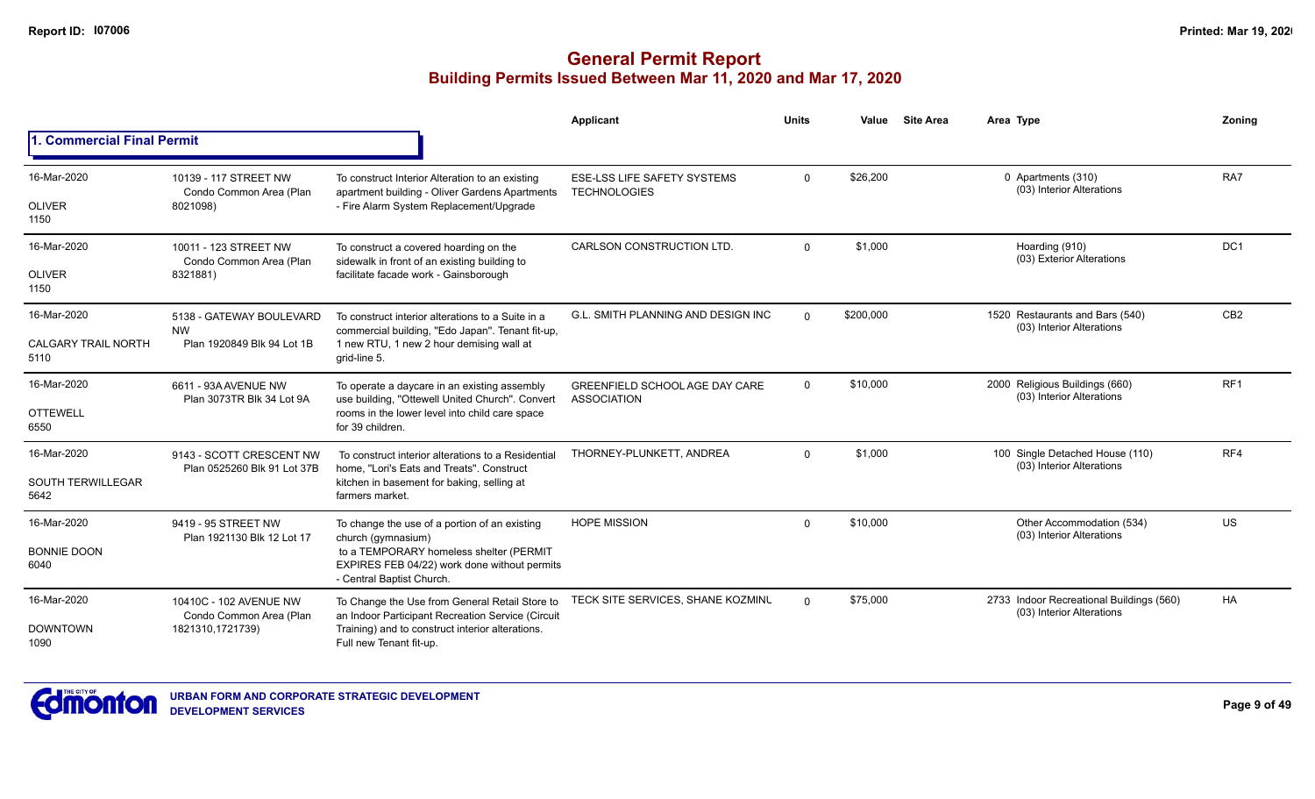|                                    |                                                                       |                                                                                                                      | Applicant                                                   | <b>Units</b> | Value     | <b>Site Area</b> | Area Type                                                             | Zonina          |
|------------------------------------|-----------------------------------------------------------------------|----------------------------------------------------------------------------------------------------------------------|-------------------------------------------------------------|--------------|-----------|------------------|-----------------------------------------------------------------------|-----------------|
| 1. Commercial Final Permit         |                                                                       |                                                                                                                      |                                                             |              |           |                  |                                                                       |                 |
| 16-Mar-2020                        | 10139 - 117 STREET NW<br>Condo Common Area (Plan                      | To construct Interior Alteration to an existing<br>apartment building - Oliver Gardens Apartments                    | <b>ESE-LSS LIFE SAFETY SYSTEMS</b><br><b>TECHNOLOGIES</b>   | $\mathbf 0$  | \$26,200  |                  | 0 Apartments (310)<br>(03) Interior Alterations                       | RA7             |
| <b>OLIVER</b><br>1150              | 8021098)                                                              | - Fire Alarm System Replacement/Upgrade                                                                              |                                                             |              |           |                  |                                                                       |                 |
| 16-Mar-2020                        | 10011 - 123 STREET NW<br>Condo Common Area (Plan                      | To construct a covered hoarding on the<br>sidewalk in front of an existing building to                               | <b>CARLSON CONSTRUCTION LTD.</b>                            | $\Omega$     | \$1,000   |                  | Hoarding (910)<br>(03) Exterior Alterations                           | DC <sub>1</sub> |
| <b>OLIVER</b><br>1150              | 8321881)                                                              | facilitate facade work - Gainsborough                                                                                |                                                             |              |           |                  |                                                                       |                 |
| 16-Mar-2020                        | 5138 - GATEWAY BOULEVARD<br><b>NW</b>                                 | To construct interior alterations to a Suite in a<br>commercial building, "Edo Japan". Tenant fit-up,                | <b>G.L. SMITH PLANNING AND DESIGN INC</b>                   | $\Omega$     | \$200,000 |                  | 1520 Restaurants and Bars (540)<br>(03) Interior Alterations          | CB <sub>2</sub> |
| <b>CALGARY TRAIL NORTH</b><br>5110 | Plan 1920849 Blk 94 Lot 1B                                            | 1 new RTU, 1 new 2 hour demising wall at<br>grid-line 5.                                                             |                                                             |              |           |                  |                                                                       |                 |
| 16-Mar-2020                        | 6611 - 93A AVENUE NW<br>Plan 3073TR Blk 34 Lot 9A                     | To operate a daycare in an existing assembly<br>use building, "Ottewell United Church". Convert                      | <b>GREENFIELD SCHOOL AGE DAY CARE</b><br><b>ASSOCIATION</b> | $\Omega$     | \$10,000  |                  | 2000 Religious Buildings (660)<br>(03) Interior Alterations           | RF <sub>1</sub> |
| <b>OTTEWELL</b><br>6550            |                                                                       | rooms in the lower level into child care space<br>for 39 children.                                                   |                                                             |              |           |                  |                                                                       |                 |
| 16-Mar-2020                        | 9143 - SCOTT CRESCENT NW<br>Plan 0525260 Blk 91 Lot 37B               | To construct interior alterations to a Residential<br>home. "Lori's Eats and Treats". Construct                      | THORNEY-PLUNKETT, ANDREA                                    | $\Omega$     | \$1.000   |                  | 100 Single Detached House (110)<br>(03) Interior Alterations          | RF4             |
| <b>SOUTH TERWILLEGAR</b><br>5642   |                                                                       | kitchen in basement for baking, selling at<br>farmers market.                                                        |                                                             |              |           |                  |                                                                       |                 |
| 16-Mar-2020                        | 9419 - 95 STREET NW                                                   | To change the use of a portion of an existing<br>church (gymnasium)                                                  | <b>HOPE MISSION</b>                                         | $\Omega$     | \$10,000  |                  | Other Accommodation (534)<br>(03) Interior Alterations                | <b>US</b>       |
| <b>BONNIE DOON</b><br>6040         | Plan 1921130 Blk 12 Lot 17                                            | to a TEMPORARY homeless shelter (PERMIT<br>EXPIRES FEB 04/22) work done without permits<br>- Central Baptist Church. |                                                             |              |           |                  |                                                                       |                 |
| 16-Mar-2020                        | 10410C - 102 AVENUE NW<br>Condo Common Area (Plan<br>1821310,1721739) | To Change the Use from General Retail Store to<br>an Indoor Participant Recreation Service (Circuit                  | TECK SITE SERVICES, SHANE KOZMINU                           | $\Omega$     | \$75,000  |                  | 2733 Indoor Recreational Buildings (560)<br>(03) Interior Alterations | HA              |
| <b>DOWNTOWN</b><br>1090            |                                                                       | Training) and to construct interior alterations.<br>Full new Tenant fit-up.                                          |                                                             |              |           |                  |                                                                       |                 |

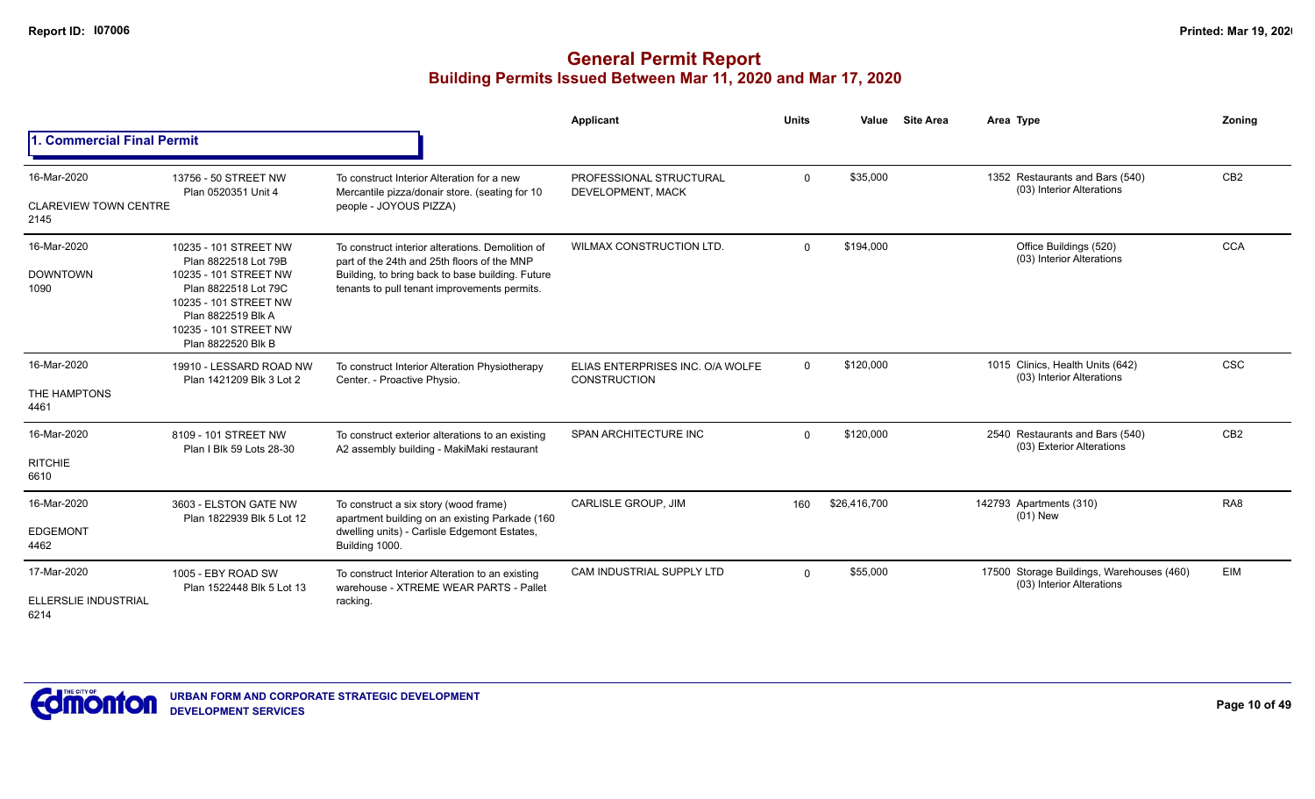|                                                                                                                                                                                                                                                                                                                                                                                                                                                                                                                                                                                                                                                                                                                                                                                                                                                                                                                                                                                                                                                                                                                                                                                                                                                                                                                                                                                                                                                                                                                                                                                                                                                                                                                                                                                                                                                                                                                                                                                                                                                                                                                                                                                                                                                                                             |  |          | Applicant | <b>Units</b> | Value | <b>Site Area</b> | Area Type | Zoning          |
|---------------------------------------------------------------------------------------------------------------------------------------------------------------------------------------------------------------------------------------------------------------------------------------------------------------------------------------------------------------------------------------------------------------------------------------------------------------------------------------------------------------------------------------------------------------------------------------------------------------------------------------------------------------------------------------------------------------------------------------------------------------------------------------------------------------------------------------------------------------------------------------------------------------------------------------------------------------------------------------------------------------------------------------------------------------------------------------------------------------------------------------------------------------------------------------------------------------------------------------------------------------------------------------------------------------------------------------------------------------------------------------------------------------------------------------------------------------------------------------------------------------------------------------------------------------------------------------------------------------------------------------------------------------------------------------------------------------------------------------------------------------------------------------------------------------------------------------------------------------------------------------------------------------------------------------------------------------------------------------------------------------------------------------------------------------------------------------------------------------------------------------------------------------------------------------------------------------------------------------------------------------------------------------------|--|----------|-----------|--------------|-------|------------------|-----------|-----------------|
| <b>Commercial Final Permit</b><br>1352 Restaurants and Bars (540)<br>16-Mar-2020<br>\$35,000<br>$\mathbf 0$<br>13756 - 50 STREET NW<br>To construct Interior Alteration for a new<br>PROFESSIONAL STRUCTURAL<br>(03) Interior Alterations<br>Plan 0520351 Unit 4<br>Mercantile pizza/donair store. (seating for 10<br>DEVELOPMENT, MACK<br><b>CLAREVIEW TOWN CENTRE</b><br>people - JOYOUS PIZZA)<br>2145<br><b>WILMAX CONSTRUCTION LTD.</b><br>16-Mar-2020<br>\$194,000<br>Office Buildings (520)<br>$\Omega$<br>10235 - 101 STREET NW<br>To construct interior alterations. Demolition of<br>(03) Interior Alterations<br>Plan 8822518 Lot 79B<br>part of the 24th and 25th floors of the MNP<br><b>DOWNTOWN</b><br>10235 - 101 STREET NW<br>Building, to bring back to base building. Future<br>Plan 8822518 Lot 79C<br>tenants to pull tenant improvements permits.<br>1090<br>10235 - 101 STREET NW<br>Plan 8822519 Blk A<br>10235 - 101 STREET NW<br>Plan 8822520 Blk B<br>16-Mar-2020<br>\$120,000<br>1015 Clinics, Health Units (642)<br>$\Omega$<br>19910 - LESSARD ROAD NW<br>To construct Interior Alteration Physiotherapy<br>ELIAS ENTERPRISES INC. O/A WOLFE<br>(03) Interior Alterations<br>Plan 1421209 Blk 3 Lot 2<br>Center. - Proactive Physio.<br><b>CONSTRUCTION</b><br>THE HAMPTONS<br>4461<br>16-Mar-2020<br><b>SPAN ARCHITECTURE INC</b><br>\$120,000<br>2540 Restaurants and Bars (540)<br>$\Omega$<br>8109 - 101 STREET NW<br>To construct exterior alterations to an existing<br>(03) Exterior Alterations<br>A2 assembly building - MakiMaki restaurant<br>Plan I Blk 59 Lots 28-30<br><b>RITCHIE</b><br>6610<br>CARLISLE GROUP, JIM<br>16-Mar-2020<br>\$26,416,700<br>142793 Apartments (310)<br>160<br>3603 - ELSTON GATE NW<br>To construct a six story (wood frame)<br>$(01)$ New<br>apartment building on an existing Parkade (160<br>Plan 1822939 Blk 5 Lot 12<br>dwelling units) - Carlisle Edgemont Estates,<br><b>EDGEMONT</b><br>4462<br>Building 1000.<br>CAM INDUSTRIAL SUPPLY LTD<br>17500 Storage Buildings, Warehouses (460)<br>17-Mar-2020<br>\$55,000<br>$\Omega$<br>1005 - EBY ROAD SW<br>To construct Interior Alteration to an existing<br>(03) Interior Alterations<br>Plan 1522448 Blk 5 Lot 13<br>warehouse - XTREME WEAR PARTS - Pallet |  |          |           |              |       |                  |           |                 |
|                                                                                                                                                                                                                                                                                                                                                                                                                                                                                                                                                                                                                                                                                                                                                                                                                                                                                                                                                                                                                                                                                                                                                                                                                                                                                                                                                                                                                                                                                                                                                                                                                                                                                                                                                                                                                                                                                                                                                                                                                                                                                                                                                                                                                                                                                             |  |          |           |              |       |                  |           | CB2             |
|                                                                                                                                                                                                                                                                                                                                                                                                                                                                                                                                                                                                                                                                                                                                                                                                                                                                                                                                                                                                                                                                                                                                                                                                                                                                                                                                                                                                                                                                                                                                                                                                                                                                                                                                                                                                                                                                                                                                                                                                                                                                                                                                                                                                                                                                                             |  |          |           |              |       |                  |           | <b>CCA</b>      |
|                                                                                                                                                                                                                                                                                                                                                                                                                                                                                                                                                                                                                                                                                                                                                                                                                                                                                                                                                                                                                                                                                                                                                                                                                                                                                                                                                                                                                                                                                                                                                                                                                                                                                                                                                                                                                                                                                                                                                                                                                                                                                                                                                                                                                                                                                             |  |          |           |              |       |                  |           | <b>CSC</b>      |
|                                                                                                                                                                                                                                                                                                                                                                                                                                                                                                                                                                                                                                                                                                                                                                                                                                                                                                                                                                                                                                                                                                                                                                                                                                                                                                                                                                                                                                                                                                                                                                                                                                                                                                                                                                                                                                                                                                                                                                                                                                                                                                                                                                                                                                                                                             |  |          |           |              |       |                  |           | CB <sub>2</sub> |
|                                                                                                                                                                                                                                                                                                                                                                                                                                                                                                                                                                                                                                                                                                                                                                                                                                                                                                                                                                                                                                                                                                                                                                                                                                                                                                                                                                                                                                                                                                                                                                                                                                                                                                                                                                                                                                                                                                                                                                                                                                                                                                                                                                                                                                                                                             |  |          |           |              |       |                  |           | RA <sub>8</sub> |
| <b>ELLERSLIE INDUSTRIAL</b><br>6214                                                                                                                                                                                                                                                                                                                                                                                                                                                                                                                                                                                                                                                                                                                                                                                                                                                                                                                                                                                                                                                                                                                                                                                                                                                                                                                                                                                                                                                                                                                                                                                                                                                                                                                                                                                                                                                                                                                                                                                                                                                                                                                                                                                                                                                         |  | racking. |           |              |       |                  |           | <b>EIM</b>      |

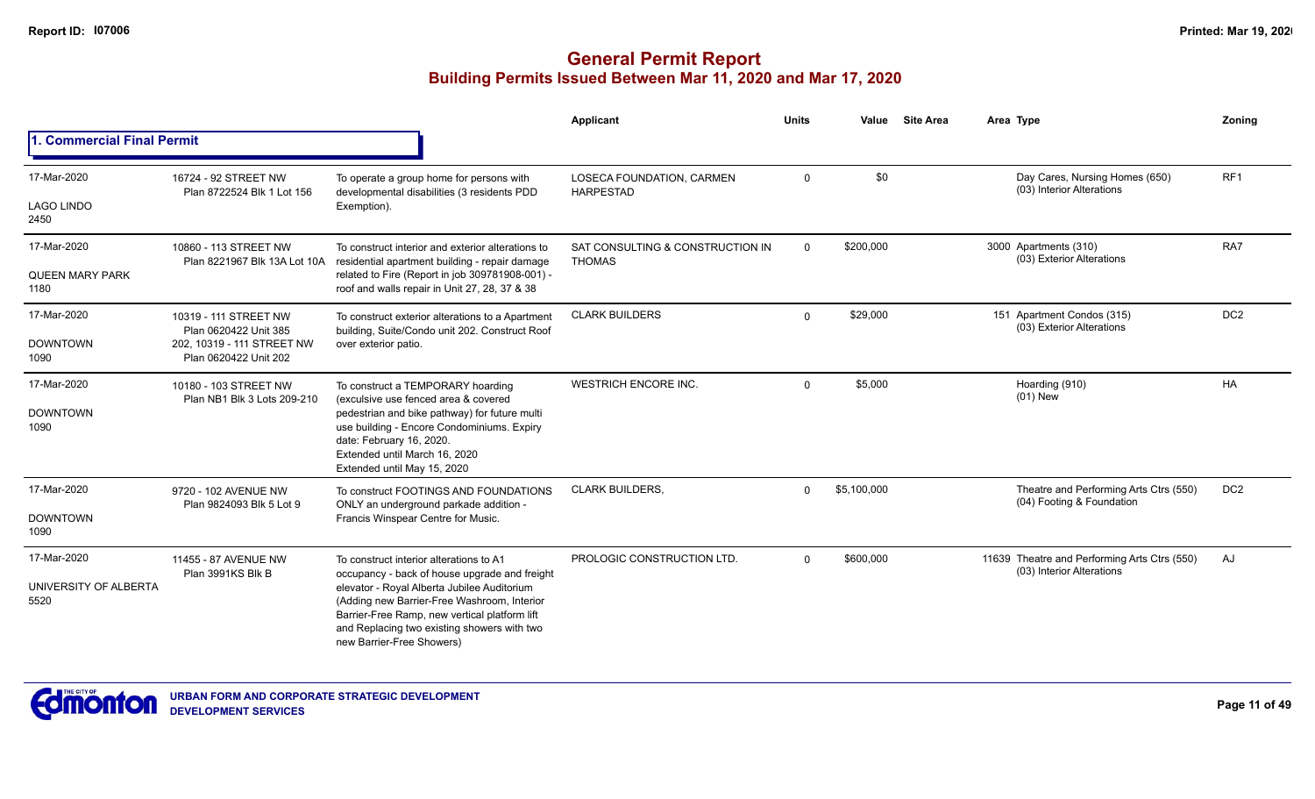|                                              |                                                       |                                                                                                                                                                                                                                                                                                                     | <b>Applicant</b>                                  | <b>Units</b> | Value       | <b>Site Area</b> | Area Type                                                                 | Zoning          |
|----------------------------------------------|-------------------------------------------------------|---------------------------------------------------------------------------------------------------------------------------------------------------------------------------------------------------------------------------------------------------------------------------------------------------------------------|---------------------------------------------------|--------------|-------------|------------------|---------------------------------------------------------------------------|-----------------|
| 1. Commercial Final Permit                   |                                                       |                                                                                                                                                                                                                                                                                                                     |                                                   |              |             |                  |                                                                           |                 |
| 17-Mar-2020                                  | 16724 - 92 STREET NW<br>Plan 8722524 Blk 1 Lot 156    | To operate a group home for persons with<br>developmental disabilities (3 residents PDD                                                                                                                                                                                                                             | LOSECA FOUNDATION, CARMEN<br><b>HARPESTAD</b>     | $\mathbf 0$  | \$0         |                  | Day Cares, Nursing Homes (650)<br>(03) Interior Alterations               | RF <sub>1</sub> |
| <b>LAGO LINDO</b><br>2450                    |                                                       | Exemption).                                                                                                                                                                                                                                                                                                         |                                                   |              |             |                  |                                                                           |                 |
| 17-Mar-2020                                  | 10860 - 113 STREET NW<br>Plan 8221967 Blk 13A Lot 10A | To construct interior and exterior alterations to<br>residential apartment building - repair damage                                                                                                                                                                                                                 | SAT CONSULTING & CONSTRUCTION IN<br><b>THOMAS</b> | $\mathbf{0}$ | \$200,000   |                  | 3000 Apartments (310)<br>(03) Exterior Alterations                        | RA7             |
| <b>QUEEN MARY PARK</b><br>1180               |                                                       | related to Fire (Report in job 309781908-001) -<br>roof and walls repair in Unit 27, 28, 37 & 38                                                                                                                                                                                                                    |                                                   |              |             |                  |                                                                           |                 |
| 17-Mar-2020                                  | 10319 - 111 STREET NW<br>Plan 0620422 Unit 385        | To construct exterior alterations to a Apartment<br>building, Suite/Condo unit 202. Construct Roof                                                                                                                                                                                                                  | <b>CLARK BUILDERS</b>                             | $\Omega$     | \$29,000    |                  | 151 Apartment Condos (315)<br>(03) Exterior Alterations                   | DC <sub>2</sub> |
| <b>DOWNTOWN</b><br>1090                      | 202. 10319 - 111 STREET NW<br>Plan 0620422 Unit 202   | over exterior patio.                                                                                                                                                                                                                                                                                                |                                                   |              |             |                  |                                                                           |                 |
| 17-Mar-2020<br><b>DOWNTOWN</b><br>1090       | 10180 - 103 STREET NW<br>Plan NB1 Blk 3 Lots 209-210  | To construct a TEMPORARY hoarding<br>(exculsive use fenced area & covered<br>pedestrian and bike pathway) for future multi<br>use building - Encore Condominiums. Expiry<br>date: February 16, 2020.<br>Extended until March 16, 2020<br>Extended until May 15, 2020                                                | <b>WESTRICH ENCORE INC.</b>                       | $\Omega$     | \$5,000     |                  | Hoarding (910)<br>$(01)$ New                                              | <b>HA</b>       |
| 17-Mar-2020                                  | 9720 - 102 AVENUE NW<br>Plan 9824093 Blk 5 Lot 9      | To construct FOOTINGS AND FOUNDATIONS<br>ONLY an underground parkade addition -                                                                                                                                                                                                                                     | <b>CLARK BUILDERS.</b>                            | $\Omega$     | \$5,100,000 |                  | Theatre and Performing Arts Ctrs (550)<br>(04) Footing & Foundation       | DC <sub>2</sub> |
| <b>DOWNTOWN</b><br>1090                      |                                                       | Francis Winspear Centre for Music.                                                                                                                                                                                                                                                                                  |                                                   |              |             |                  |                                                                           |                 |
| 17-Mar-2020<br>UNIVERSITY OF ALBERTA<br>5520 | 11455 - 87 AVENUE NW<br>Plan 3991KS Blk B             | To construct interior alterations to A1<br>occupancy - back of house upgrade and freight<br>elevator - Royal Alberta Jubilee Auditorium<br>(Adding new Barrier-Free Washroom, Interior<br>Barrier-Free Ramp, new vertical platform lift<br>and Replacing two existing showers with two<br>new Barrier-Free Showers) | PROLOGIC CONSTRUCTION LTD.                        | $\Omega$     | \$600,000   |                  | 11639 Theatre and Performing Arts Ctrs (550)<br>(03) Interior Alterations | AJ              |

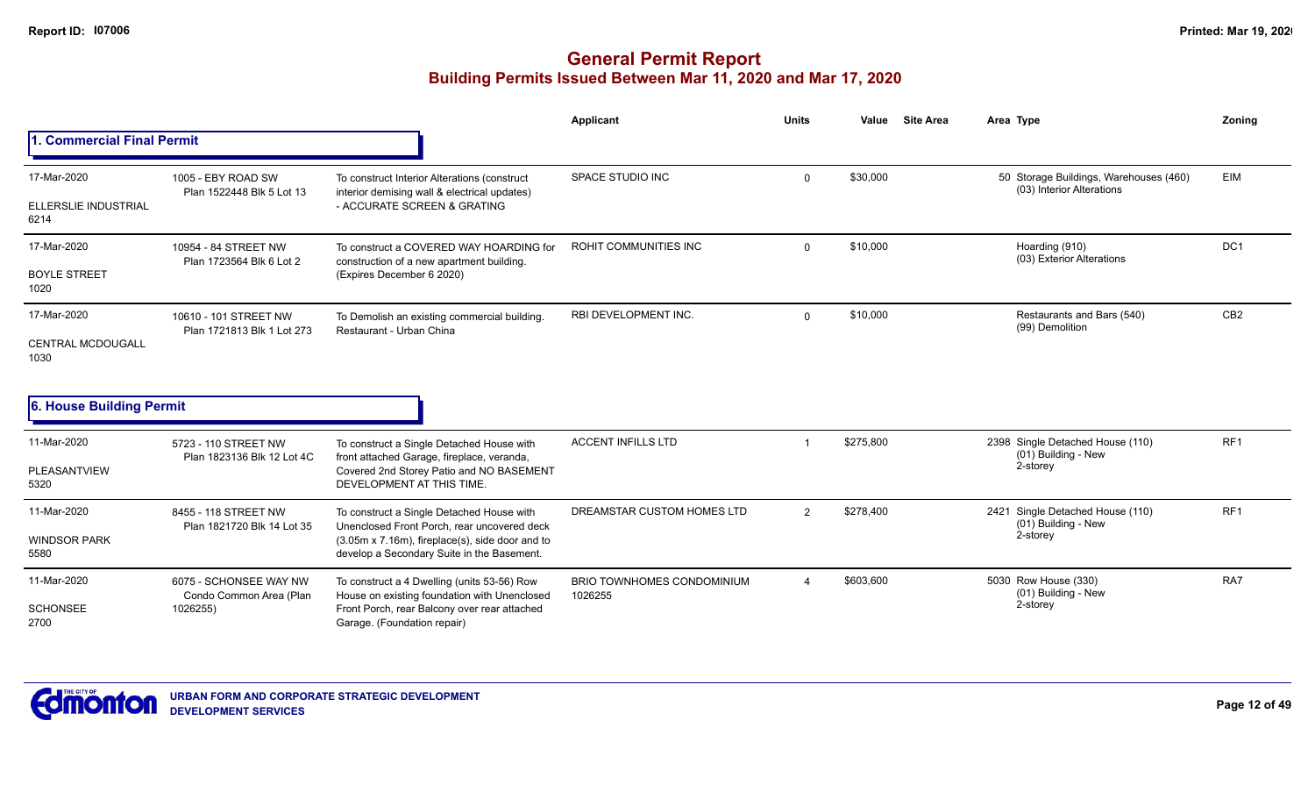|                                                    |                                                               |                                                                                                                                                                                           | <b>Applicant</b>                      | <b>Units</b> | Value     | <b>Site Area</b> | Area Type                                                           | Zoning          |
|----------------------------------------------------|---------------------------------------------------------------|-------------------------------------------------------------------------------------------------------------------------------------------------------------------------------------------|---------------------------------------|--------------|-----------|------------------|---------------------------------------------------------------------|-----------------|
| 1. Commercial Final Permit                         |                                                               |                                                                                                                                                                                           |                                       |              |           |                  |                                                                     |                 |
| 17-Mar-2020<br><b>ELLERSLIE INDUSTRIAL</b><br>6214 | 1005 - EBY ROAD SW<br>Plan 1522448 Blk 5 Lot 13               | To construct Interior Alterations (construct<br>interior demising wall & electrical updates)<br>- ACCURATE SCREEN & GRATING                                                               | SPACE STUDIO INC                      | $\mathbf 0$  | \$30,000  |                  | 50 Storage Buildings, Warehouses (460)<br>(03) Interior Alterations | <b>EIM</b>      |
| 17-Mar-2020<br><b>BOYLE STREET</b><br>1020         | 10954 - 84 STREET NW<br>Plan 1723564 Blk 6 Lot 2              | To construct a COVERED WAY HOARDING for<br>construction of a new apartment building.<br>(Expires December 6 2020)                                                                         | ROHIT COMMUNITIES INC                 | $\Omega$     | \$10,000  |                  | Hoarding (910)<br>(03) Exterior Alterations                         | DC1             |
| 17-Mar-2020<br><b>CENTRAL MCDOUGALL</b><br>1030    | 10610 - 101 STREET NW<br>Plan 1721813 Blk 1 Lot 273           | To Demolish an existing commercial building.<br>Restaurant - Urban China                                                                                                                  | RBI DEVELOPMENT INC.                  | $\Omega$     | \$10,000  |                  | Restaurants and Bars (540)<br>(99) Demolition                       | CB <sub>2</sub> |
| 6. House Building Permit                           |                                                               |                                                                                                                                                                                           |                                       |              |           |                  |                                                                     |                 |
| 11-Mar-2020<br>PLEASANTVIEW<br>5320                | 5723 - 110 STREET NW<br>Plan 1823136 Blk 12 Lot 4C            | To construct a Single Detached House with<br>front attached Garage, fireplace, veranda,<br>Covered 2nd Storey Patio and NO BASEMENT<br>DEVELOPMENT AT THIS TIME.                          | <b>ACCENT INFILLS LTD</b>             |              | \$275,800 |                  | 2398 Single Detached House (110)<br>(01) Building - New<br>2-storey | RF <sub>1</sub> |
| 11-Mar-2020<br><b>WINDSOR PARK</b><br>5580         | 8455 - 118 STREET NW<br>Plan 1821720 Blk 14 Lot 35            | To construct a Single Detached House with<br>Unenclosed Front Porch, rear uncovered deck<br>(3.05m x 7.16m), fireplace(s), side door and to<br>develop a Secondary Suite in the Basement. | DREAMSTAR CUSTOM HOMES LTD            | 2            | \$278,400 |                  | 2421 Single Detached House (110)<br>(01) Building - New<br>2-storey | RF <sub>1</sub> |
| 11-Mar-2020<br><b>SCHONSEE</b><br>2700             | 6075 - SCHONSEE WAY NW<br>Condo Common Area (Plan<br>1026255) | To construct a 4 Dwelling (units 53-56) Row<br>House on existing foundation with Unenclosed<br>Front Porch, rear Balcony over rear attached<br>Garage. (Foundation repair)                | BRIO TOWNHOMES CONDOMINIUM<br>1026255 | 4            | \$603,600 |                  | 5030 Row House (330)<br>(01) Building - New<br>2-storey             | RA7             |

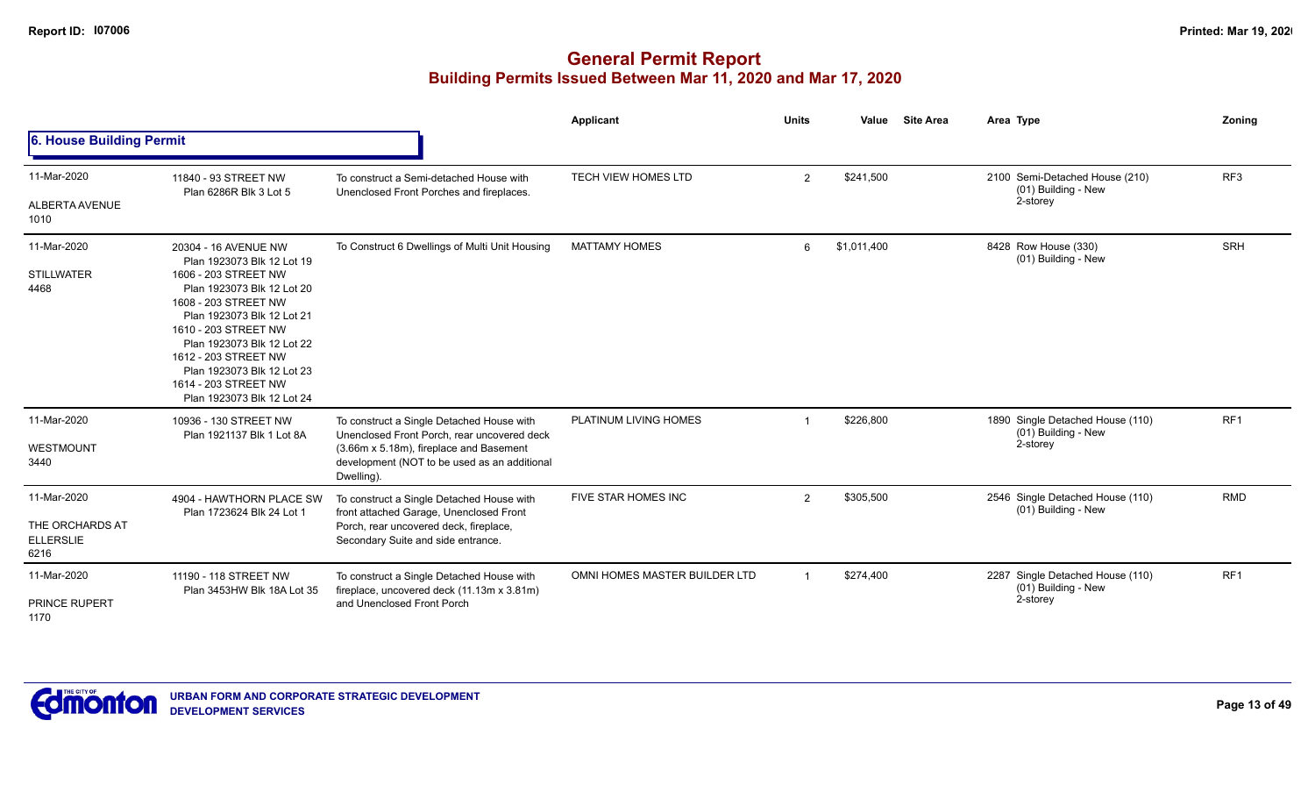|                                                            |                                                                                                                                                                                                                                                                                                                                  |                                                                                                                                                                                                   | Applicant                     | <b>Units</b>   | Value       | <b>Site Area</b> | Area Type                                                           | <b>Zoning</b>   |
|------------------------------------------------------------|----------------------------------------------------------------------------------------------------------------------------------------------------------------------------------------------------------------------------------------------------------------------------------------------------------------------------------|---------------------------------------------------------------------------------------------------------------------------------------------------------------------------------------------------|-------------------------------|----------------|-------------|------------------|---------------------------------------------------------------------|-----------------|
| 6. House Building Permit                                   |                                                                                                                                                                                                                                                                                                                                  |                                                                                                                                                                                                   |                               |                |             |                  |                                                                     |                 |
| 11-Mar-2020<br>ALBERTA AVENUE<br>1010                      | 11840 - 93 STREET NW<br>Plan 6286R Blk 3 Lot 5                                                                                                                                                                                                                                                                                   | To construct a Semi-detached House with<br>Unenclosed Front Porches and fireplaces.                                                                                                               | TECH VIEW HOMES LTD           | 2              | \$241,500   |                  | 2100 Semi-Detached House (210)<br>(01) Building - New<br>2-storey   | RF <sub>3</sub> |
| 11-Mar-2020<br><b>STILLWATER</b><br>4468                   | 20304 - 16 AVENUE NW<br>Plan 1923073 Blk 12 Lot 19<br>1606 - 203 STREET NW<br>Plan 1923073 Blk 12 Lot 20<br>1608 - 203 STREET NW<br>Plan 1923073 Blk 12 Lot 21<br>1610 - 203 STREET NW<br>Plan 1923073 Blk 12 Lot 22<br>1612 - 203 STREET NW<br>Plan 1923073 Blk 12 Lot 23<br>1614 - 203 STREET NW<br>Plan 1923073 Blk 12 Lot 24 | To Construct 6 Dwellings of Multi Unit Housing                                                                                                                                                    | <b>MATTAMY HOMES</b>          | 6              | \$1,011,400 |                  | 8428 Row House (330)<br>(01) Building - New                         | SRH             |
| 11-Mar-2020<br>WESTMOUNT<br>3440                           | 10936 - 130 STREET NW<br>Plan 1921137 Blk 1 Lot 8A                                                                                                                                                                                                                                                                               | To construct a Single Detached House with<br>Unenclosed Front Porch, rear uncovered deck<br>(3.66m x 5.18m), fireplace and Basement<br>development (NOT to be used as an additional<br>Dwelling). | PLATINUM LIVING HOMES         |                | \$226,800   |                  | 1890 Single Detached House (110)<br>(01) Building - New<br>2-storey | RF1             |
| 11-Mar-2020<br>THE ORCHARDS AT<br><b>ELLERSLIE</b><br>6216 | 4904 - HAWTHORN PLACE SW<br>Plan 1723624 Blk 24 Lot 1                                                                                                                                                                                                                                                                            | To construct a Single Detached House with<br>front attached Garage, Unenclosed Front<br>Porch, rear uncovered deck, fireplace,<br>Secondary Suite and side entrance.                              | FIVE STAR HOMES INC           | 2              | \$305,500   |                  | 2546 Single Detached House (110)<br>(01) Building - New             | <b>RMD</b>      |
| 11-Mar-2020<br><b>PRINCE RUPERT</b><br>1170                | 11190 - 118 STREET NW<br>Plan 3453HW Blk 18A Lot 35                                                                                                                                                                                                                                                                              | To construct a Single Detached House with<br>fireplace, uncovered deck (11.13m x 3.81m)<br>and Unenclosed Front Porch                                                                             | OMNI HOMES MASTER BUILDER LTD | $\overline{1}$ | \$274,400   |                  | 2287 Single Detached House (110)<br>(01) Building - New<br>2-storey | RF <sub>1</sub> |

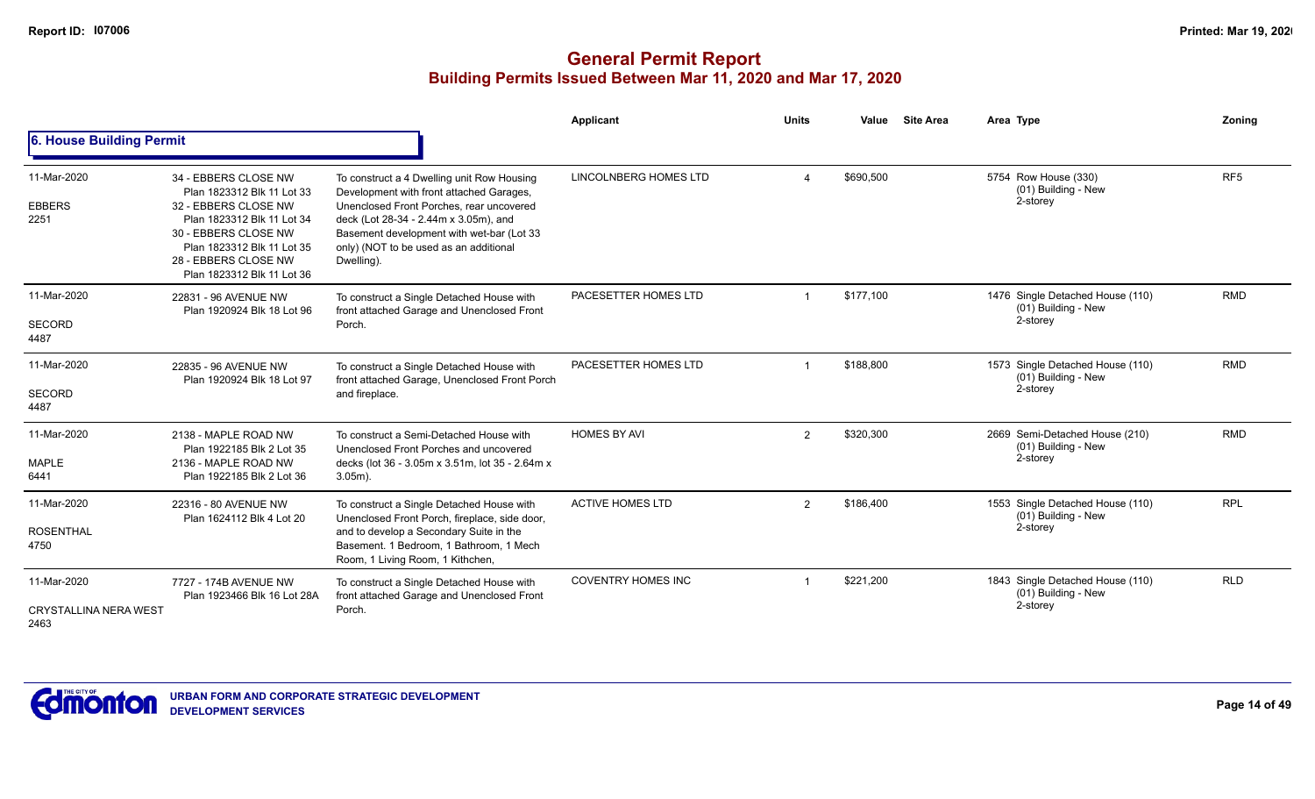|                                                     |                                                                                                                                                                                                                      |                                                                                                                                                                                                                                                                                  | Applicant                 | <b>Units</b>   | <b>Site Area</b><br>Value | Area Type                                                           | Zoning          |
|-----------------------------------------------------|----------------------------------------------------------------------------------------------------------------------------------------------------------------------------------------------------------------------|----------------------------------------------------------------------------------------------------------------------------------------------------------------------------------------------------------------------------------------------------------------------------------|---------------------------|----------------|---------------------------|---------------------------------------------------------------------|-----------------|
| 6. House Building Permit                            |                                                                                                                                                                                                                      |                                                                                                                                                                                                                                                                                  |                           |                |                           |                                                                     |                 |
| 11-Mar-2020<br><b>EBBERS</b><br>2251                | 34 - EBBERS CLOSE NW<br>Plan 1823312 Blk 11 Lot 33<br>32 - EBBERS CLOSE NW<br>Plan 1823312 Blk 11 Lot 34<br>30 - EBBERS CLOSE NW<br>Plan 1823312 Blk 11 Lot 35<br>28 - EBBERS CLOSE NW<br>Plan 1823312 Blk 11 Lot 36 | To construct a 4 Dwelling unit Row Housing<br>Development with front attached Garages,<br>Unenclosed Front Porches, rear uncovered<br>deck (Lot 28-34 - 2.44m x 3.05m), and<br>Basement development with wet-bar (Lot 33<br>only) (NOT to be used as an additional<br>Dwelling). | LINCOLNBERG HOMES LTD     |                | \$690.500                 | 5754 Row House (330)<br>(01) Building - New<br>2-storey             | RF <sub>5</sub> |
| 11-Mar-2020<br><b>SECORD</b><br>4487                | 22831 - 96 AVENUE NW<br>Plan 1920924 Blk 18 Lot 96                                                                                                                                                                   | To construct a Single Detached House with<br>front attached Garage and Unenclosed Front<br>Porch.                                                                                                                                                                                | PACESETTER HOMES LTD      |                | \$177,100                 | 1476 Single Detached House (110)<br>(01) Building - New<br>2-storey | <b>RMD</b>      |
| 11-Mar-2020<br><b>SECORD</b><br>4487                | 22835 - 96 AVENUE NW<br>Plan 1920924 Blk 18 Lot 97                                                                                                                                                                   | To construct a Single Detached House with<br>front attached Garage, Unenclosed Front Porch<br>and fireplace.                                                                                                                                                                     | PACESETTER HOMES LTD      |                | \$188,800                 | 1573 Single Detached House (110)<br>(01) Building - New<br>2-storey | <b>RMD</b>      |
| 11-Mar-2020<br><b>MAPLE</b><br>6441                 | 2138 - MAPLE ROAD NW<br>Plan 1922185 Blk 2 Lot 35<br>2136 - MAPLE ROAD NW<br>Plan 1922185 Blk 2 Lot 36                                                                                                               | To construct a Semi-Detached House with<br>Unenclosed Front Porches and uncovered<br>decks (lot 36 - 3.05m x 3.51m, lot 35 - 2.64m x<br>$3.05m$ ).                                                                                                                               | <b>HOMES BY AVI</b>       | $\overline{2}$ | \$320,300                 | 2669 Semi-Detached House (210)<br>(01) Building - New<br>2-storey   | <b>RMD</b>      |
| 11-Mar-2020<br><b>ROSENTHAL</b><br>4750             | 22316 - 80 AVENUE NW<br>Plan 1624112 Blk 4 Lot 20                                                                                                                                                                    | To construct a Single Detached House with<br>Unenclosed Front Porch, fireplace, side door,<br>and to develop a Secondary Suite in the<br>Basement. 1 Bedroom, 1 Bathroom, 1 Mech<br>Room, 1 Living Room, 1 Kithchen,                                                             | <b>ACTIVE HOMES LTD</b>   | $\overline{2}$ | \$186,400                 | 1553 Single Detached House (110)<br>(01) Building - New<br>2-storey | <b>RPL</b>      |
| 11-Mar-2020<br><b>CRYSTALLINA NERA WEST</b><br>2463 | 7727 - 174B AVENUE NW<br>Plan 1923466 Blk 16 Lot 28A                                                                                                                                                                 | To construct a Single Detached House with<br>front attached Garage and Unenclosed Front<br>Porch.                                                                                                                                                                                | <b>COVENTRY HOMES INC</b> |                | \$221,200                 | 1843 Single Detached House (110)<br>(01) Building - New<br>2-storey | <b>RLD</b>      |

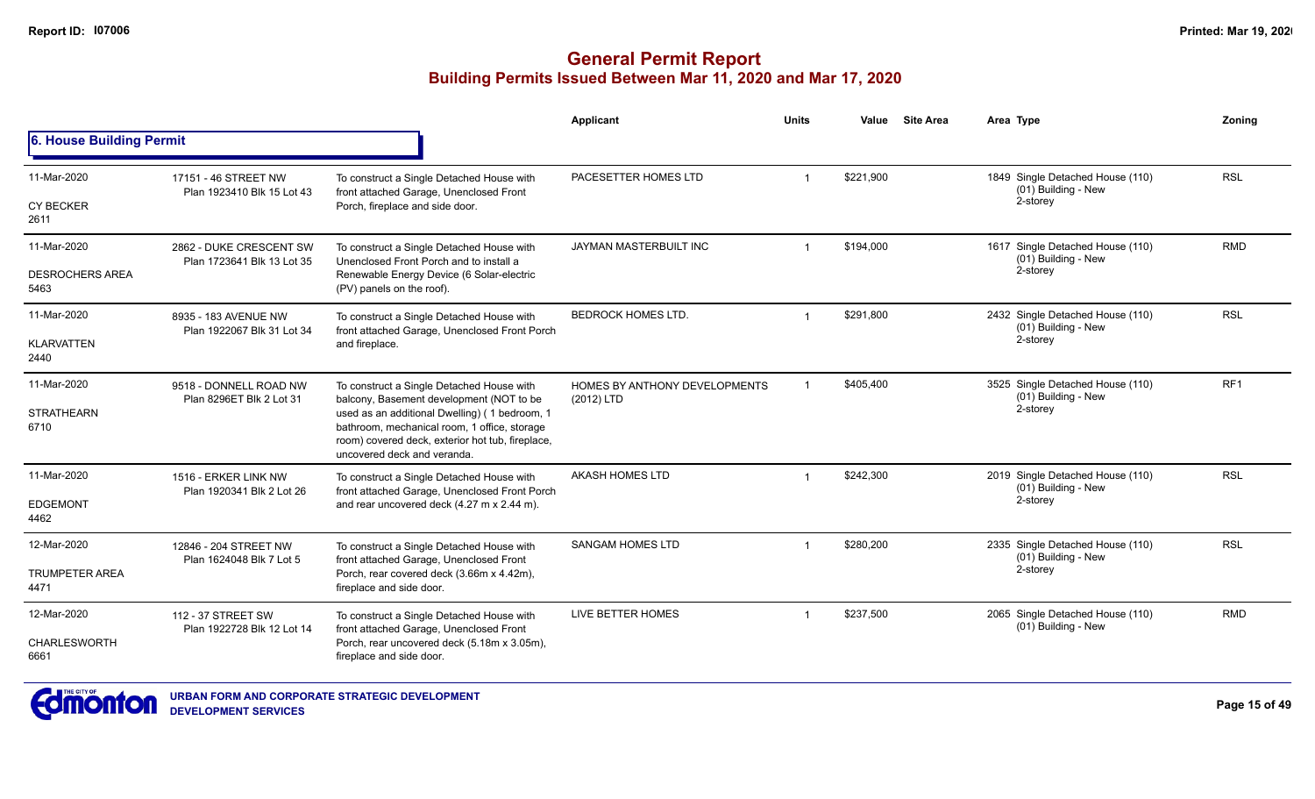|                                |                                                       |                                                                                                                                                                                  | Applicant                                   | <b>Units</b>   | Value     | <b>Site Area</b> | Area Type                                               | Zoning          |
|--------------------------------|-------------------------------------------------------|----------------------------------------------------------------------------------------------------------------------------------------------------------------------------------|---------------------------------------------|----------------|-----------|------------------|---------------------------------------------------------|-----------------|
| 6. House Building Permit       |                                                       |                                                                                                                                                                                  |                                             |                |           |                  |                                                         |                 |
| 11-Mar-2020                    | 17151 - 46 STREET NW<br>Plan 1923410 Blk 15 Lot 43    | To construct a Single Detached House with<br>front attached Garage, Unenclosed Front                                                                                             | PACESETTER HOMES LTD                        |                | \$221,900 |                  | 1849 Single Detached House (110)<br>(01) Building - New | <b>RSL</b>      |
| <b>CY BECKER</b><br>2611       |                                                       | Porch, fireplace and side door.                                                                                                                                                  |                                             |                |           |                  | 2-storey                                                |                 |
| 11-Mar-2020                    | 2862 - DUKE CRESCENT SW<br>Plan 1723641 Blk 13 Lot 35 | To construct a Single Detached House with<br>Unenclosed Front Porch and to install a                                                                                             | JAYMAN MASTERBUILT INC                      | $\mathbf 1$    | \$194,000 |                  | 1617 Single Detached House (110)<br>(01) Building - New | <b>RMD</b>      |
| <b>DESROCHERS AREA</b><br>5463 |                                                       | Renewable Energy Device (6 Solar-electric<br>(PV) panels on the roof).                                                                                                           |                                             |                |           |                  | 2-storey                                                |                 |
| 11-Mar-2020                    | 8935 - 183 AVENUE NW<br>Plan 1922067 Blk 31 Lot 34    | To construct a Single Detached House with<br>front attached Garage, Unenclosed Front Porch                                                                                       | <b>BEDROCK HOMES LTD.</b>                   | $\overline{1}$ | \$291.800 |                  | 2432 Single Detached House (110)<br>(01) Building - New | <b>RSL</b>      |
| <b>KLARVATTEN</b><br>2440      |                                                       | and fireplace.                                                                                                                                                                   |                                             |                |           | 2-storey         |                                                         |                 |
| 11-Mar-2020                    | 9518 - DONNELL ROAD NW<br>Plan 8296ET Blk 2 Lot 31    | To construct a Single Detached House with<br>balcony, Basement development (NOT to be                                                                                            | HOMES BY ANTHONY DEVELOPMENTS<br>(2012) LTD |                | \$405,400 |                  | 3525 Single Detached House (110)<br>(01) Building - New | RF <sub>1</sub> |
| <b>STRATHEARN</b><br>6710      |                                                       | used as an additional Dwelling) (1 bedroom, 1<br>bathroom, mechanical room, 1 office, storage<br>room) covered deck, exterior hot tub, fireplace,<br>uncovered deck and veranda. |                                             |                |           |                  | 2-storey                                                |                 |
| 11-Mar-2020                    | 1516 - ERKER LINK NW<br>Plan 1920341 Blk 2 Lot 26     | To construct a Single Detached House with<br>front attached Garage, Unenclosed Front Porch                                                                                       | AKASH HOMES LTD                             | $\mathbf 1$    | \$242,300 |                  | 2019 Single Detached House (110)<br>(01) Building - New | <b>RSL</b>      |
| <b>EDGEMONT</b><br>4462        |                                                       | and rear uncovered deck (4.27 m x 2.44 m).                                                                                                                                       |                                             |                |           |                  | 2-storey                                                |                 |
| 12-Mar-2020                    | 12846 - 204 STREET NW                                 | To construct a Single Detached House with<br>front attached Garage, Unenclosed Front                                                                                             | <b>SANGAM HOMES LTD</b>                     |                | \$280.200 |                  | 2335 Single Detached House (110)<br>(01) Building - New | <b>RSL</b>      |
| <b>TRUMPETER AREA</b><br>4471  | Plan 1624048 Blk 7 Lot 5                              | Porch, rear covered deck (3.66m x 4.42m),<br>fireplace and side door.                                                                                                            |                                             |                |           |                  | 2-storey                                                |                 |
| 12-Mar-2020                    | 112 - 37 STREET SW                                    | LIVE BETTER HOMES<br>To construct a Single Detached House with<br>front attached Garage, Unenclosed Front<br>Plan 1922728 Blk 12 Lot 14                                          |                                             |                | \$237,500 |                  | 2065 Single Detached House (110)<br>(01) Building - New | <b>RMD</b>      |
| CHARLESWORTH<br>6661           |                                                       | Porch, rear uncovered deck (5.18m x 3.05m),<br>fireplace and side door.                                                                                                          |                                             |                |           |                  |                                                         |                 |

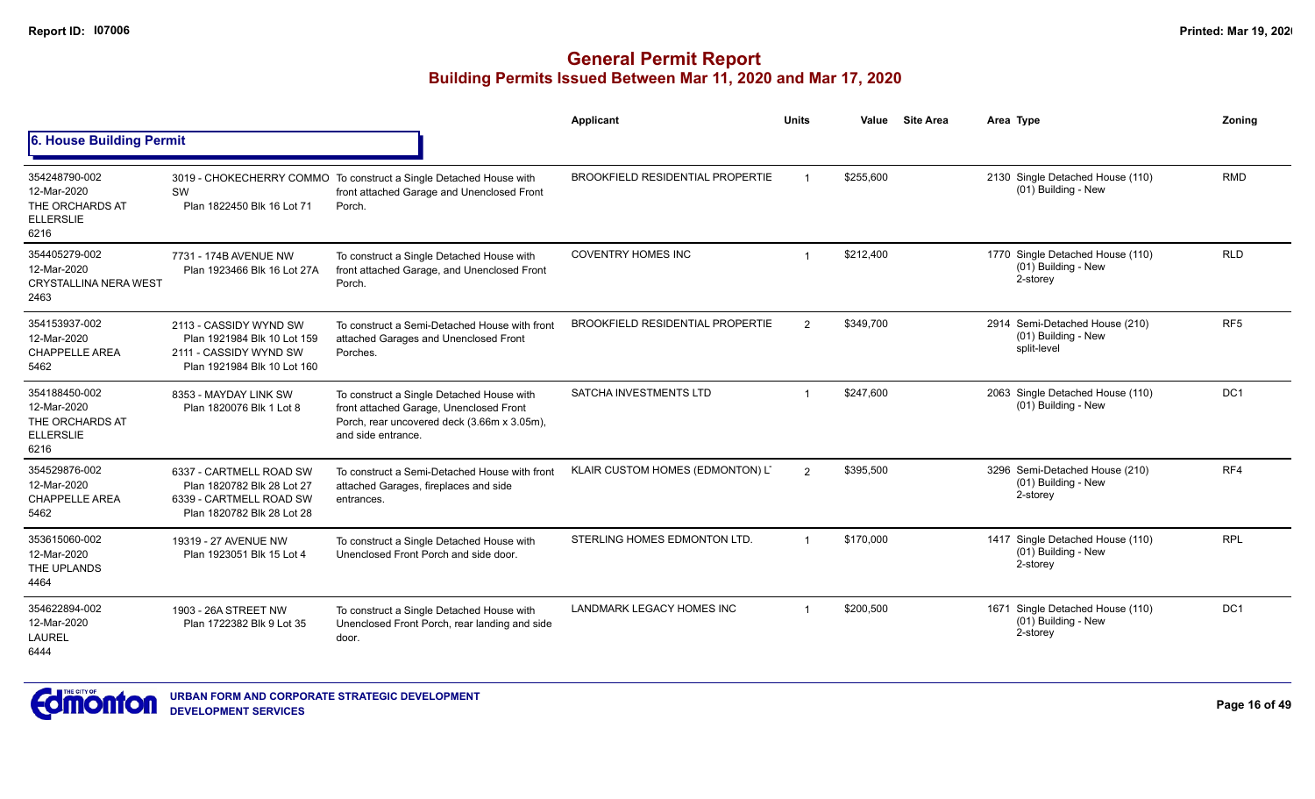|                                                                             |                                                                                                                |                                                                                                                                                           | Applicant                               | <b>Units</b>   | Value     | <b>Site Area</b> | Area Type                                                              | Zonina          |
|-----------------------------------------------------------------------------|----------------------------------------------------------------------------------------------------------------|-----------------------------------------------------------------------------------------------------------------------------------------------------------|-----------------------------------------|----------------|-----------|------------------|------------------------------------------------------------------------|-----------------|
| 6. House Building Permit                                                    |                                                                                                                |                                                                                                                                                           |                                         |                |           |                  |                                                                        |                 |
| 354248790-002<br>12-Mar-2020<br>THE ORCHARDS AT<br><b>ELLERSLIE</b><br>6216 | SW<br>Plan 1822450 Blk 16 Lot 71                                                                               | 3019 - CHOKECHERRY COMMO To construct a Single Detached House with<br>front attached Garage and Unenclosed Front<br>Porch.                                | <b>BROOKFIELD RESIDENTIAL PROPERTIE</b> |                | \$255,600 |                  | 2130 Single Detached House (110)<br>(01) Building - New                | <b>RMD</b>      |
| 354405279-002<br>12-Mar-2020<br><b>CRYSTALLINA NERA WEST</b><br>2463        | 7731 - 174B AVENUE NW<br>Plan 1923466 Blk 16 Lot 27A                                                           | To construct a Single Detached House with<br>front attached Garage, and Unenclosed Front<br>Porch.                                                        | <b>COVENTRY HOMES INC</b>               |                | \$212,400 |                  | 1770 Single Detached House (110)<br>(01) Building - New<br>2-storey    | <b>RLD</b>      |
| 354153937-002<br>12-Mar-2020<br><b>CHAPPELLE AREA</b><br>5462               | 2113 - CASSIDY WYND SW<br>Plan 1921984 Blk 10 Lot 159<br>2111 - CASSIDY WYND SW<br>Plan 1921984 Blk 10 Lot 160 | To construct a Semi-Detached House with front<br>attached Garages and Unenclosed Front<br>Porches.                                                        | <b>BROOKFIELD RESIDENTIAL PROPERTIE</b> | $\overline{2}$ | \$349,700 |                  | 2914 Semi-Detached House (210)<br>(01) Building - New<br>split-level   | RF <sub>5</sub> |
| 354188450-002<br>12-Mar-2020<br>THE ORCHARDS AT<br><b>ELLERSLIE</b><br>6216 | 8353 - MAYDAY LINK SW<br>Plan 1820076 Blk 1 Lot 8                                                              | To construct a Single Detached House with<br>front attached Garage, Unenclosed Front<br>Porch, rear uncovered deck (3.66m x 3.05m),<br>and side entrance. | SATCHA INVESTMENTS LTD                  | $\overline{1}$ | \$247.600 |                  | 2063 Single Detached House (110)<br>(01) Building - New                | DC <sub>1</sub> |
| 354529876-002<br>12-Mar-2020<br><b>CHAPPELLE AREA</b><br>5462               | 6337 - CARTMELL ROAD SW<br>Plan 1820782 Blk 28 Lot 27<br>6339 - CARTMELL ROAD SW<br>Plan 1820782 Blk 28 Lot 28 | To construct a Semi-Detached House with front<br>attached Garages, fireplaces and side<br>entrances.                                                      | KLAIR CUSTOM HOMES (EDMONTON) LT        | $\overline{2}$ | \$395,500 |                  | 3296 Semi-Detached House (210)<br>(01) Building - New<br>2-storey      | RF4             |
| 353615060-002<br>12-Mar-2020<br>THE UPLANDS<br>4464                         | 19319 - 27 AVENUE NW<br>Plan 1923051 Blk 15 Lot 4                                                              | To construct a Single Detached House with<br>Unenclosed Front Porch and side door.                                                                        | STERLING HOMES EDMONTON LTD.            | $\overline{1}$ | \$170.000 |                  | 1417 Single Detached House (110)<br>(01) Building - New<br>2-storey    | <b>RPL</b>      |
| 354622894-002<br>12-Mar-2020<br><b>LAUREL</b><br>6444                       | 1903 - 26A STREET NW<br>Plan 1722382 Blk 9 Lot 35                                                              | To construct a Single Detached House with<br>Unenclosed Front Porch, rear landing and side<br>door.                                                       | LANDMARK LEGACY HOMES INC               | $\overline{1}$ | \$200,500 |                  | Single Detached House (110)<br>1671<br>(01) Building - New<br>2-storey | DC <sub>1</sub> |

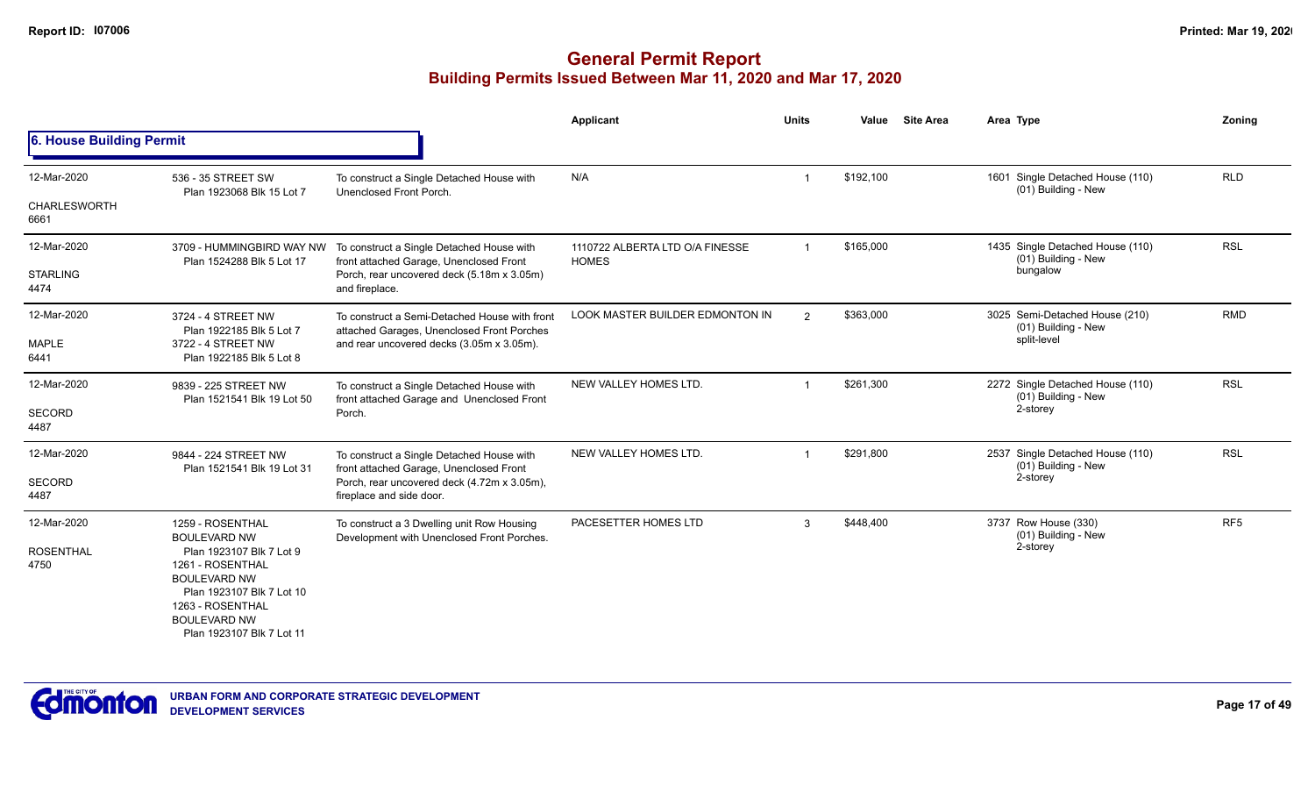|                                            |                                                                                                                                                                                                                     |                                                                                                                                                                 | <b>Applicant</b>                                | <b>Units</b>   | Value     | <b>Site Area</b> | Area Type                                                            | Zonina          |
|--------------------------------------------|---------------------------------------------------------------------------------------------------------------------------------------------------------------------------------------------------------------------|-----------------------------------------------------------------------------------------------------------------------------------------------------------------|-------------------------------------------------|----------------|-----------|------------------|----------------------------------------------------------------------|-----------------|
| 6. House Building Permit                   |                                                                                                                                                                                                                     |                                                                                                                                                                 |                                                 |                |           |                  |                                                                      |                 |
| 12-Mar-2020<br><b>CHARLESWORTH</b><br>6661 | 536 - 35 STREET SW<br>Plan 1923068 Blk 15 Lot 7                                                                                                                                                                     | To construct a Single Detached House with<br>Unenclosed Front Porch.                                                                                            | N/A                                             |                | \$192,100 |                  | 1601 Single Detached House (110)<br>(01) Building - New              | <b>RLD</b>      |
| 12-Mar-2020<br><b>STARLING</b><br>4474     | 3709 - HUMMINGBIRD WAY NW<br>Plan 1524288 Blk 5 Lot 17                                                                                                                                                              | To construct a Single Detached House with<br>front attached Garage, Unenclosed Front<br>Porch, rear uncovered deck (5.18m x 3.05m)<br>and fireplace.            | 1110722 ALBERTA LTD O/A FINESSE<br><b>HOMES</b> | $\overline{1}$ | \$165,000 |                  | 1435 Single Detached House (110)<br>(01) Building - New<br>bungalow  | <b>RSL</b>      |
| 12-Mar-2020<br>MAPLE<br>6441               | 3724 - 4 STREET NW<br>Plan 1922185 Blk 5 Lot 7<br>3722 - 4 STREET NW<br>Plan 1922185 Blk 5 Lot 8                                                                                                                    | To construct a Semi-Detached House with front<br>attached Garages, Unenclosed Front Porches<br>and rear uncovered decks (3.05m x 3.05m).                        | <b>LOOK MASTER BUILDER EDMONTON IN</b>          | $\overline{2}$ | \$363,000 |                  | 3025 Semi-Detached House (210)<br>(01) Building - New<br>split-level | <b>RMD</b>      |
| 12-Mar-2020<br><b>SECORD</b><br>4487       | 9839 - 225 STREET NW<br>Plan 1521541 Blk 19 Lot 50                                                                                                                                                                  | To construct a Single Detached House with<br>front attached Garage and Unenclosed Front<br>Porch.                                                               | NEW VALLEY HOMES LTD.                           |                | \$261,300 |                  | 2272 Single Detached House (110)<br>(01) Building - New<br>2-storey  | <b>RSL</b>      |
| 12-Mar-2020<br><b>SECORD</b><br>4487       | 9844 - 224 STREET NW<br>Plan 1521541 Blk 19 Lot 31                                                                                                                                                                  | To construct a Single Detached House with<br>front attached Garage, Unenclosed Front<br>Porch, rear uncovered deck (4.72m x 3.05m),<br>fireplace and side door. | NEW VALLEY HOMES LTD.                           |                | \$291,800 |                  | 2537 Single Detached House (110)<br>(01) Building - New<br>2-storey  | <b>RSL</b>      |
| 12-Mar-2020<br><b>ROSENTHAL</b><br>4750    | 1259 - ROSENTHAL<br><b>BOULEVARD NW</b><br>Plan 1923107 Blk 7 Lot 9<br>1261 - ROSENTHAL<br><b>BOULEVARD NW</b><br>Plan 1923107 Blk 7 Lot 10<br>1263 - ROSENTHAL<br><b>BOULEVARD NW</b><br>Plan 1923107 Blk 7 Lot 11 | To construct a 3 Dwelling unit Row Housing<br>Development with Unenclosed Front Porches.                                                                        | PACESETTER HOMES LTD                            | 3              | \$448,400 |                  | 3737 Row House (330)<br>(01) Building - New<br>2-storey              | RF <sub>5</sub> |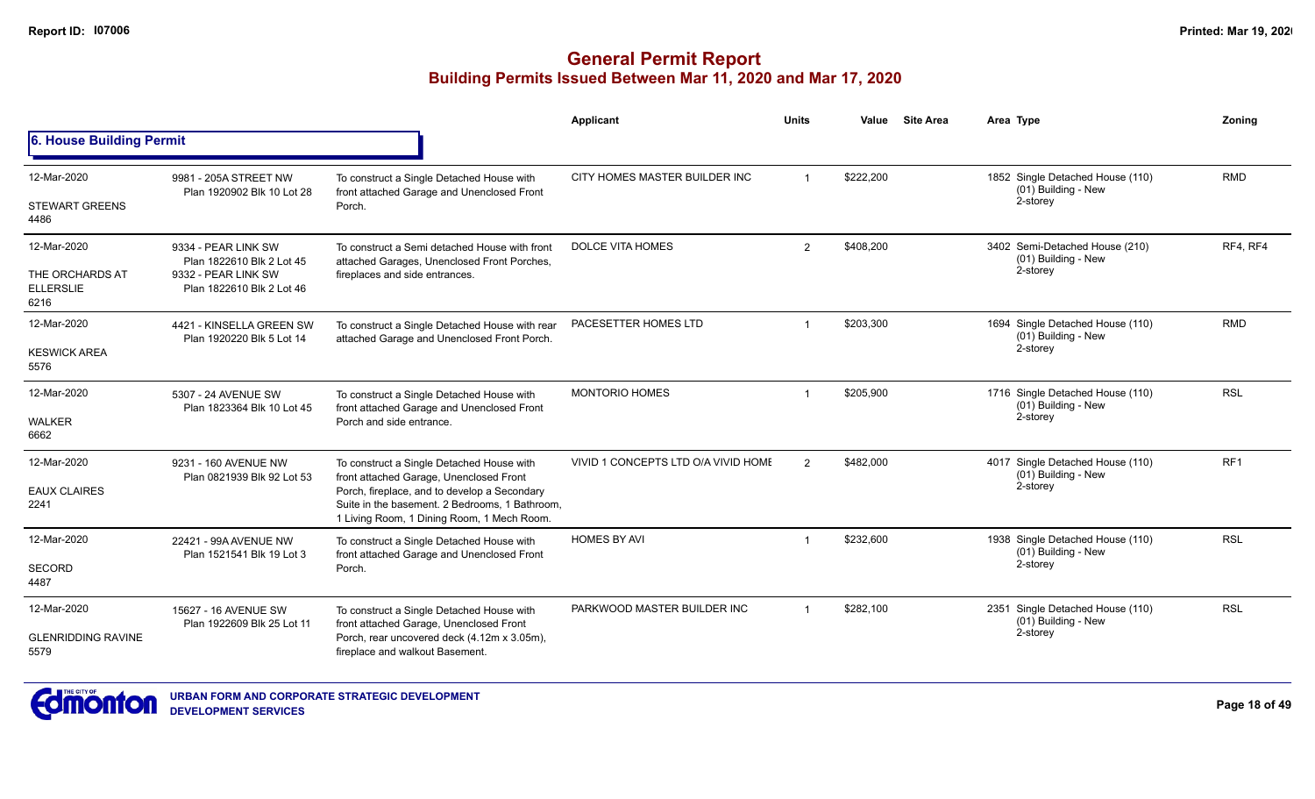|                                                            |                                                                                                      |                                                                                                                                                                                                                                      | Applicant                           | <b>Units</b>   | Value     | <b>Site Area</b> | Area Type                                                             | Zoning          |
|------------------------------------------------------------|------------------------------------------------------------------------------------------------------|--------------------------------------------------------------------------------------------------------------------------------------------------------------------------------------------------------------------------------------|-------------------------------------|----------------|-----------|------------------|-----------------------------------------------------------------------|-----------------|
| 6. House Building Permit                                   |                                                                                                      |                                                                                                                                                                                                                                      |                                     |                |           |                  |                                                                       |                 |
| 12-Mar-2020<br><b>STEWART GREENS</b><br>4486               | 9981 - 205A STREET NW<br>Plan 1920902 Blk 10 Lot 28                                                  | To construct a Single Detached House with<br>front attached Garage and Unenclosed Front<br>Porch.                                                                                                                                    | CITY HOMES MASTER BUILDER INC       | $\overline{1}$ | \$222,200 |                  | 1852 Single Detached House (110)<br>$(01)$ Building - New<br>2-storey | <b>RMD</b>      |
| 12-Mar-2020<br>THE ORCHARDS AT<br><b>ELLERSLIE</b><br>6216 | 9334 - PEAR LINK SW<br>Plan 1822610 Blk 2 Lot 45<br>9332 - PEAR LINK SW<br>Plan 1822610 Blk 2 Lot 46 | To construct a Semi detached House with front<br>attached Garages, Unenclosed Front Porches,<br>fireplaces and side entrances.                                                                                                       | <b>DOLCE VITA HOMES</b>             | 2              | \$408,200 |                  | 3402 Semi-Detached House (210)<br>(01) Building - New<br>2-storey     | RF4, RF4        |
| 12-Mar-2020<br><b>KESWICK AREA</b><br>5576                 | 4421 - KINSELLA GREEN SW<br>Plan 1920220 Blk 5 Lot 14                                                | To construct a Single Detached House with rear<br>attached Garage and Unenclosed Front Porch.                                                                                                                                        | PACESETTER HOMES LTD                |                | \$203.300 |                  | 1694 Single Detached House (110)<br>(01) Building - New<br>2-storey   | <b>RMD</b>      |
| 12-Mar-2020<br><b>WALKER</b><br>6662                       | 5307 - 24 AVENUE SW<br>Plan 1823364 Blk 10 Lot 45                                                    | To construct a Single Detached House with<br>front attached Garage and Unenclosed Front<br>Porch and side entrance.                                                                                                                  | <b>MONTORIO HOMES</b>               |                | \$205,900 |                  | 1716 Single Detached House (110)<br>(01) Building - New<br>2-storey   | <b>RSL</b>      |
| 12-Mar-2020<br><b>EAUX CLAIRES</b><br>2241                 | 9231 - 160 AVENUE NW<br>Plan 0821939 Blk 92 Lot 53                                                   | To construct a Single Detached House with<br>front attached Garage, Unenclosed Front<br>Porch, fireplace, and to develop a Secondary<br>Suite in the basement. 2 Bedrooms, 1 Bathroom,<br>1 Living Room, 1 Dining Room, 1 Mech Room. | VIVID 1 CONCEPTS LTD O/A VIVID HOME | 2              | \$482,000 |                  | 4017 Single Detached House (110)<br>(01) Building - New<br>2-storey   | RF <sub>1</sub> |
| 12-Mar-2020<br>SECORD<br>4487                              | 22421 - 99A AVENUE NW<br>Plan 1521541 Blk 19 Lot 3                                                   | To construct a Single Detached House with<br>front attached Garage and Unenclosed Front<br>Porch.                                                                                                                                    | <b>HOMES BY AVI</b>                 |                | \$232,600 |                  | 1938 Single Detached House (110)<br>(01) Building - New<br>2-storey   | <b>RSL</b>      |
| 12-Mar-2020<br><b>GLENRIDDING RAVINE</b><br>5579           | 15627 - 16 AVENUE SW<br>Plan 1922609 Blk 25 Lot 11                                                   | To construct a Single Detached House with<br>front attached Garage, Unenclosed Front<br>Porch, rear uncovered deck (4.12m x 3.05m),<br>fireplace and walkout Basement.                                                               | PARKWOOD MASTER BUILDER INC         |                | \$282,100 |                  | 2351 Single Detached House (110)<br>(01) Building - New<br>2-storey   | <b>RSL</b>      |

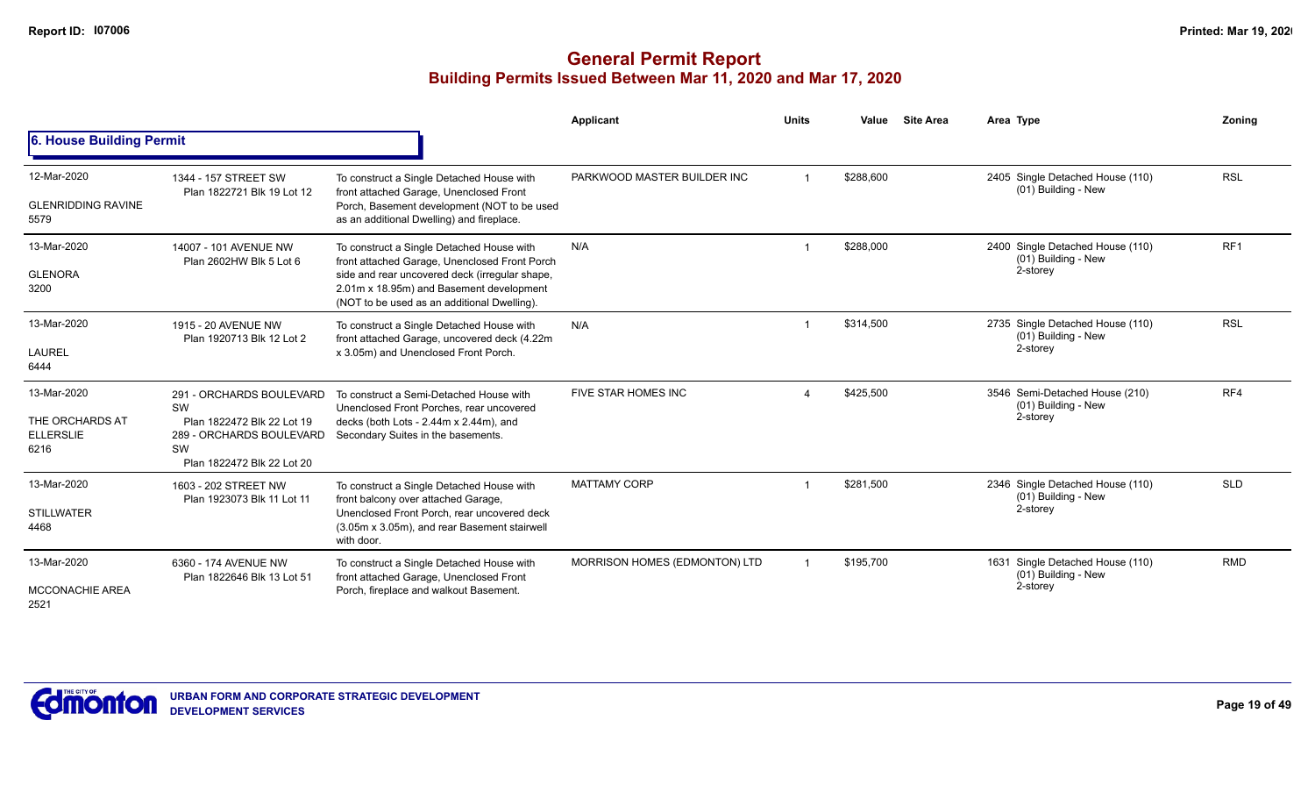|                                                            |                                                                                                                              |                                                                                                                                                                                                                                         | Applicant                     | <b>Units</b> | Value     | <b>Site Area</b> | Area Type                                                           | Zoning          |
|------------------------------------------------------------|------------------------------------------------------------------------------------------------------------------------------|-----------------------------------------------------------------------------------------------------------------------------------------------------------------------------------------------------------------------------------------|-------------------------------|--------------|-----------|------------------|---------------------------------------------------------------------|-----------------|
| 6. House Building Permit                                   |                                                                                                                              |                                                                                                                                                                                                                                         |                               |              |           |                  |                                                                     |                 |
| 12-Mar-2020<br><b>GLENRIDDING RAVINE</b><br>5579           | 1344 - 157 STREET SW<br>Plan 1822721 Blk 19 Lot 12                                                                           | To construct a Single Detached House with<br>front attached Garage, Unenclosed Front<br>Porch, Basement development (NOT to be used<br>as an additional Dwelling) and fireplace.                                                        | PARKWOOD MASTER BUILDER INC   |              | \$288,600 |                  | 2405 Single Detached House (110)<br>(01) Building - New             | <b>RSL</b>      |
| 13-Mar-2020<br><b>GLENORA</b><br>3200                      | 14007 - 101 AVENUE NW<br>Plan 2602HW Blk 5 Lot 6                                                                             | To construct a Single Detached House with<br>front attached Garage, Unenclosed Front Porch<br>side and rear uncovered deck (irregular shape,<br>2.01m x 18.95m) and Basement development<br>(NOT to be used as an additional Dwelling). | N/A                           |              | \$288,000 |                  | 2400 Single Detached House (110)<br>(01) Building - New<br>2-storey | RF <sub>1</sub> |
| 13-Mar-2020<br>LAUREL<br>6444                              | 1915 - 20 AVENUE NW<br>Plan 1920713 Blk 12 Lot 2                                                                             | To construct a Single Detached House with<br>front attached Garage, uncovered deck (4.22m<br>x 3.05m) and Unenclosed Front Porch.                                                                                                       | N/A                           |              | \$314,500 |                  | 2735 Single Detached House (110)<br>(01) Building - New<br>2-storey | <b>RSL</b>      |
| 13-Mar-2020<br>THE ORCHARDS AT<br><b>ELLERSLIE</b><br>6216 | 291 - ORCHARDS BOULEVARD<br>SW<br>Plan 1822472 Blk 22 Lot 19<br>289 - ORCHARDS BOULEVARD<br>SW<br>Plan 1822472 Blk 22 Lot 20 | To construct a Semi-Detached House with<br>Unenclosed Front Porches, rear uncovered<br>decks (both Lots - $2.44m \times 2.44m$ ), and<br>Secondary Suites in the basements.                                                             | <b>FIVE STAR HOMES INC</b>    |              | \$425,500 |                  | 3546 Semi-Detached House (210)<br>(01) Building - New<br>2-storey   | RF4             |
| 13-Mar-2020<br><b>STILLWATER</b><br>4468                   | 1603 - 202 STREET NW<br>Plan 1923073 Blk 11 Lot 11                                                                           | To construct a Single Detached House with<br>front balcony over attached Garage,<br>Unenclosed Front Porch, rear uncovered deck<br>(3.05m x 3.05m), and rear Basement stairwell<br>with door.                                           | <b>MATTAMY CORP</b>           |              | \$281,500 |                  | 2346 Single Detached House (110)<br>(01) Building - New<br>2-storey | <b>SLD</b>      |
| 13-Mar-2020<br><b>MCCONACHIE AREA</b><br>2521              | 6360 - 174 AVENUE NW<br>Plan 1822646 Blk 13 Lot 51                                                                           | To construct a Single Detached House with<br>front attached Garage, Unenclosed Front<br>Porch, fireplace and walkout Basement.                                                                                                          | MORRISON HOMES (EDMONTON) LTD |              | \$195,700 |                  | 1631 Single Detached House (110)<br>(01) Building - New<br>2-storey | <b>RMD</b>      |

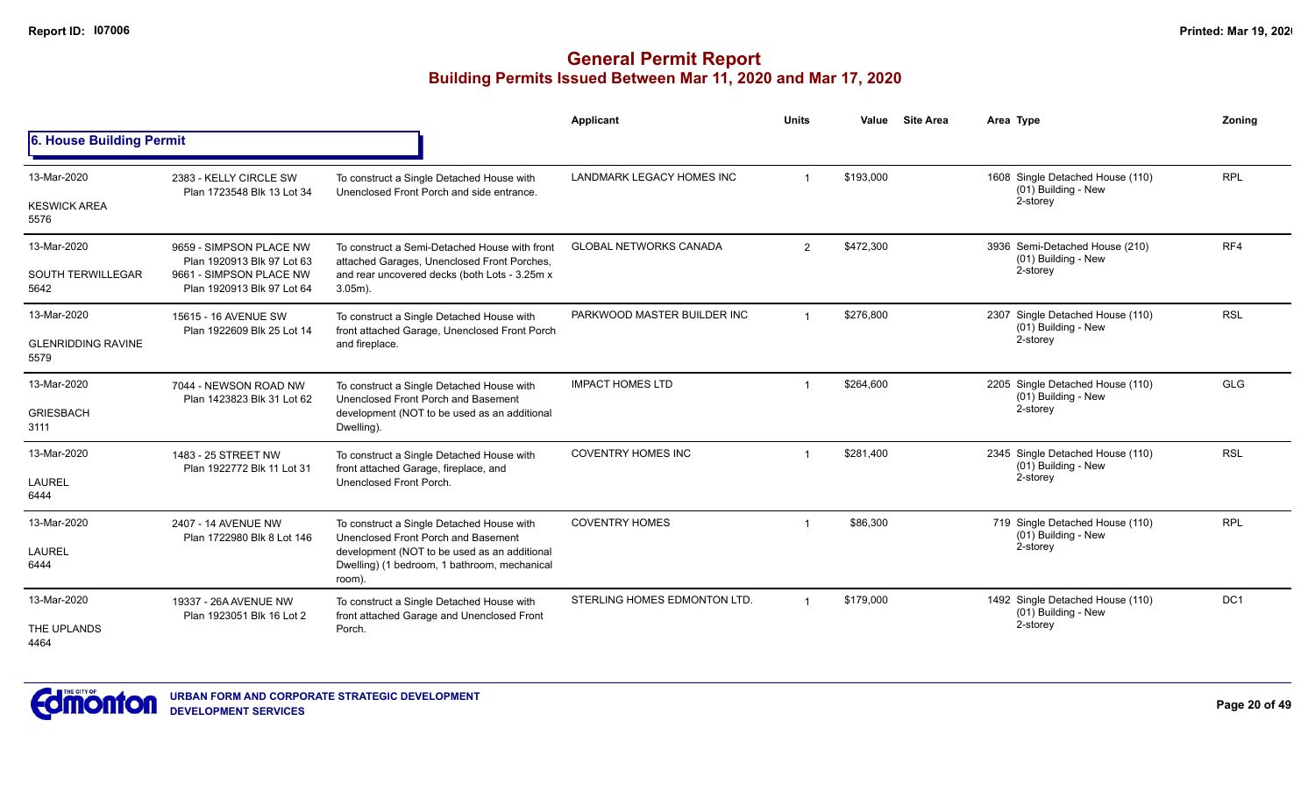|                                                  |                                                                                                                |                                                                                                                                                                                            | <b>Applicant</b>              | <b>Units</b>   | Value     | <b>Site Area</b> | Area Type                                                           | Zoning     |
|--------------------------------------------------|----------------------------------------------------------------------------------------------------------------|--------------------------------------------------------------------------------------------------------------------------------------------------------------------------------------------|-------------------------------|----------------|-----------|------------------|---------------------------------------------------------------------|------------|
| 6. House Building Permit                         |                                                                                                                |                                                                                                                                                                                            |                               |                |           |                  |                                                                     |            |
| 13-Mar-2020<br><b>KESWICK AREA</b><br>5576       | 2383 - KELLY CIRCLE SW<br>Plan 1723548 Blk 13 Lot 34                                                           | To construct a Single Detached House with<br>Unenclosed Front Porch and side entrance.                                                                                                     | LANDMARK LEGACY HOMES INC     | $\overline{1}$ | \$193,000 |                  | 1608 Single Detached House (110)<br>(01) Building - New<br>2-storey | <b>RPL</b> |
| 13-Mar-2020<br><b>SOUTH TERWILLEGAR</b><br>5642  | 9659 - SIMPSON PLACE NW<br>Plan 1920913 Blk 97 Lot 63<br>9661 - SIMPSON PLACE NW<br>Plan 1920913 Blk 97 Lot 64 | To construct a Semi-Detached House with front<br>attached Garages, Unenclosed Front Porches,<br>and rear uncovered decks (both Lots - 3.25m x<br>$3.05m$ ).                                | <b>GLOBAL NETWORKS CANADA</b> | $\overline{2}$ | \$472,300 |                  | 3936 Semi-Detached House (210)<br>(01) Building - New<br>2-storey   | RF4        |
| 13-Mar-2020<br><b>GLENRIDDING RAVINE</b><br>5579 | 15615 - 16 AVENUE SW<br>Plan 1922609 Blk 25 Lot 14                                                             | To construct a Single Detached House with<br>front attached Garage, Unenclosed Front Porch<br>and fireplace.                                                                               | PARKWOOD MASTER BUILDER INC   |                | \$276,800 |                  | 2307 Single Detached House (110)<br>(01) Building - New<br>2-storey | <b>RSL</b> |
| 13-Mar-2020<br><b>GRIESBACH</b><br>3111          | 7044 - NEWSON ROAD NW<br>Plan 1423823 Blk 31 Lot 62                                                            | To construct a Single Detached House with<br>Unenclosed Front Porch and Basement<br>development (NOT to be used as an additional<br>Dwelling).                                             | <b>IMPACT HOMES LTD</b>       |                | \$264.600 |                  | 2205 Single Detached House (110)<br>(01) Building - New<br>2-storey | <b>GLG</b> |
| 13-Mar-2020<br>LAUREL<br>6444                    | 1483 - 25 STREET NW<br>Plan 1922772 Blk 11 Lot 31                                                              | To construct a Single Detached House with<br>front attached Garage, fireplace, and<br>Unenclosed Front Porch                                                                               | <b>COVENTRY HOMES INC</b>     |                | \$281,400 |                  | 2345 Single Detached House (110)<br>(01) Building - New<br>2-storey | <b>RSL</b> |
| 13-Mar-2020<br>LAUREL<br>6444                    | 2407 - 14 AVENUE NW<br>Plan 1722980 Blk 8 Lot 146                                                              | To construct a Single Detached House with<br>Unenclosed Front Porch and Basement<br>development (NOT to be used as an additional<br>Dwelling) (1 bedroom, 1 bathroom, mechanical<br>room). | <b>COVENTRY HOMES</b>         | $\overline{1}$ | \$86,300  |                  | 719 Single Detached House (110)<br>(01) Building - New<br>2-storey  | <b>RPL</b> |
| 13-Mar-2020<br>THE UPLANDS<br>4464               | 19337 - 26A AVENUE NW<br>Plan 1923051 Blk 16 Lot 2                                                             | To construct a Single Detached House with<br>front attached Garage and Unenclosed Front<br>Porch.                                                                                          | STERLING HOMES EDMONTON LTD.  | $\mathbf 1$    | \$179,000 |                  | 1492 Single Detached House (110)<br>(01) Building - New<br>2-storey | DC1        |

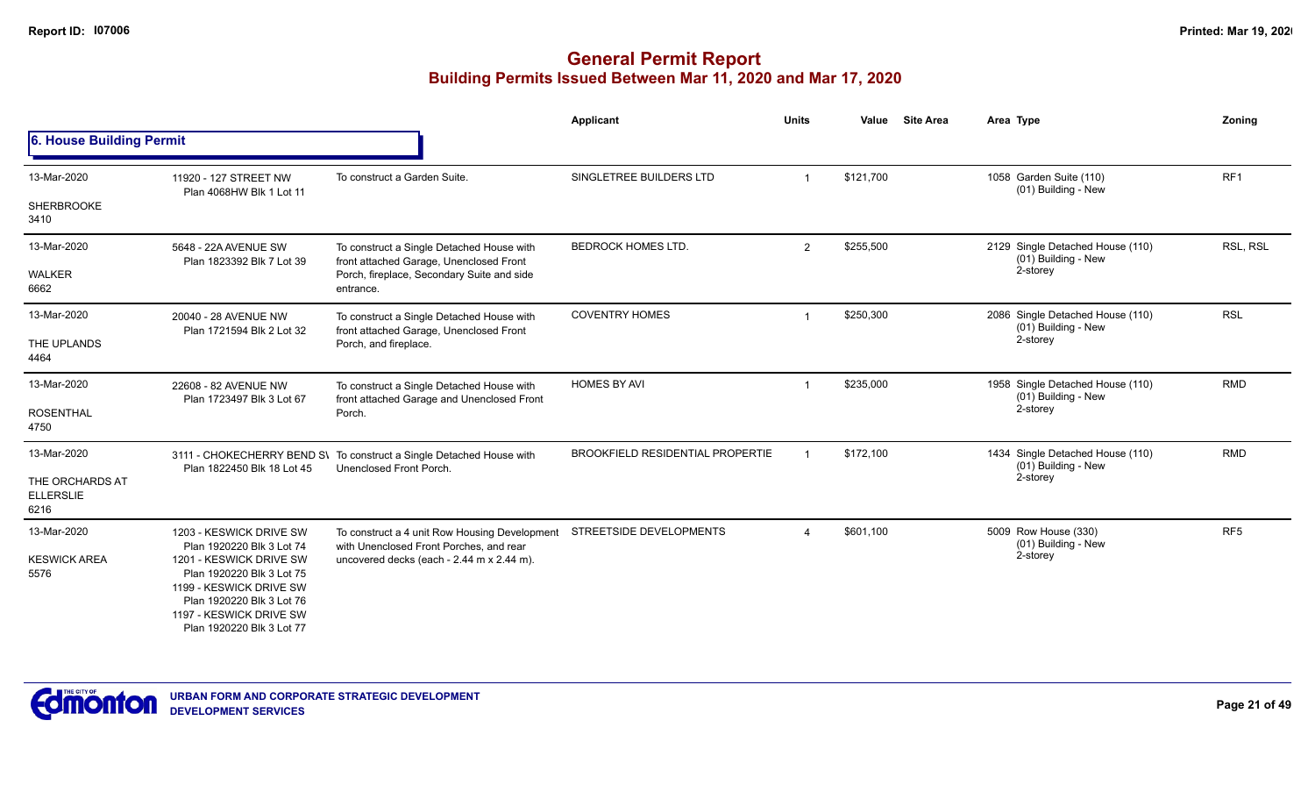|                                             |                                                                                 |                                                                                                 | Applicant                               | <b>Units</b> | Value     | <b>Site Area</b> | Area Type                                               | Zoning          |
|---------------------------------------------|---------------------------------------------------------------------------------|-------------------------------------------------------------------------------------------------|-----------------------------------------|--------------|-----------|------------------|---------------------------------------------------------|-----------------|
| 6. House Building Permit                    |                                                                                 |                                                                                                 |                                         |              |           |                  |                                                         |                 |
| 13-Mar-2020                                 | 11920 - 127 STREET NW<br>Plan 4068HW Blk 1 Lot 11                               | To construct a Garden Suite.                                                                    | SINGLETREE BUILDERS LTD                 |              | \$121,700 |                  | 1058 Garden Suite (110)<br>(01) Building - New          | RF1             |
| <b>SHERBROOKE</b><br>3410                   |                                                                                 |                                                                                                 |                                         |              |           |                  |                                                         |                 |
| 13-Mar-2020                                 | 5648 - 22A AVENUE SW<br>Plan 1823392 Blk 7 Lot 39                               | To construct a Single Detached House with<br>front attached Garage, Unenclosed Front            | <b>BEDROCK HOMES LTD.</b>               | 2            | \$255,500 |                  | 2129 Single Detached House (110)<br>(01) Building - New | RSL, RSL        |
| <b>WALKER</b><br>6662                       |                                                                                 | Porch, fireplace, Secondary Suite and side<br>entrance.                                         |                                         |              |           |                  | 2-storey                                                |                 |
| 13-Mar-2020                                 | 20040 - 28 AVENUE NW<br>Plan 1721594 Blk 2 Lot 32                               | To construct a Single Detached House with<br>front attached Garage, Unenclosed Front            | <b>COVENTRY HOMES</b>                   |              | \$250,300 |                  | 2086 Single Detached House (110)<br>(01) Building - New | <b>RSL</b>      |
| THE UPLANDS<br>4464                         |                                                                                 | Porch, and fireplace.                                                                           |                                         |              |           |                  | 2-storey                                                |                 |
| 13-Mar-2020                                 | 22608 - 82 AVENUE NW<br>Plan 1723497 Blk 3 Lot 67                               | To construct a Single Detached House with<br>front attached Garage and Unenclosed Front         | <b>HOMES BY AVI</b>                     |              | \$235,000 |                  | 1958 Single Detached House (110)<br>(01) Building - New | <b>RMD</b>      |
| <b>ROSENTHAL</b><br>4750                    |                                                                                 | Porch.                                                                                          |                                         |              |           |                  | 2-storey                                                |                 |
| 13-Mar-2020                                 | Plan 1822450 Blk 18 Lot 45                                                      | 3111 - CHOKECHERRY BEND S\ To construct a Single Detached House with<br>Unenclosed Front Porch. | <b>BROOKFIELD RESIDENTIAL PROPERTIE</b> |              | \$172,100 |                  | 1434 Single Detached House (110)<br>(01) Building - New | <b>RMD</b>      |
| THE ORCHARDS AT<br><b>ELLERSLIE</b><br>6216 |                                                                                 |                                                                                                 |                                         |              |           |                  | 2-storey                                                |                 |
| 13-Mar-2020                                 | 1203 - KESWICK DRIVE SW<br>Plan 1920220 Blk 3 Lot 74                            | To construct a 4 unit Row Housing Development<br>with Unenclosed Front Porches, and rear        | STREETSIDE DEVELOPMENTS                 | $\Delta$     | \$601,100 |                  | 5009 Row House (330)<br>(01) Building - New             | RF <sub>5</sub> |
| <b>KESWICK AREA</b><br>5576                 | 1201 - KESWICK DRIVE SW<br>Plan 1920220 Blk 3 Lot 75<br>1199 - KESWICK DRIVE SW | uncovered decks (each - 2.44 m x 2.44 m).                                                       |                                         |              |           | 2-storey         |                                                         |                 |
|                                             | Plan 1920220 Blk 3 Lot 76                                                       |                                                                                                 |                                         |              |           |                  |                                                         |                 |
|                                             | 1197 - KESWICK DRIVE SW<br>Plan 1920220 Blk 3 Lot 77                            |                                                                                                 |                                         |              |           |                  |                                                         |                 |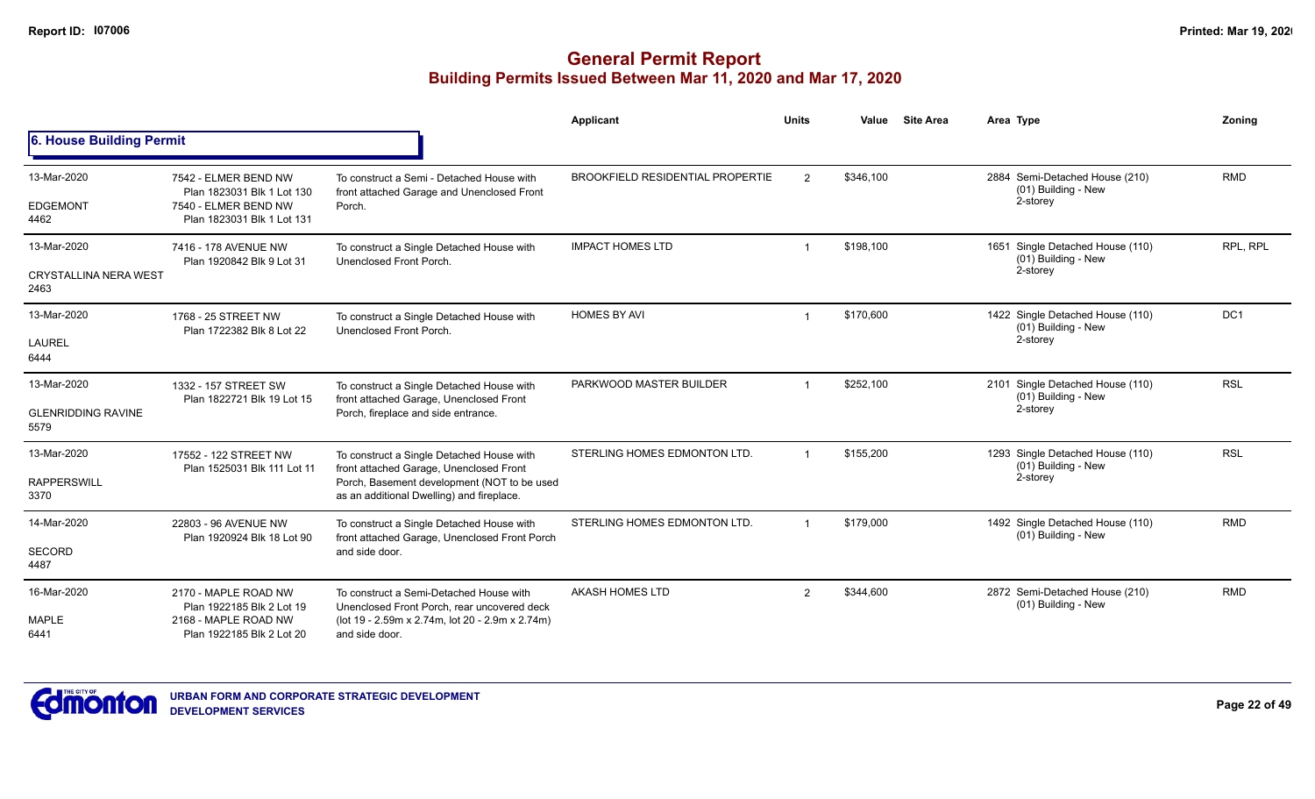|                                                     |                                                                                                          |                                                                                                                                                                                  | Applicant                               | <b>Units</b>   | Value     | <b>Site Area</b> | Area Type                                                           | Zoning     |
|-----------------------------------------------------|----------------------------------------------------------------------------------------------------------|----------------------------------------------------------------------------------------------------------------------------------------------------------------------------------|-----------------------------------------|----------------|-----------|------------------|---------------------------------------------------------------------|------------|
| 6. House Building Permit                            |                                                                                                          |                                                                                                                                                                                  |                                         |                |           |                  |                                                                     |            |
| 13-Mar-2020<br><b>EDGEMONT</b><br>4462              | 7542 - ELMER BEND NW<br>Plan 1823031 Blk 1 Lot 130<br>7540 - ELMER BEND NW<br>Plan 1823031 Blk 1 Lot 131 | To construct a Semi - Detached House with<br>front attached Garage and Unenclosed Front<br>Porch.                                                                                | <b>BROOKFIELD RESIDENTIAL PROPERTIE</b> | $\overline{2}$ | \$346,100 |                  | 2884 Semi-Detached House (210)<br>(01) Building - New<br>2-storey   | <b>RMD</b> |
| 13-Mar-2020<br><b>CRYSTALLINA NERA WEST</b><br>2463 | 7416 - 178 AVENUE NW<br>Plan 1920842 Blk 9 Lot 31                                                        | To construct a Single Detached House with<br>Unenclosed Front Porch.                                                                                                             | <b>IMPACT HOMES LTD</b>                 |                | \$198,100 |                  | 1651 Single Detached House (110)<br>(01) Building - New<br>2-storey | RPL. RPL   |
| 13-Mar-2020<br><b>LAUREL</b><br>6444                | 1768 - 25 STREET NW<br>Plan 1722382 Blk 8 Lot 22                                                         | To construct a Single Detached House with<br>Unenclosed Front Porch.                                                                                                             | <b>HOMES BY AVI</b>                     | -1             | \$170,600 |                  | 1422 Single Detached House (110)<br>(01) Building - New<br>2-storey | DC1        |
| 13-Mar-2020<br><b>GLENRIDDING RAVINE</b><br>5579    | 1332 - 157 STREET SW<br>Plan 1822721 Blk 19 Lot 15                                                       | To construct a Single Detached House with<br>front attached Garage, Unenclosed Front<br>Porch, fireplace and side entrance.                                                      | PARKWOOD MASTER BUILDER                 |                | \$252,100 |                  | 2101 Single Detached House (110)<br>(01) Building - New<br>2-storey | <b>RSL</b> |
| 13-Mar-2020<br><b>RAPPERSWILL</b><br>3370           | 17552 - 122 STREET NW<br>Plan 1525031 Blk 111 Lot 11                                                     | To construct a Single Detached House with<br>front attached Garage, Unenclosed Front<br>Porch, Basement development (NOT to be used<br>as an additional Dwelling) and fireplace. | STERLING HOMES EDMONTON LTD.            |                | \$155,200 |                  | 1293 Single Detached House (110)<br>(01) Building - New<br>2-storey | <b>RSL</b> |
| 14-Mar-2020<br>SECORD<br>4487                       | 22803 - 96 AVENUE NW<br>Plan 1920924 Blk 18 Lot 90                                                       | To construct a Single Detached House with<br>front attached Garage, Unenclosed Front Porch<br>and side door.                                                                     | STERLING HOMES EDMONTON LTD.            |                | \$179,000 |                  | 1492 Single Detached House (110)<br>(01) Building - New             | <b>RMD</b> |
| 16-Mar-2020<br><b>MAPLE</b><br>6441                 | 2170 - MAPLE ROAD NW<br>Plan 1922185 Blk 2 Lot 19<br>2168 - MAPLE ROAD NW<br>Plan 1922185 Blk 2 Lot 20   | To construct a Semi-Detached House with<br>Unenclosed Front Porch, rear uncovered deck<br>(lot 19 - 2.59m x 2.74m, lot 20 - 2.9m x 2.74m)<br>and side door.                      | <b>AKASH HOMES LTD</b>                  | $\mathfrak{p}$ | \$344,600 |                  | 2872 Semi-Detached House (210)<br>(01) Building - New               | <b>RMD</b> |

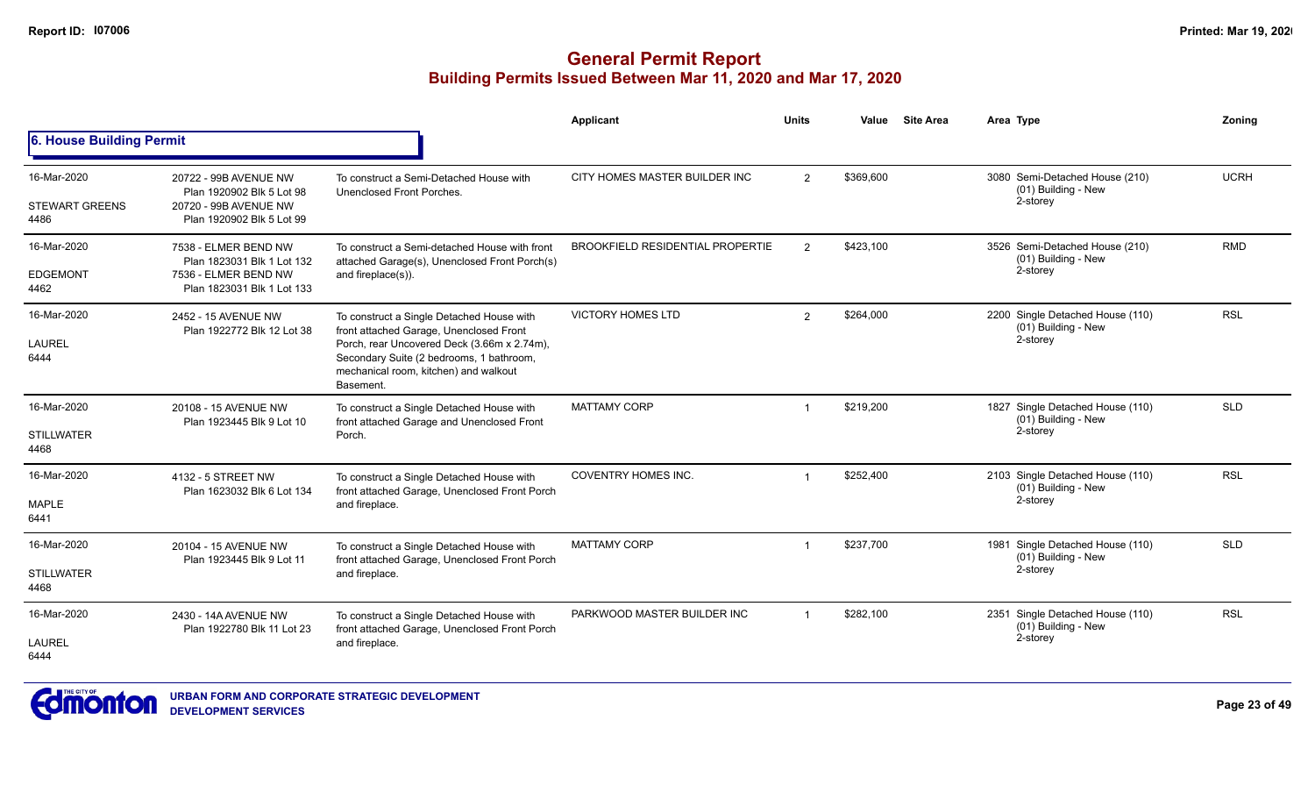|                                              |                                                                                                          |                                                                                                                                                                                                                                       | Applicant                               | <b>Units</b>   | Value     | <b>Site Area</b> | Area Type                                                           | Zoning      |
|----------------------------------------------|----------------------------------------------------------------------------------------------------------|---------------------------------------------------------------------------------------------------------------------------------------------------------------------------------------------------------------------------------------|-----------------------------------------|----------------|-----------|------------------|---------------------------------------------------------------------|-------------|
| <b>6. House Building Permit</b>              |                                                                                                          |                                                                                                                                                                                                                                       |                                         |                |           |                  |                                                                     |             |
| 16-Mar-2020<br><b>STEWART GREENS</b><br>4486 | 20722 - 99B AVENUE NW<br>Plan 1920902 Blk 5 Lot 98<br>20720 - 99B AVENUE NW<br>Plan 1920902 Blk 5 Lot 99 | To construct a Semi-Detached House with<br>Unenclosed Front Porches.                                                                                                                                                                  | CITY HOMES MASTER BUILDER INC           | 2              | \$369,600 |                  | 3080 Semi-Detached House (210)<br>(01) Building - New<br>2-storey   | <b>UCRH</b> |
| 16-Mar-2020<br><b>EDGEMONT</b><br>4462       | 7538 - ELMER BEND NW<br>Plan 1823031 Blk 1 Lot 132<br>7536 - ELMER BEND NW<br>Plan 1823031 Blk 1 Lot 133 | To construct a Semi-detached House with front<br>attached Garage(s), Unenclosed Front Porch(s)<br>and fireplace(s)).                                                                                                                  | <b>BROOKFIELD RESIDENTIAL PROPERTIE</b> | 2              | \$423,100 |                  | 3526 Semi-Detached House (210)<br>(01) Building - New<br>2-storey   | <b>RMD</b>  |
| 16-Mar-2020<br><b>LAUREL</b><br>6444         | 2452 - 15 AVENUE NW<br>Plan 1922772 Blk 12 Lot 38                                                        | To construct a Single Detached House with<br>front attached Garage, Unenclosed Front<br>Porch, rear Uncovered Deck (3.66m x 2.74m),<br>Secondary Suite (2 bedrooms, 1 bathroom,<br>mechanical room, kitchen) and walkout<br>Basement. | <b>VICTORY HOMES LTD</b>                | 2              | \$264,000 |                  | 2200 Single Detached House (110)<br>(01) Building - New<br>2-storey | <b>RSL</b>  |
| 16-Mar-2020<br><b>STILLWATER</b><br>4468     | 20108 - 15 AVENUE NW<br>Plan 1923445 Blk 9 Lot 10                                                        | To construct a Single Detached House with<br>front attached Garage and Unenclosed Front<br>Porch.                                                                                                                                     | <b>MATTAMY CORP</b>                     | $\overline{1}$ | \$219,200 |                  | 1827 Single Detached House (110)<br>(01) Building - New<br>2-storey | <b>SLD</b>  |
| 16-Mar-2020<br><b>MAPLE</b><br>6441          | 4132 - 5 STREET NW<br>Plan 1623032 Blk 6 Lot 134                                                         | To construct a Single Detached House with<br>front attached Garage, Unenclosed Front Porch<br>and fireplace.                                                                                                                          | <b>COVENTRY HOMES INC.</b>              |                | \$252,400 |                  | 2103 Single Detached House (110)<br>(01) Building - New<br>2-storey | <b>RSL</b>  |
| 16-Mar-2020<br><b>STILLWATER</b><br>4468     | 20104 - 15 AVENUE NW<br>Plan 1923445 Blk 9 Lot 11                                                        | To construct a Single Detached House with<br>front attached Garage, Unenclosed Front Porch<br>and fireplace.                                                                                                                          | <b>MATTAMY CORP</b>                     | $\overline{1}$ | \$237,700 |                  | 1981 Single Detached House (110)<br>(01) Building - New<br>2-storey | <b>SLD</b>  |
| 16-Mar-2020<br>LAUREL<br>6444                | 2430 - 14A AVENUE NW<br>Plan 1922780 Blk 11 Lot 23                                                       | To construct a Single Detached House with<br>front attached Garage, Unenclosed Front Porch<br>and fireplace.                                                                                                                          | PARKWOOD MASTER BUILDER INC             |                | \$282,100 |                  | 2351 Single Detached House (110)<br>(01) Building - New<br>2-storey | <b>RSL</b>  |

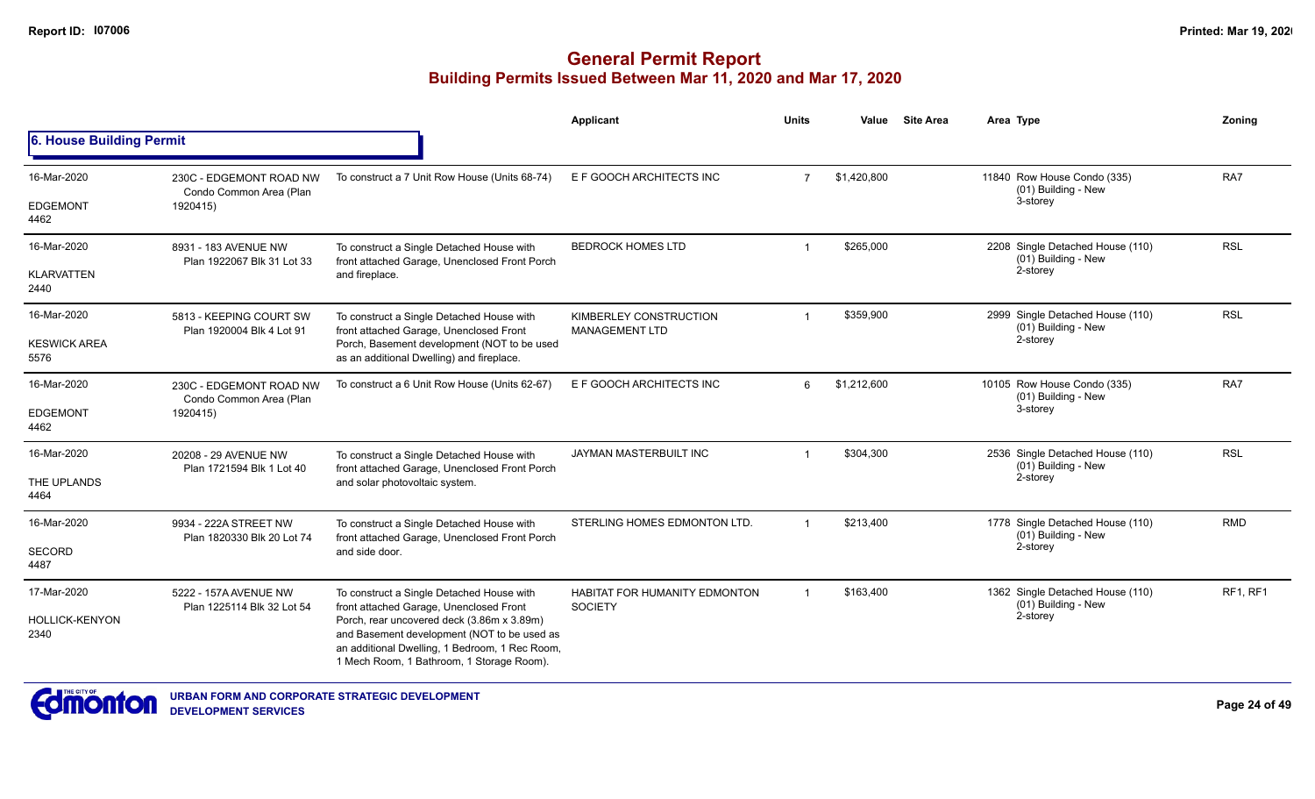|                               |                                                                |                                                                                                                                                                                          | Applicant                                              | <b>Units</b>   | Value       | <b>Site Area</b> | Area Type                                                           | Zoning          |
|-------------------------------|----------------------------------------------------------------|------------------------------------------------------------------------------------------------------------------------------------------------------------------------------------------|--------------------------------------------------------|----------------|-------------|------------------|---------------------------------------------------------------------|-----------------|
| 6. House Building Permit      |                                                                |                                                                                                                                                                                          |                                                        |                |             |                  |                                                                     |                 |
| 16-Mar-2020                   | 230C - EDGEMONT ROAD NW<br>Condo Common Area (Plan             | To construct a 7 Unit Row House (Units 68-74)                                                                                                                                            | E F GOOCH ARCHITECTS INC                               | 7              | \$1,420,800 |                  | 11840 Row House Condo (335)<br>(01) Building - New                  | RA7             |
| <b>EDGEMONT</b><br>4462       | 1920415)                                                       |                                                                                                                                                                                          |                                                        |                |             |                  | 3-storey                                                            |                 |
| 16-Mar-2020                   | 8931 - 183 AVENUE NW<br>Plan 1922067 Blk 31 Lot 33             | To construct a Single Detached House with<br>front attached Garage, Unenclosed Front Porch                                                                                               | <b>BEDROCK HOMES LTD</b>                               |                | \$265,000   |                  | 2208 Single Detached House (110)<br>(01) Building - New             | <b>RSL</b>      |
| <b>KLARVATTEN</b><br>2440     |                                                                | and fireplace.                                                                                                                                                                           |                                                        |                |             |                  | 2-storey                                                            |                 |
| 16-Mar-2020                   | 5813 - KEEPING COURT SW<br>Plan 1920004 Blk 4 Lot 91           | To construct a Single Detached House with                                                                                                                                                | KIMBERLEY CONSTRUCTION                                 | $\mathbf{1}$   | \$359,900   |                  | 2999 Single Detached House (110)<br>(01) Building - New             | <b>RSL</b>      |
| <b>KESWICK AREA</b><br>5576   |                                                                | front attached Garage, Unenclosed Front<br>Porch, Basement development (NOT to be used<br>as an additional Dwelling) and fireplace.                                                      | <b>MANAGEMENT LTD</b>                                  |                |             |                  | 2-storey                                                            |                 |
| 16-Mar-2020                   | 230C - EDGEMONT ROAD NW<br>Condo Common Area (Plan<br>1920415) | To construct a 6 Unit Row House (Units 62-67)                                                                                                                                            | E F GOOCH ARCHITECTS INC                               | 6              | \$1,212,600 |                  | 10105 Row House Condo (335)<br>(01) Building - New                  | RA7             |
| <b>EDGEMONT</b><br>4462       |                                                                |                                                                                                                                                                                          |                                                        |                |             |                  | 3-storey                                                            |                 |
| 16-Mar-2020                   | 20208 - 29 AVENUE NW<br>Plan 1721594 Blk 1 Lot 40              | To construct a Single Detached House with<br>front attached Garage, Unenclosed Front Porch                                                                                               | JAYMAN MASTERBUILT INC                                 |                | \$304,300   |                  | 2536 Single Detached House (110)<br>(01) Building - New<br>2-storey | <b>RSL</b>      |
| THE UPLANDS<br>4464           |                                                                | and solar photovoltaic system.                                                                                                                                                           |                                                        |                |             |                  |                                                                     |                 |
| 16-Mar-2020                   | 9934 - 222A STREET NW                                          | To construct a Single Detached House with                                                                                                                                                | STERLING HOMES EDMONTON LTD.                           | $\mathbf 1$    | \$213,400   |                  | 1778 Single Detached House (110)                                    | <b>RMD</b>      |
| SECORD<br>4487                | Plan 1820330 Blk 20 Lot 74                                     | front attached Garage, Unenclosed Front Porch<br>and side door.                                                                                                                          |                                                        |                |             |                  | (01) Building - New<br>2-storey                                     |                 |
| 17-Mar-2020                   | 5222 - 157A AVENUE NW<br>Plan 1225114 Blk 32 Lot 54            | To construct a Single Detached House with<br>front attached Garage, Unenclosed Front                                                                                                     | <b>HABITAT FOR HUMANITY EDMONTON</b><br><b>SOCIETY</b> | $\overline{1}$ | \$163,400   |                  | 1362 Single Detached House (110)<br>(01) Building - New             | <b>RF1, RF1</b> |
| <b>HOLLICK-KENYON</b><br>2340 |                                                                | Porch, rear uncovered deck (3.86m x 3.89m)<br>and Basement development (NOT to be used as<br>an additional Dwelling, 1 Bedroom, 1 Rec Room,<br>1 Mech Room, 1 Bathroom, 1 Storage Room). |                                                        |                |             |                  | 2-storey                                                            |                 |

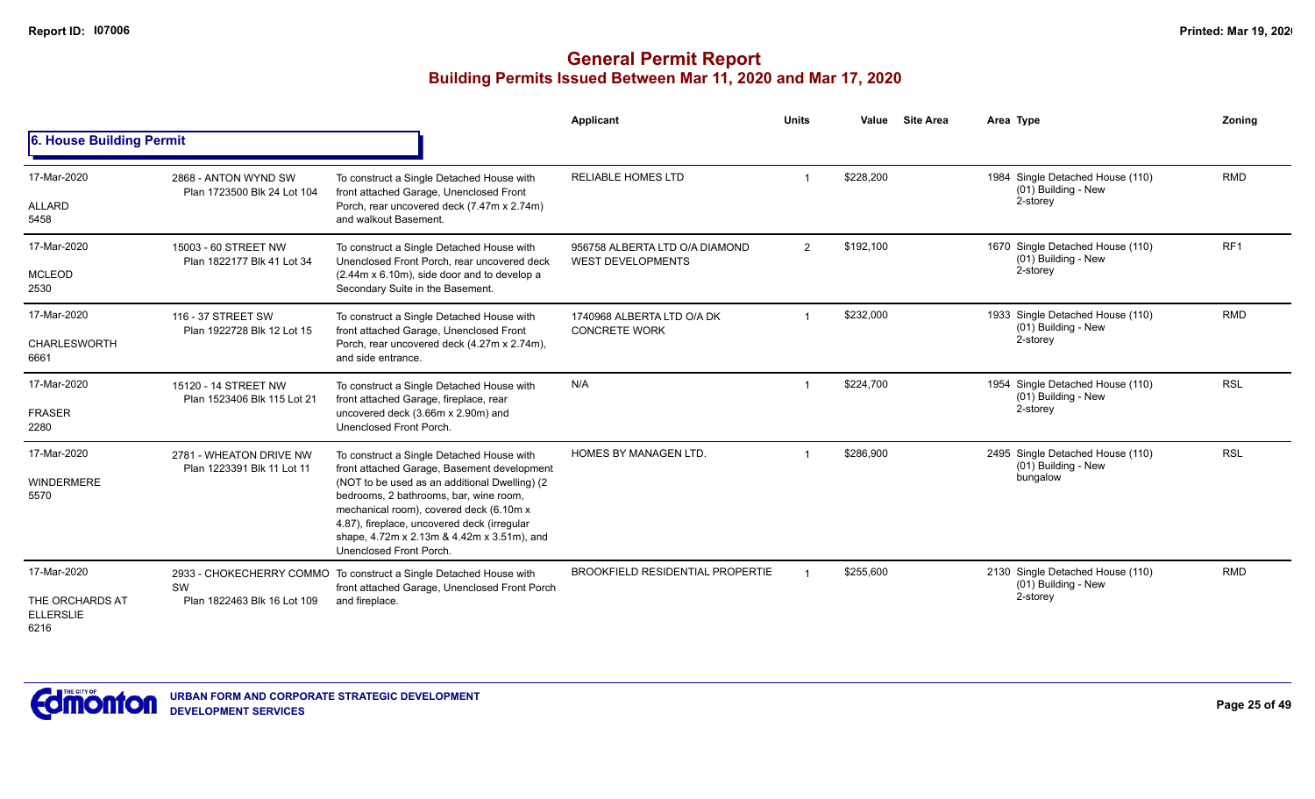|                                                            |                                                       |                                                                                                                                                                                                                                                                                                                                                         | <b>Applicant</b>                                           | <b>Units</b> | Value     | <b>Site Area</b> | Area Type                                                           | Zoning          |
|------------------------------------------------------------|-------------------------------------------------------|---------------------------------------------------------------------------------------------------------------------------------------------------------------------------------------------------------------------------------------------------------------------------------------------------------------------------------------------------------|------------------------------------------------------------|--------------|-----------|------------------|---------------------------------------------------------------------|-----------------|
| 6. House Building Permit                                   |                                                       |                                                                                                                                                                                                                                                                                                                                                         |                                                            |              |           |                  |                                                                     |                 |
| 17-Mar-2020<br>ALLARD<br>5458                              | 2868 - ANTON WYND SW<br>Plan 1723500 Blk 24 Lot 104   | To construct a Single Detached House with<br>front attached Garage, Unenclosed Front<br>Porch, rear uncovered deck (7.47m x 2.74m)<br>and walkout Basement.                                                                                                                                                                                             | <b>RELIABLE HOMES LTD</b>                                  |              | \$228,200 |                  | 1984 Single Detached House (110)<br>(01) Building - New<br>2-storey | <b>RMD</b>      |
| 17-Mar-2020<br><b>MCLEOD</b><br>2530                       | 15003 - 60 STREET NW<br>Plan 1822177 Blk 41 Lot 34    | To construct a Single Detached House with<br>Unenclosed Front Porch, rear uncovered deck<br>(2.44m x 6.10m), side door and to develop a<br>Secondary Suite in the Basement.                                                                                                                                                                             | 956758 ALBERTA LTD O/A DIAMOND<br><b>WEST DEVELOPMENTS</b> | 2            | \$192,100 |                  | 1670 Single Detached House (110)<br>(01) Building - New<br>2-storey | RF <sub>1</sub> |
| 17-Mar-2020<br><b>CHARLESWORTH</b><br>6661                 | 116 - 37 STREET SW<br>Plan 1922728 Blk 12 Lot 15      | To construct a Single Detached House with<br>front attached Garage, Unenclosed Front<br>Porch, rear uncovered deck (4.27m x 2.74m),<br>and side entrance.                                                                                                                                                                                               | 1740968 ALBERTA LTD O/A DK<br><b>CONCRETE WORK</b>         |              | \$232,000 |                  | 1933 Single Detached House (110)<br>(01) Building - New<br>2-storey | <b>RMD</b>      |
| 17-Mar-2020<br><b>FRASER</b><br>2280                       | 15120 - 14 STREET NW<br>Plan 1523406 Blk 115 Lot 21   | To construct a Single Detached House with<br>front attached Garage, fireplace, rear<br>uncovered deck (3.66m x 2.90m) and<br>Unenclosed Front Porch.                                                                                                                                                                                                    | N/A                                                        |              | \$224,700 |                  | 1954 Single Detached House (110)<br>(01) Building - New<br>2-storey | <b>RSL</b>      |
| 17-Mar-2020<br><b>WINDERMERE</b><br>5570                   | 2781 - WHEATON DRIVE NW<br>Plan 1223391 Blk 11 Lot 11 | To construct a Single Detached House with<br>front attached Garage, Basement development<br>(NOT to be used as an additional Dwelling) (2)<br>bedrooms, 2 bathrooms, bar, wine room,<br>mechanical room), covered deck (6.10m x<br>4.87), fireplace, uncovered deck (irregular<br>shape, 4.72m x 2.13m & 4.42m x 3.51m), and<br>Unenclosed Front Porch. | <b>HOMES BY MANAGEN LTD.</b>                               |              | \$286.900 |                  | 2495 Single Detached House (110)<br>(01) Building - New<br>bungalow | <b>RSL</b>      |
| 17-Mar-2020<br>THE ORCHARDS AT<br><b>ELLERSLIE</b><br>6216 | SW<br>Plan 1822463 Blk 16 Lot 109                     | 2933 - CHOKECHERRY COMMO To construct a Single Detached House with<br>front attached Garage, Unenclosed Front Porch<br>and fireplace.                                                                                                                                                                                                                   | <b>BROOKFIELD RESIDENTIAL PROPERTIE</b>                    |              | \$255,600 |                  | 2130 Single Detached House (110)<br>(01) Building - New<br>2-storey | <b>RMD</b>      |

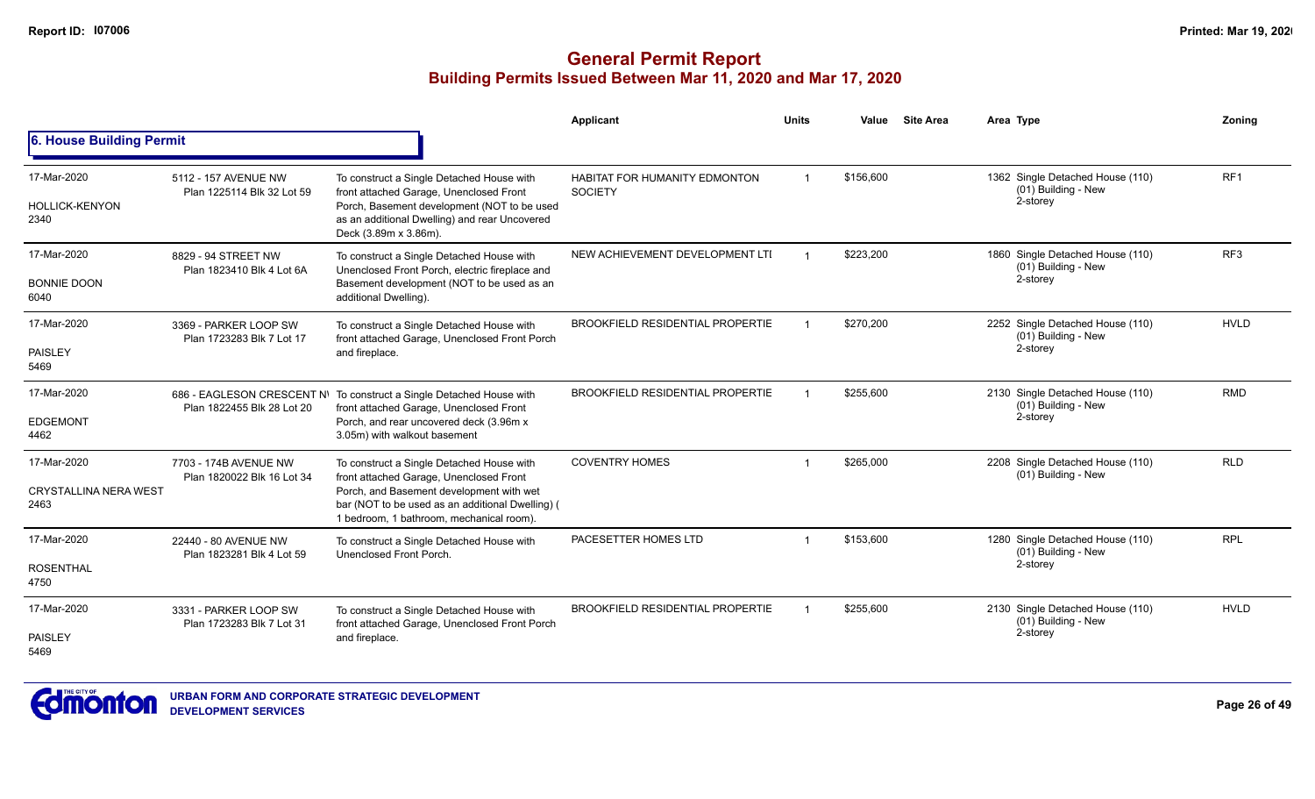|                                                     |                                                     |                                                                                                                                                                                                                                  | <b>Applicant</b>                                       | <b>Units</b>   | Value     | <b>Site Area</b> | Area Type                                                           | Zonina          |
|-----------------------------------------------------|-----------------------------------------------------|----------------------------------------------------------------------------------------------------------------------------------------------------------------------------------------------------------------------------------|--------------------------------------------------------|----------------|-----------|------------------|---------------------------------------------------------------------|-----------------|
| 6. House Building Permit                            |                                                     |                                                                                                                                                                                                                                  |                                                        |                |           |                  |                                                                     |                 |
| 17-Mar-2020<br><b>HOLLICK-KENYON</b><br>2340        | 5112 - 157 AVENUE NW<br>Plan 1225114 Blk 32 Lot 59  | To construct a Single Detached House with<br>front attached Garage, Unenclosed Front<br>Porch, Basement development (NOT to be used<br>as an additional Dwelling) and rear Uncovered<br>Deck (3.89m x 3.86m).                    | <b>HABITAT FOR HUMANITY EDMONTON</b><br><b>SOCIETY</b> | $\overline{1}$ | \$156,600 |                  | 1362 Single Detached House (110)<br>(01) Building - New<br>2-storey | RF <sub>1</sub> |
| 17-Mar-2020<br><b>BONNIE DOON</b><br>6040           | 8829 - 94 STREET NW<br>Plan 1823410 Blk 4 Lot 6A    | To construct a Single Detached House with<br>Unenclosed Front Porch, electric fireplace and<br>Basement development (NOT to be used as an<br>additional Dwelling).                                                               | NEW ACHIEVEMENT DEVELOPMENT LTI                        |                | \$223,200 |                  | 1860 Single Detached House (110)<br>(01) Building - New<br>2-storey | RF <sub>3</sub> |
| 17-Mar-2020<br>PAISLEY<br>5469                      | 3369 - PARKER LOOP SW<br>Plan 1723283 Blk 7 Lot 17  | To construct a Single Detached House with<br>front attached Garage, Unenclosed Front Porch<br>and fireplace.                                                                                                                     | <b>BROOKFIELD RESIDENTIAL PROPERTIE</b>                |                | \$270.200 |                  | 2252 Single Detached House (110)<br>(01) Building - New<br>2-storey | <b>HVLD</b>     |
| 17-Mar-2020<br><b>EDGEMONT</b><br>4462              | Plan 1822455 Blk 28 Lot 20                          | 686 - EAGLESON CRESCENT N\ To construct a Single Detached House with<br>front attached Garage, Unenclosed Front<br>Porch, and rear uncovered deck (3.96m x<br>3.05m) with walkout basement                                       | <b>BROOKFIELD RESIDENTIAL PROPERTIE</b>                |                | \$255,600 |                  | 2130 Single Detached House (110)<br>(01) Building - New<br>2-storey | <b>RMD</b>      |
| 17-Mar-2020<br><b>CRYSTALLINA NERA WEST</b><br>2463 | 7703 - 174B AVENUE NW<br>Plan 1820022 Blk 16 Lot 34 | To construct a Single Detached House with<br>front attached Garage, Unenclosed Front<br>Porch, and Basement development with wet<br>bar (NOT to be used as an additional Dwelling) (<br>1 bedroom, 1 bathroom, mechanical room). | <b>COVENTRY HOMES</b>                                  |                | \$265,000 |                  | 2208 Single Detached House (110)<br>(01) Building - New             | <b>RLD</b>      |
| 17-Mar-2020<br><b>ROSENTHAL</b><br>4750             | 22440 - 80 AVENUE NW<br>Plan 1823281 Blk 4 Lot 59   | To construct a Single Detached House with<br>Unenclosed Front Porch.                                                                                                                                                             | PACESETTER HOMES LTD                                   |                | \$153,600 |                  | 1280 Single Detached House (110)<br>(01) Building - New<br>2-storey | <b>RPL</b>      |
| 17-Mar-2020<br><b>PAISLEY</b><br>5469               | 3331 - PARKER LOOP SW<br>Plan 1723283 Blk 7 Lot 31  | To construct a Single Detached House with<br>front attached Garage, Unenclosed Front Porch<br>and fireplace.                                                                                                                     | <b>BROOKFIELD RESIDENTIAL PROPERTIE</b>                |                | \$255,600 |                  | 2130 Single Detached House (110)<br>(01) Building - New<br>2-storey | <b>HVLD</b>     |

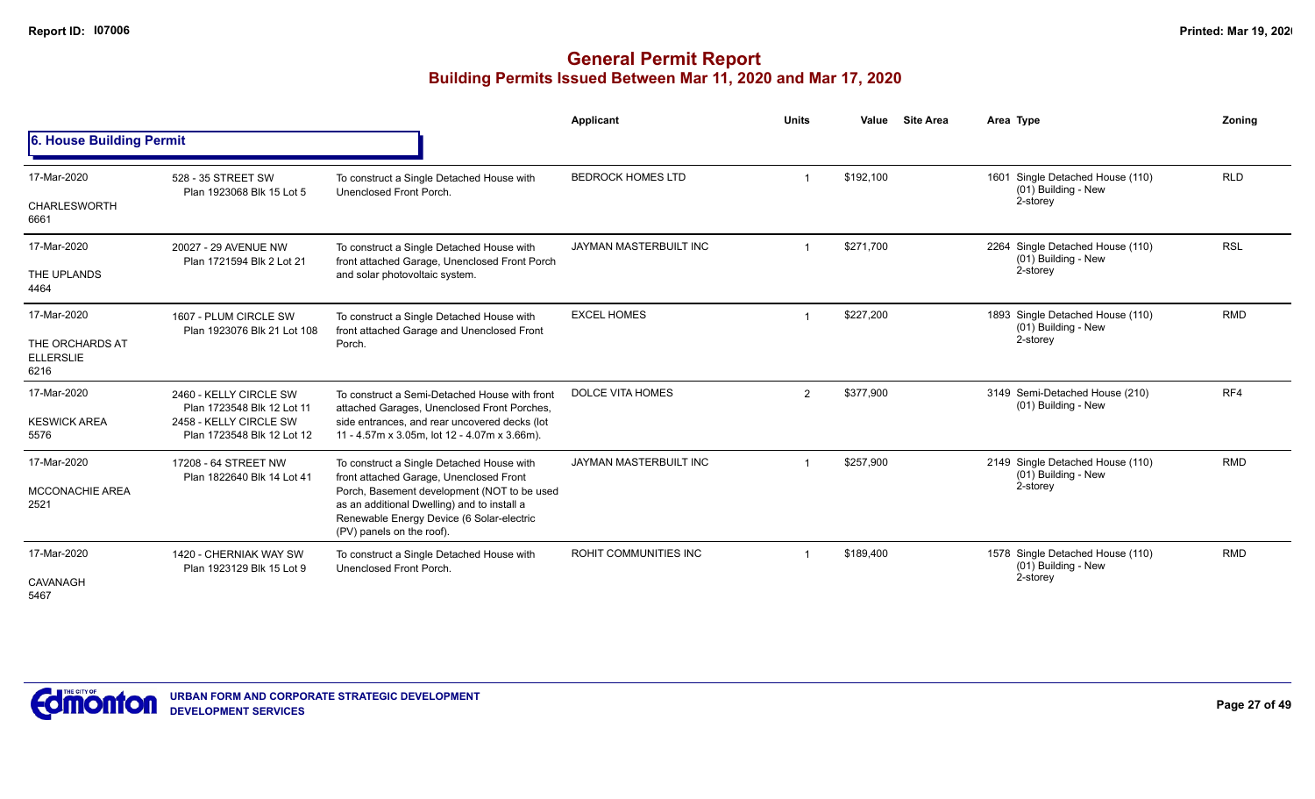|                                             |                                                      |                                                                                                                                                                      | Applicant                     | <b>Units</b>   | Value     | <b>Site Area</b> | Area Type                                                           | Zonina     |
|---------------------------------------------|------------------------------------------------------|----------------------------------------------------------------------------------------------------------------------------------------------------------------------|-------------------------------|----------------|-----------|------------------|---------------------------------------------------------------------|------------|
| 6. House Building Permit                    |                                                      |                                                                                                                                                                      |                               |                |           |                  |                                                                     |            |
| 17-Mar-2020                                 | 528 - 35 STREET SW<br>Plan 1923068 Blk 15 Lot 5      | To construct a Single Detached House with<br>Unenclosed Front Porch.                                                                                                 | <b>BEDROCK HOMES LTD</b>      |                | \$192,100 |                  | 1601 Single Detached House (110)<br>(01) Building - New             | <b>RLD</b> |
| CHARLESWORTH<br>6661                        |                                                      |                                                                                                                                                                      |                               |                |           |                  | 2-storey                                                            |            |
| 17-Mar-2020                                 | 20027 - 29 AVENUE NW<br>Plan 1721594 Blk 2 Lot 21    | To construct a Single Detached House with<br>front attached Garage, Unenclosed Front Porch                                                                           | <b>JAYMAN MASTERBUILT INC</b> |                | \$271.700 |                  | 2264 Single Detached House (110)<br>(01) Building - New             | <b>RSL</b> |
| THE UPLANDS<br>4464                         |                                                      | and solar photovoltaic system.                                                                                                                                       |                               |                |           |                  | 2-storey                                                            |            |
| 17-Mar-2020                                 | 1607 - PLUM CIRCLE SW                                | To construct a Single Detached House with<br>front attached Garage and Unenclosed Front                                                                              | <b>EXCEL HOMES</b>            |                | \$227,200 |                  | 1893 Single Detached House (110)<br>(01) Building - New             | <b>RMD</b> |
| THE ORCHARDS AT<br><b>ELLERSLIE</b><br>6216 | Plan 1923076 Blk 21 Lot 108                          | Porch.                                                                                                                                                               |                               |                |           | 2-storey         |                                                                     |            |
| 17-Mar-2020                                 | 2460 - KELLY CIRCLE SW<br>Plan 1723548 Blk 12 Lot 11 | To construct a Semi-Detached House with front<br>attached Garages, Unenclosed Front Porches,                                                                         | <b>DOLCE VITA HOMES</b>       | $\overline{2}$ | \$377,900 |                  | 3149 Semi-Detached House (210)<br>(01) Building - New               | RF4        |
| <b>KESWICK AREA</b><br>5576                 | 2458 - KELLY CIRCLE SW<br>Plan 1723548 Blk 12 Lot 12 | side entrances, and rear uncovered decks (lot<br>11 - 4.57m x 3.05m, lot 12 - 4.07m x 3.66m).                                                                        |                               |                |           |                  |                                                                     |            |
| 17-Mar-2020                                 | 17208 - 64 STREET NW<br>Plan 1822640 Blk 14 Lot 41   | To construct a Single Detached House with<br>front attached Garage, Unenclosed Front                                                                                 | JAYMAN MASTERBUILT INC        |                | \$257,900 |                  | 2149 Single Detached House (110)<br>(01) Building - New             | <b>RMD</b> |
| <b>MCCONACHIE AREA</b><br>2521              |                                                      | Porch, Basement development (NOT to be used<br>as an additional Dwelling) and to install a<br>Renewable Energy Device (6 Solar-electric<br>(PV) panels on the roof). |                               |                |           |                  | 2-storey                                                            |            |
| 17-Mar-2020<br>CAVANAGH<br>5467             | 1420 - CHERNIAK WAY SW<br>Plan 1923129 Blk 15 Lot 9  | To construct a Single Detached House with<br>Unenclosed Front Porch.                                                                                                 | ROHIT COMMUNITIES INC         |                | \$189,400 |                  | 1578 Single Detached House (110)<br>(01) Building - New<br>2-storey | <b>RMD</b> |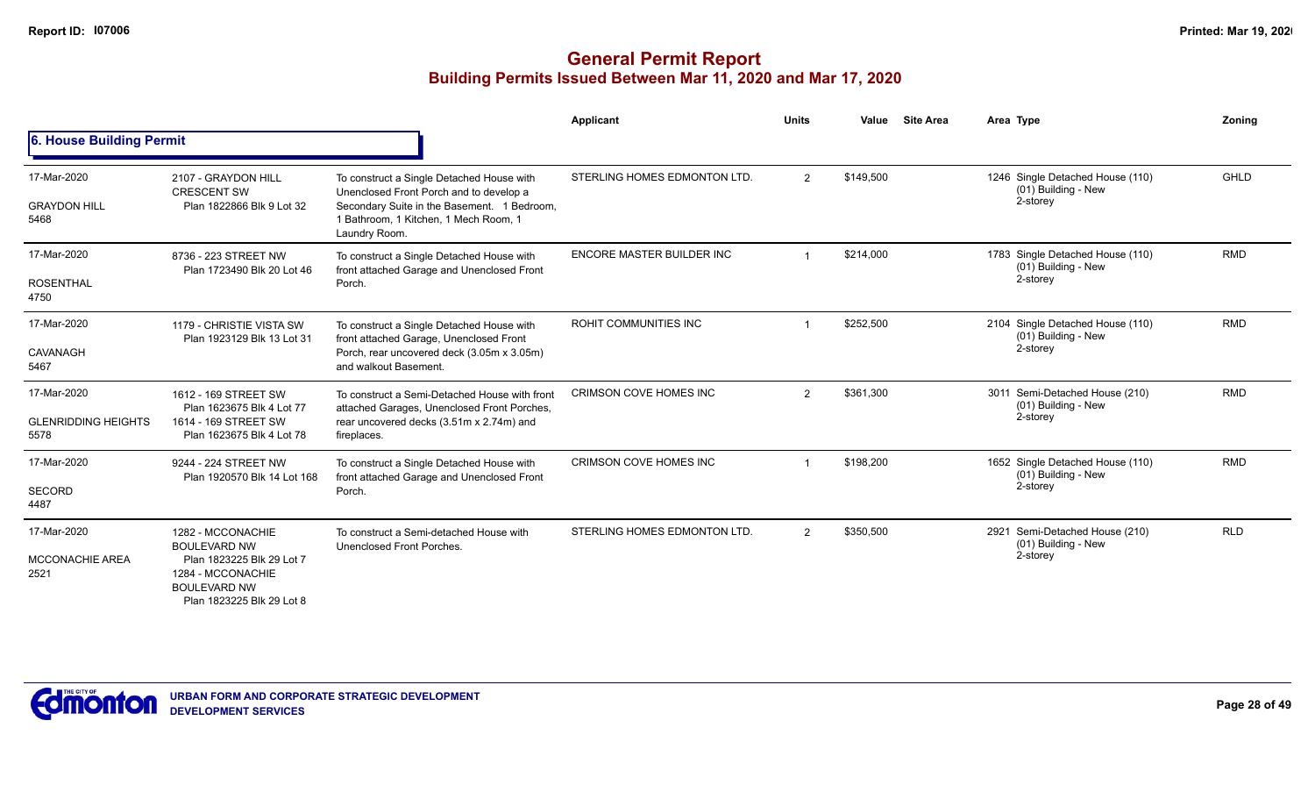|                                                   |                                                                                                                                                |                                                                                                                                                                                               | Applicant                        | <b>Units</b>   | Value     | <b>Site Area</b> | Area Type                                                           | Zonina     |
|---------------------------------------------------|------------------------------------------------------------------------------------------------------------------------------------------------|-----------------------------------------------------------------------------------------------------------------------------------------------------------------------------------------------|----------------------------------|----------------|-----------|------------------|---------------------------------------------------------------------|------------|
| 6. House Building Permit                          |                                                                                                                                                |                                                                                                                                                                                               |                                  |                |           |                  |                                                                     |            |
| 17-Mar-2020<br><b>GRAYDON HILL</b><br>5468        | 2107 - GRAYDON HILL<br><b>CRESCENT SW</b><br>Plan 1822866 Blk 9 Lot 32                                                                         | To construct a Single Detached House with<br>Unenclosed Front Porch and to develop a<br>Secondary Suite in the Basement. 1 Bedroom,<br>1 Bathroom, 1 Kitchen, 1 Mech Room, 1<br>Laundry Room. | STERLING HOMES EDMONTON LTD.     | 2              | \$149.500 |                  | 1246 Single Detached House (110)<br>(01) Building - New<br>2-storey | GHLD       |
| 17-Mar-2020<br><b>ROSENTHAL</b><br>4750           | 8736 - 223 STREET NW<br>Plan 1723490 Blk 20 Lot 46                                                                                             | To construct a Single Detached House with<br>front attached Garage and Unenclosed Front<br>Porch.                                                                                             | <b>ENCORE MASTER BUILDER INC</b> |                | \$214.000 |                  | 1783 Single Detached House (110)<br>(01) Building - New<br>2-storey | <b>RMD</b> |
| 17-Mar-2020<br>CAVANAGH<br>5467                   | 1179 - CHRISTIE VISTA SW<br>Plan 1923129 Blk 13 Lot 31                                                                                         | To construct a Single Detached House with<br>front attached Garage, Unenclosed Front<br>Porch, rear uncovered deck (3.05m x 3.05m)<br>and walkout Basement.                                   | <b>ROHIT COMMUNITIES INC</b>     |                | \$252,500 |                  | 2104 Single Detached House (110)<br>(01) Building - New<br>2-storey | <b>RMD</b> |
| 17-Mar-2020<br><b>GLENRIDDING HEIGHTS</b><br>5578 | 1612 - 169 STREET SW<br>Plan 1623675 Blk 4 Lot 77<br>1614 - 169 STREET SW<br>Plan 1623675 Blk 4 Lot 78                                         | To construct a Semi-Detached House with front<br>attached Garages, Unenclosed Front Porches,<br>rear uncovered decks (3.51m x 2.74m) and<br>fireplaces.                                       | CRIMSON COVE HOMES INC           | 2              | \$361,300 |                  | 3011 Semi-Detached House (210)<br>(01) Building - New<br>2-storey   | <b>RMD</b> |
| 17-Mar-2020<br><b>SECORD</b><br>4487              | 9244 - 224 STREET NW<br>Plan 1920570 Blk 14 Lot 168                                                                                            | To construct a Single Detached House with<br>front attached Garage and Unenclosed Front<br>Porch.                                                                                             | CRIMSON COVE HOMES INC           |                | \$198,200 |                  | 1652 Single Detached House (110)<br>(01) Building - New<br>2-storey | <b>RMD</b> |
| 17-Mar-2020<br><b>MCCONACHIE AREA</b><br>2521     | 1282 - MCCONACHIE<br><b>BOULEVARD NW</b><br>Plan 1823225 Blk 29 Lot 7<br>1284 - MCCONACHIE<br><b>BOULEVARD NW</b><br>Plan 1823225 Blk 29 Lot 8 | To construct a Semi-detached House with<br>Unenclosed Front Porches.                                                                                                                          | STERLING HOMES EDMONTON LTD.     | $\overline{2}$ | \$350,500 |                  | 2921 Semi-Detached House (210)<br>(01) Building - New<br>2-storey   | <b>RLD</b> |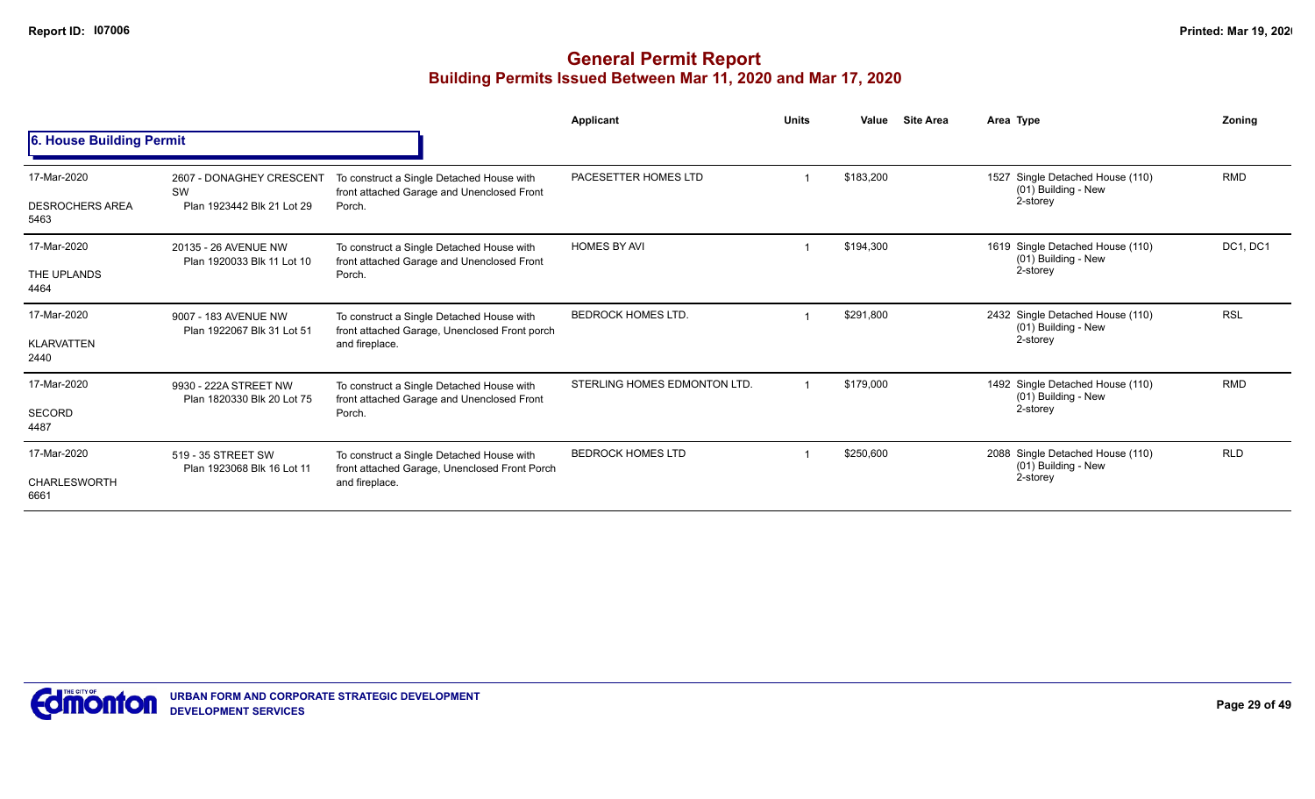|                                               |                                                              |                                                                                                              | Applicant                    | <b>Units</b> | Value<br><b>Site Area</b> | Area Type                                                           | Zoning     |
|-----------------------------------------------|--------------------------------------------------------------|--------------------------------------------------------------------------------------------------------------|------------------------------|--------------|---------------------------|---------------------------------------------------------------------|------------|
| 6. House Building Permit                      |                                                              |                                                                                                              |                              |              |                           |                                                                     |            |
| 17-Mar-2020<br><b>DESROCHERS AREA</b><br>5463 | 2607 - DONAGHEY CRESCENT<br>SW<br>Plan 1923442 Blk 21 Lot 29 | To construct a Single Detached House with<br>front attached Garage and Unenclosed Front<br>Porch.            | PACESETTER HOMES LTD         |              | \$183,200                 | 1527 Single Detached House (110)<br>(01) Building - New<br>2-storey | <b>RMD</b> |
| 17-Mar-2020<br>THE UPLANDS<br>4464            | 20135 - 26 AVENUE NW<br>Plan 1920033 Blk 11 Lot 10           | To construct a Single Detached House with<br>front attached Garage and Unenclosed Front<br>Porch.            | <b>HOMES BY AVI</b>          |              | \$194,300                 | 1619 Single Detached House (110)<br>(01) Building - New<br>2-storey | DC1, DC1   |
| 17-Mar-2020<br><b>KLARVATTEN</b><br>2440      | 9007 - 183 AVENUE NW<br>Plan 1922067 Blk 31 Lot 51           | To construct a Single Detached House with<br>front attached Garage, Unenclosed Front porch<br>and fireplace. | <b>BEDROCK HOMES LTD.</b>    |              | \$291,800                 | 2432 Single Detached House (110)<br>(01) Building - New<br>2-storey | <b>RSL</b> |
| 17-Mar-2020<br><b>SECORD</b><br>4487          | 9930 - 222A STREET NW<br>Plan 1820330 Blk 20 Lot 75          | To construct a Single Detached House with<br>front attached Garage and Unenclosed Front<br>Porch.            | STERLING HOMES EDMONTON LTD. |              | \$179,000                 | 1492 Single Detached House (110)<br>(01) Building - New<br>2-storey | <b>RMD</b> |
| 17-Mar-2020<br>CHARLESWORTH<br>6661           | 519 - 35 STREET SW<br>Plan 1923068 Blk 16 Lot 11             | To construct a Single Detached House with<br>front attached Garage, Unenclosed Front Porch<br>and fireplace. | <b>BEDROCK HOMES LTD</b>     |              | \$250,600                 | 2088 Single Detached House (110)<br>(01) Building - New<br>2-storey | <b>RLD</b> |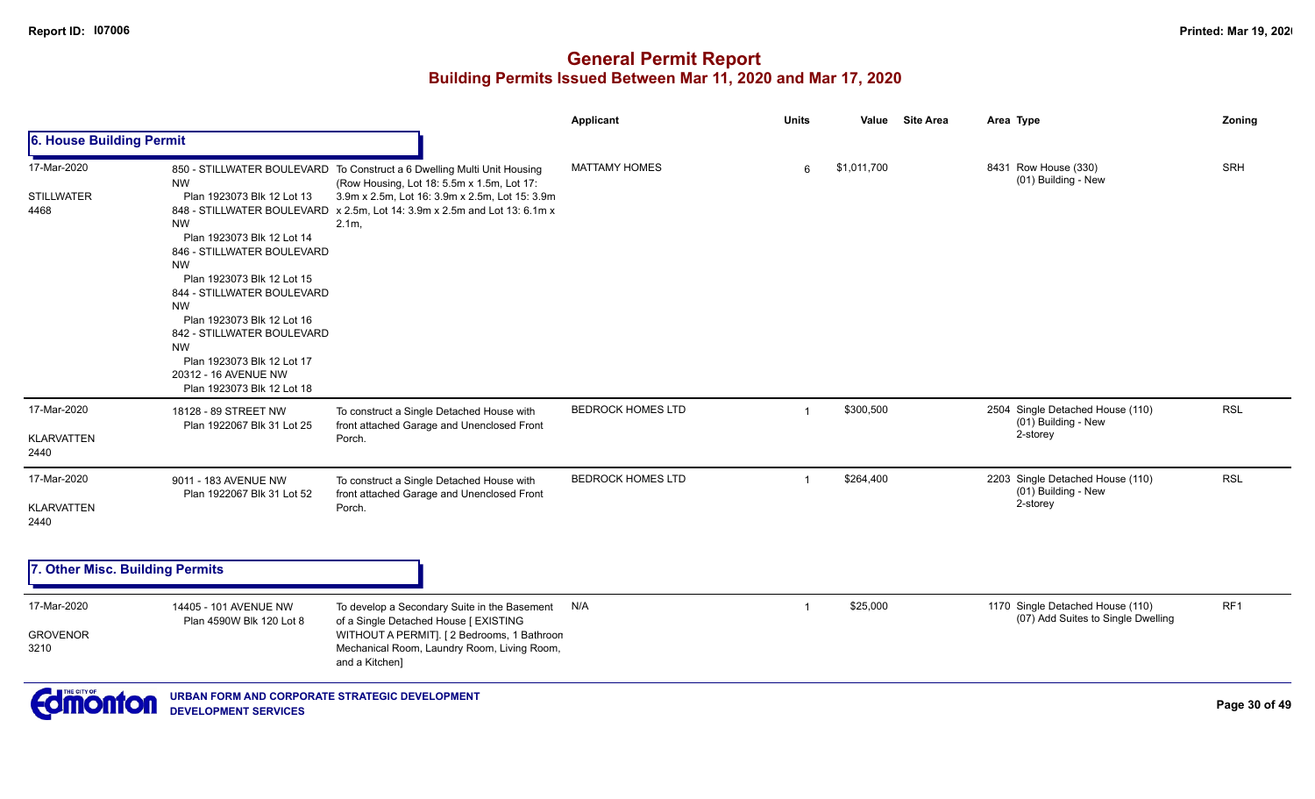| 6. House Building Permit<br><b>MATTAMY HOMES</b><br>8431 Row House (330)<br>17-Mar-2020<br>\$1,011,700<br>850 - STILLWATER BOULEVARD To Construct a 6 Dwelling Multi Unit Housing<br>6<br>(01) Building - New<br>(Row Housing, Lot 18: 5.5m x 1.5m, Lot 17:<br><b>NW</b><br>3.9m x 2.5m, Lot 16: 3.9m x 2.5m, Lot 15: 3.9m<br><b>STILLWATER</b><br>Plan 1923073 Blk 12 Lot 13<br>848 - STILLWATER BOULEVARD x 2.5m, Lot 14: 3.9m x 2.5m and Lot 13: 6.1m x<br>4468<br><b>NW</b><br>2.1m,<br>Plan 1923073 Blk 12 Lot 14<br>846 - STILLWATER BOULEVARD<br><b>NW</b><br>Plan 1923073 Blk 12 Lot 15<br>844 - STILLWATER BOULEVARD<br><b>NW</b><br>Plan 1923073 Blk 12 Lot 16<br>842 - STILLWATER BOULEVARD<br><b>NW</b><br>Plan 1923073 Blk 12 Lot 17<br>20312 - 16 AVENUE NW<br>Plan 1923073 Blk 12 Lot 18<br>17-Mar-2020<br><b>BEDROCK HOMES LTD</b><br>\$300,500<br>2504 Single Detached House (110)<br>18128 - 89 STREET NW<br>To construct a Single Detached House with<br>-1<br>(01) Building - New<br>front attached Garage and Unenclosed Front<br>Plan 1922067 Blk 31 Lot 25<br>2-storey<br><b>KLARVATTEN</b><br>Porch.<br>2440 |                 |  |  |  |  |
|--------------------------------------------------------------------------------------------------------------------------------------------------------------------------------------------------------------------------------------------------------------------------------------------------------------------------------------------------------------------------------------------------------------------------------------------------------------------------------------------------------------------------------------------------------------------------------------------------------------------------------------------------------------------------------------------------------------------------------------------------------------------------------------------------------------------------------------------------------------------------------------------------------------------------------------------------------------------------------------------------------------------------------------------------------------------------------------------------------------------------------------|-----------------|--|--|--|--|
|                                                                                                                                                                                                                                                                                                                                                                                                                                                                                                                                                                                                                                                                                                                                                                                                                                                                                                                                                                                                                                                                                                                                      |                 |  |  |  |  |
|                                                                                                                                                                                                                                                                                                                                                                                                                                                                                                                                                                                                                                                                                                                                                                                                                                                                                                                                                                                                                                                                                                                                      | SRH             |  |  |  |  |
|                                                                                                                                                                                                                                                                                                                                                                                                                                                                                                                                                                                                                                                                                                                                                                                                                                                                                                                                                                                                                                                                                                                                      | <b>RSL</b>      |  |  |  |  |
| <b>BEDROCK HOMES LTD</b><br>2203 Single Detached House (110)<br>17-Mar-2020<br>\$264,400<br>To construct a Single Detached House with<br>9011 - 183 AVENUE NW<br>(01) Building - New<br>front attached Garage and Unenclosed Front<br>Plan 1922067 Blk 31 Lot 52<br>2-storey<br><b>KLARVATTEN</b><br>Porch.<br>2440                                                                                                                                                                                                                                                                                                                                                                                                                                                                                                                                                                                                                                                                                                                                                                                                                  | <b>RSL</b>      |  |  |  |  |
| 7. Other Misc. Building Permits                                                                                                                                                                                                                                                                                                                                                                                                                                                                                                                                                                                                                                                                                                                                                                                                                                                                                                                                                                                                                                                                                                      |                 |  |  |  |  |
| \$25,000<br>1170 Single Detached House (110)<br>17-Mar-2020<br>N/A<br>To develop a Secondary Suite in the Basement<br>14405 - 101 AVENUE NW<br>-1<br>(07) Add Suites to Single Dwelling<br>of a Single Detached House [ EXISTING<br>Plan 4590W Blk 120 Lot 8<br><b>GROVENOR</b><br>WITHOUT A PERMIT]. [2 Bedrooms, 1 Bathroon<br>Mechanical Room, Laundry Room, Living Room,<br>3210<br>and a Kitchen]                                                                                                                                                                                                                                                                                                                                                                                                                                                                                                                                                                                                                                                                                                                               | RF <sub>1</sub> |  |  |  |  |

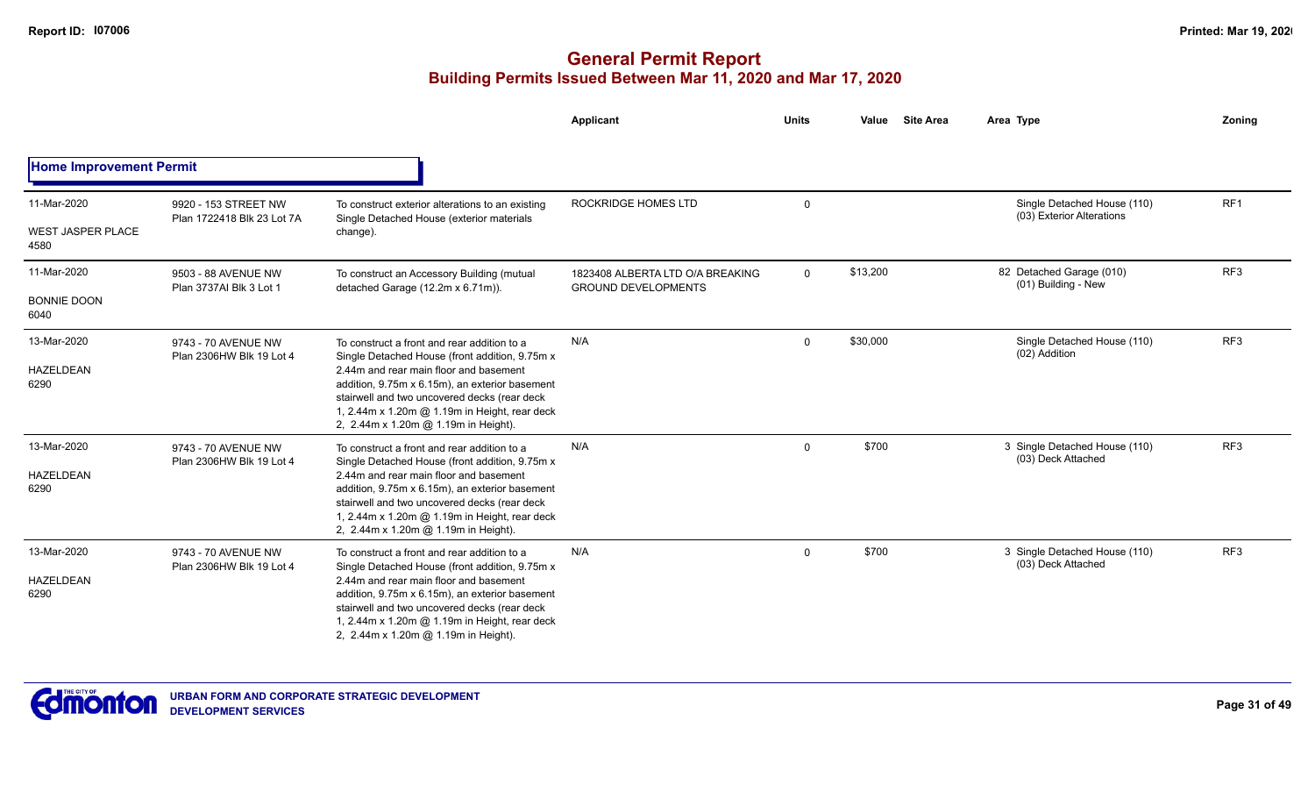|                                                 |                                                    |                                                                                                                                                                                                                                                                                                                                     | Applicant                                                      | <b>Units</b> | Value    | <b>Site Area</b><br>Area Type                            | <b>Zoning</b>   |
|-------------------------------------------------|----------------------------------------------------|-------------------------------------------------------------------------------------------------------------------------------------------------------------------------------------------------------------------------------------------------------------------------------------------------------------------------------------|----------------------------------------------------------------|--------------|----------|----------------------------------------------------------|-----------------|
| <b>Home Improvement Permit</b>                  |                                                    |                                                                                                                                                                                                                                                                                                                                     |                                                                |              |          |                                                          |                 |
| 11-Mar-2020<br><b>WEST JASPER PLACE</b><br>4580 | 9920 - 153 STREET NW<br>Plan 1722418 Blk 23 Lot 7A | To construct exterior alterations to an existing<br>Single Detached House (exterior materials<br>change).                                                                                                                                                                                                                           | ROCKRIDGE HOMES LTD                                            | $\Omega$     |          | Single Detached House (110)<br>(03) Exterior Alterations | RF1             |
| 11-Mar-2020<br><b>BONNIE DOON</b><br>6040       | 9503 - 88 AVENUE NW<br>Plan 3737AI Blk 3 Lot 1     | To construct an Accessory Building (mutual<br>detached Garage (12.2m x 6.71m)).                                                                                                                                                                                                                                                     | 1823408 ALBERTA LTD O/A BREAKING<br><b>GROUND DEVELOPMENTS</b> | $\mathbf{0}$ | \$13,200 | 82 Detached Garage (010)<br>(01) Building - New          | RF <sub>3</sub> |
| 13-Mar-2020<br>HAZELDEAN<br>6290                | 9743 - 70 AVENUE NW<br>Plan 2306HW Blk 19 Lot 4    | To construct a front and rear addition to a<br>Single Detached House (front addition, 9.75m x)<br>2.44m and rear main floor and basement<br>addition, 9.75m x 6.15m), an exterior basement<br>stairwell and two uncovered decks (rear deck<br>1, 2.44m x 1.20m @ 1.19m in Height, rear deck<br>2, 2.44m x 1.20m @ 1.19m in Height). | N/A                                                            | $\mathbf 0$  | \$30,000 | Single Detached House (110)<br>(02) Addition             | RF3             |
| 13-Mar-2020<br><b>HAZELDEAN</b><br>6290         | 9743 - 70 AVENUE NW<br>Plan 2306HW Blk 19 Lot 4    | To construct a front and rear addition to a<br>Single Detached House (front addition, 9.75m x<br>2.44m and rear main floor and basement<br>addition, 9.75m x 6.15m), an exterior basement<br>stairwell and two uncovered decks (rear deck<br>1, 2.44m x 1.20m @ 1.19m in Height, rear deck<br>2, 2.44m x 1.20m @ 1.19m in Height).  | N/A                                                            | $\mathbf 0$  | \$700    | 3 Single Detached House (110)<br>(03) Deck Attached      | RF3             |
| 13-Mar-2020<br>HAZELDEAN<br>6290                | 9743 - 70 AVENUE NW<br>Plan 2306HW Blk 19 Lot 4    | To construct a front and rear addition to a<br>Single Detached House (front addition, 9.75m x)<br>2.44m and rear main floor and basement<br>addition, 9.75m x 6.15m), an exterior basement<br>stairwell and two uncovered decks (rear deck<br>1, 2.44m x 1.20m @ 1.19m in Height, rear deck<br>2, 2.44m x 1.20m @ 1.19m in Height). | N/A                                                            | $\mathbf{0}$ | \$700    | 3 Single Detached House (110)<br>(03) Deck Attached      | RF3             |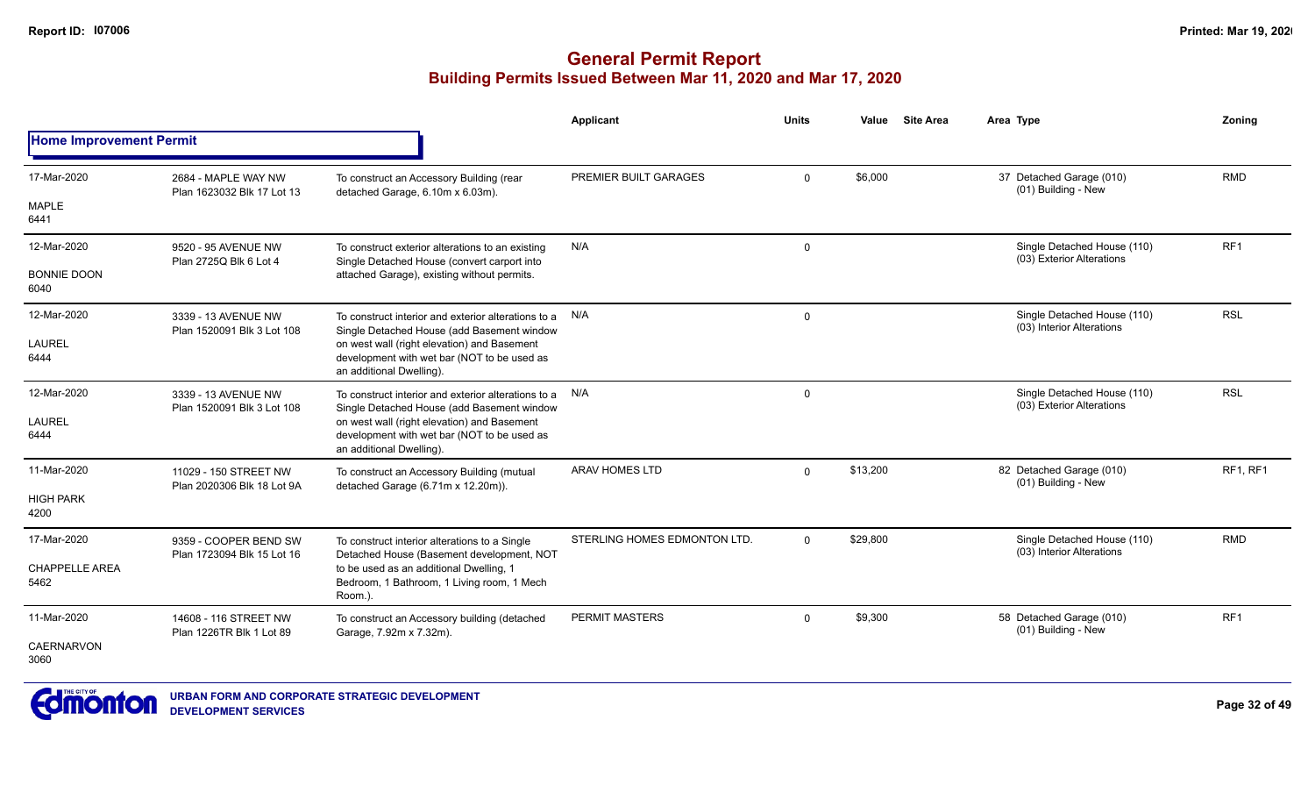|                                |                                                     |                                                                                                                        | <b>Applicant</b>             | <b>Units</b> | Value    | <b>Site Area</b> | Area Type                                                | Zoning          |
|--------------------------------|-----------------------------------------------------|------------------------------------------------------------------------------------------------------------------------|------------------------------|--------------|----------|------------------|----------------------------------------------------------|-----------------|
| <b>Home Improvement Permit</b> |                                                     |                                                                                                                        |                              |              |          |                  |                                                          |                 |
| 17-Mar-2020                    | 2684 - MAPLE WAY NW<br>Plan 1623032 Blk 17 Lot 13   | To construct an Accessory Building (rear<br>detached Garage, 6.10m x 6.03m).                                           | PREMIER BUILT GARAGES        | $\Omega$     | \$6,000  |                  | 37 Detached Garage (010)<br>(01) Building - New          | <b>RMD</b>      |
| <b>MAPLE</b><br>6441           |                                                     |                                                                                                                        |                              |              |          |                  |                                                          |                 |
| 12-Mar-2020                    | 9520 - 95 AVENUE NW<br>Plan 2725Q Blk 6 Lot 4       | To construct exterior alterations to an existing<br>Single Detached House (convert carport into                        | N/A                          | $\mathbf 0$  |          |                  | Single Detached House (110)<br>(03) Exterior Alterations | RF <sub>1</sub> |
| <b>BONNIE DOON</b><br>6040     |                                                     | attached Garage), existing without permits.                                                                            |                              |              |          |                  |                                                          |                 |
| 12-Mar-2020                    | 3339 - 13 AVENUE NW<br>Plan 1520091 Blk 3 Lot 108   | To construct interior and exterior alterations to a N/A<br>Single Detached House (add Basement window                  |                              | $\mathbf 0$  |          |                  | Single Detached House (110)<br>(03) Interior Alterations | <b>RSL</b>      |
| <b>LAUREL</b><br>6444          |                                                     | on west wall (right elevation) and Basement<br>development with wet bar (NOT to be used as<br>an additional Dwelling). |                              |              |          |                  |                                                          |                 |
| 12-Mar-2020                    | 3339 - 13 AVENUE NW                                 | To construct interior and exterior alterations to a N/A<br>Single Detached House (add Basement window                  |                              | 0            |          |                  | Single Detached House (110)<br>(03) Exterior Alterations | <b>RSL</b>      |
| <b>LAUREL</b><br>6444          | Plan 1520091 Blk 3 Lot 108                          | on west wall (right elevation) and Basement<br>development with wet bar (NOT to be used as<br>an additional Dwelling). |                              |              |          |                  |                                                          |                 |
| 11-Mar-2020                    | 11029 - 150 STREET NW<br>Plan 2020306 Blk 18 Lot 9A | To construct an Accessory Building (mutual<br>detached Garage (6.71m x 12.20m)).                                       | ARAV HOMES LTD               | $\Omega$     | \$13,200 |                  | 82 Detached Garage (010)<br>(01) Building - New          | <b>RF1. RF1</b> |
| <b>HIGH PARK</b><br>4200       |                                                     |                                                                                                                        |                              |              |          |                  |                                                          |                 |
| 17-Mar-2020                    | 9359 - COOPER BEND SW<br>Plan 1723094 Blk 15 Lot 16 | To construct interior alterations to a Single<br>Detached House (Basement development, NOT                             | STERLING HOMES EDMONTON LTD. | $\Omega$     | \$29,800 |                  | Single Detached House (110)<br>(03) Interior Alterations | <b>RMD</b>      |
| <b>CHAPPELLE AREA</b><br>5462  |                                                     | to be used as an additional Dwelling, 1<br>Bedroom, 1 Bathroom, 1 Living room, 1 Mech<br>Room.).                       |                              |              |          |                  |                                                          |                 |
| 11-Mar-2020                    | 14608 - 116 STREET NW<br>Plan 1226TR Blk 1 Lot 89   | To construct an Accessory building (detached<br>Garage, 7.92m x 7.32m).                                                | <b>PERMIT MASTERS</b>        | $\mathbf 0$  | \$9,300  |                  | 58 Detached Garage (010)<br>(01) Building - New          | RF <sub>1</sub> |
| <b>CAERNARVON</b><br>3060      |                                                     |                                                                                                                        |                              |              |          |                  |                                                          |                 |

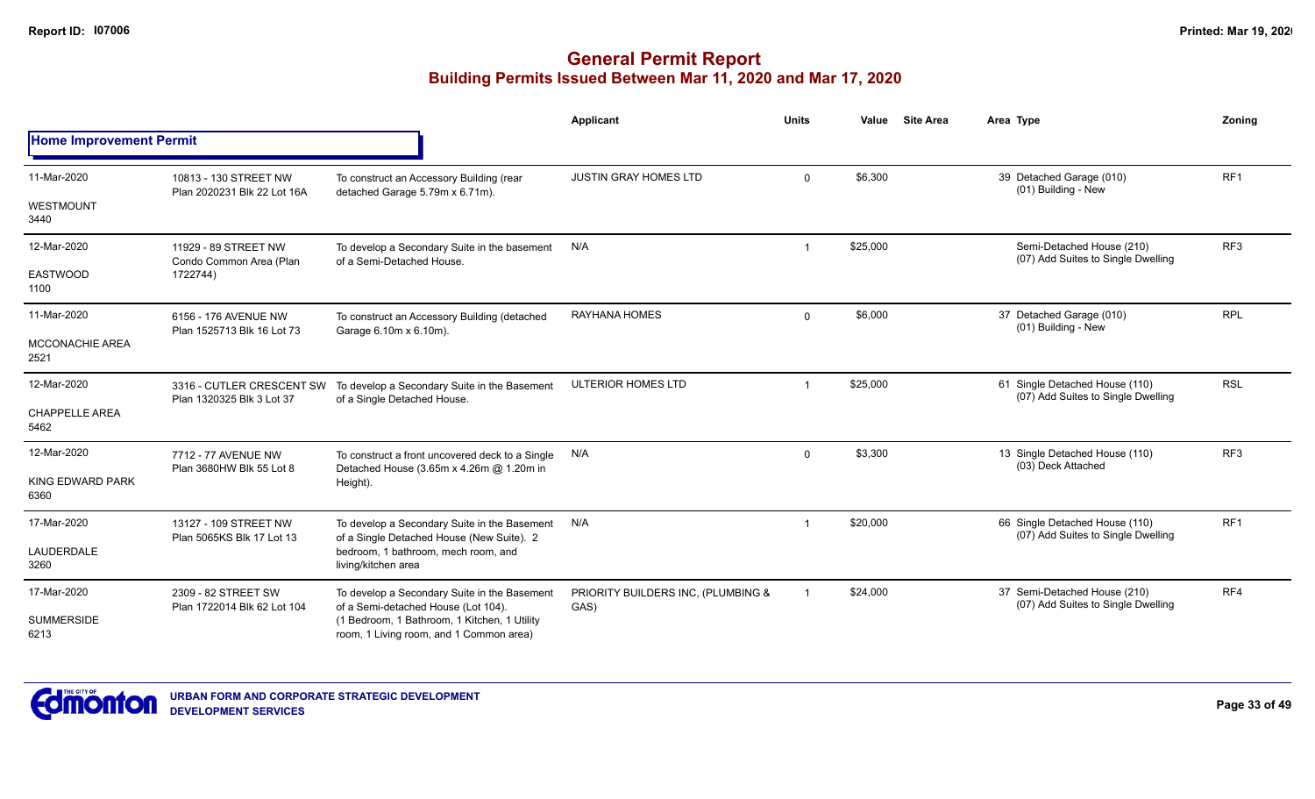|                                |                                                      |                                                                                             | <b>Applicant</b>                           | <b>Units</b> | Value    | <b>Site Area</b> | Area Type                                                                                                                                                                                                         | Zoning          |
|--------------------------------|------------------------------------------------------|---------------------------------------------------------------------------------------------|--------------------------------------------|--------------|----------|------------------|-------------------------------------------------------------------------------------------------------------------------------------------------------------------------------------------------------------------|-----------------|
| <b>Home Improvement Permit</b> |                                                      |                                                                                             |                                            |              |          |                  |                                                                                                                                                                                                                   |                 |
| 11-Mar-2020                    | 10813 - 130 STREET NW<br>Plan 2020231 Blk 22 Lot 16A | To construct an Accessory Building (rear<br>detached Garage 5.79m x 6.71m).                 | <b>JUSTIN GRAY HOMES LTD</b>               | $\Omega$     | \$6,300  |                  | 39 Detached Garage (010)                                                                                                                                                                                          | RF <sub>1</sub> |
| <b>WESTMOUNT</b><br>3440       |                                                      |                                                                                             |                                            |              |          |                  | (01) Building - New<br>Semi-Detached House (210)<br>(07) Add Suites to Single Dwelling<br>37 Detached Garage (010)<br>(01) Building - New<br>61 Single Detached House (110)<br>(07) Add Suites to Single Dwelling |                 |
| 12-Mar-2020                    | 11929 - 89 STREET NW<br>Condo Common Area (Plan      | To develop a Secondary Suite in the basement<br>of a Semi-Detached House.                   | N/A                                        |              | \$25,000 |                  |                                                                                                                                                                                                                   | RF <sub>3</sub> |
| <b>EASTWOOD</b><br>1100        | 1722744)                                             |                                                                                             |                                            |              |          |                  |                                                                                                                                                                                                                   |                 |
| 11-Mar-2020                    | 6156 - 176 AVENUE NW<br>Plan 1525713 Blk 16 Lot 73   | To construct an Accessory Building (detached<br>Garage 6.10m x 6.10m).                      | <b>RAYHANA HOMES</b>                       | $\mathbf 0$  | \$6,000  |                  |                                                                                                                                                                                                                   | <b>RPL</b>      |
| MCCONACHIE AREA<br>2521        |                                                      |                                                                                             |                                            |              |          |                  |                                                                                                                                                                                                                   |                 |
| 12-Mar-2020                    | 3316 - CUTLER CRESCENT SW                            | To develop a Secondary Suite in the Basement<br>of a Single Detached House.                 | ULTERIOR HOMES LTD                         |              | \$25,000 |                  |                                                                                                                                                                                                                   | <b>RSL</b>      |
| <b>CHAPPELLE AREA</b><br>5462  | Plan 1320325 Blk 3 Lot 37                            |                                                                                             |                                            |              |          |                  |                                                                                                                                                                                                                   |                 |
| 12-Mar-2020                    | 7712 - 77 AVENUE NW<br>Plan 3680HW Blk 55 Lot 8      | To construct a front uncovered deck to a Single<br>Detached House (3.65m x 4.26m @ 1.20m in | N/A                                        | $\mathbf 0$  | \$3,300  |                  | 13 Single Detached House (110)<br>(03) Deck Attached                                                                                                                                                              | RF3             |
| KING EDWARD PARK<br>6360       |                                                      | Height).                                                                                    |                                            |              |          |                  |                                                                                                                                                                                                                   |                 |
| 17-Mar-2020                    | 13127 - 109 STREET NW                                | To develop a Secondary Suite in the Basement<br>of a Single Detached House (New Suite). 2   | N/A                                        |              | \$20,000 |                  | 66 Single Detached House (110)<br>(07) Add Suites to Single Dwelling                                                                                                                                              | RF <sub>1</sub> |
| <b>LAUDERDALE</b><br>3260      | Plan 5065KS Blk 17 Lot 13                            | bedroom. 1 bathroom, mech room, and<br>living/kitchen area                                  |                                            |              |          |                  |                                                                                                                                                                                                                   |                 |
| 17-Mar-2020                    | 2309 - 82 STREET SW<br>Plan 1722014 Blk 62 Lot 104   | To develop a Secondary Suite in the Basement<br>of a Semi-detached House (Lot 104).         | PRIORITY BUILDERS INC, (PLUMBING &<br>GAS) |              | \$24,000 |                  | 37 Semi-Detached House (210)<br>(07) Add Suites to Single Dwelling                                                                                                                                                | RF4             |
| <b>SUMMERSIDE</b><br>6213      |                                                      | (1 Bedroom, 1 Bathroom, 1 Kitchen, 1 Utility<br>room, 1 Living room, and 1 Common area)     |                                            |              |          |                  |                                                                                                                                                                                                                   |                 |

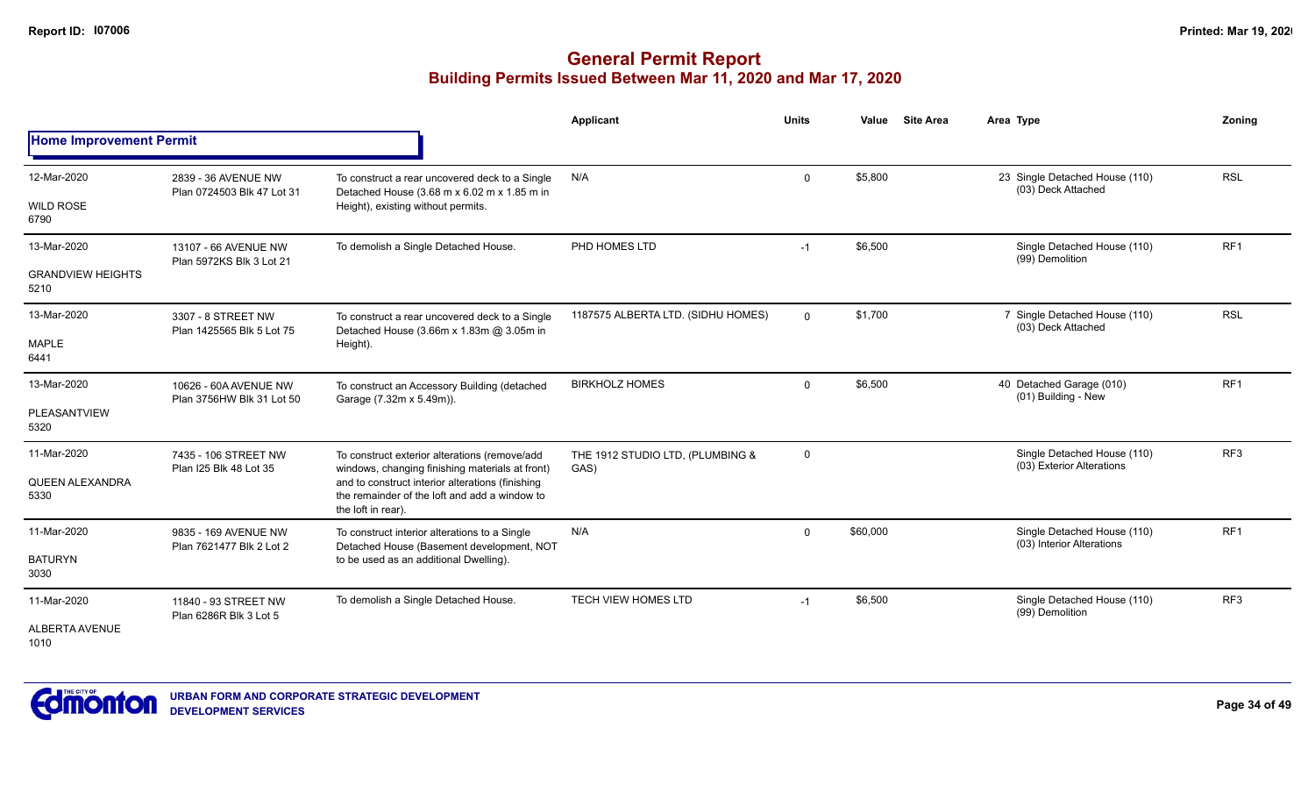|                                                 |                                                    |                                                                                                                                                                                                                             | <b>Applicant</b>                         | <b>Units</b> | Value    | <b>Site Area</b> | Area Type                                                | Zoning          |
|-------------------------------------------------|----------------------------------------------------|-----------------------------------------------------------------------------------------------------------------------------------------------------------------------------------------------------------------------------|------------------------------------------|--------------|----------|------------------|----------------------------------------------------------|-----------------|
| <b>Home Improvement Permit</b>                  |                                                    |                                                                                                                                                                                                                             |                                          |              |          |                  |                                                          |                 |
| 12-Mar-2020<br><b>WILD ROSE</b><br>6790         | 2839 - 36 AVENUE NW<br>Plan 0724503 Blk 47 Lot 31  | To construct a rear uncovered deck to a Single<br>Detached House (3.68 m x 6.02 m x 1.85 m in<br>Height), existing without permits.                                                                                         | N/A                                      | $\mathbf 0$  | \$5,800  |                  | 23 Single Detached House (110)<br>(03) Deck Attached     | <b>RSL</b>      |
| 13-Mar-2020<br><b>GRANDVIEW HEIGHTS</b><br>5210 | 13107 - 66 AVENUE NW<br>Plan 5972KS Blk 3 Lot 21   | To demolish a Single Detached House.                                                                                                                                                                                        | PHD HOMES LTD                            | $-1$         | \$6,500  |                  | Single Detached House (110)<br>(99) Demolition           | RF <sub>1</sub> |
| 13-Mar-2020<br><b>MAPLE</b><br>6441             | 3307 - 8 STREET NW<br>Plan 1425565 Blk 5 Lot 75    | To construct a rear uncovered deck to a Single<br>Detached House (3.66m x 1.83m @ 3.05m in<br>Height).                                                                                                                      | 1187575 ALBERTA LTD. (SIDHU HOMES)       | $\mathbf{0}$ | \$1,700  |                  | 7 Single Detached House (110)<br>(03) Deck Attached      | <b>RSL</b>      |
| 13-Mar-2020<br>PLEASANTVIEW<br>5320             | 10626 - 60A AVENUE NW<br>Plan 3756HW Blk 31 Lot 50 | To construct an Accessory Building (detached<br>Garage (7.32m x 5.49m)).                                                                                                                                                    | <b>BIRKHOLZ HOMES</b>                    | $\mathbf{0}$ | \$6,500  |                  | 40 Detached Garage (010)<br>(01) Building - New          | RF <sub>1</sub> |
| 11-Mar-2020<br>QUEEN ALEXANDRA<br>5330          | 7435 - 106 STREET NW<br>Plan I25 Blk 48 Lot 35     | To construct exterior alterations (remove/add<br>windows, changing finishing materials at front)<br>and to construct interior alterations (finishing<br>the remainder of the loft and add a window to<br>the loft in rear). | THE 1912 STUDIO LTD, (PLUMBING &<br>GAS) | $\mathbf 0$  |          |                  | Single Detached House (110)<br>(03) Exterior Alterations | RF3             |
| 11-Mar-2020<br><b>BATURYN</b><br>3030           | 9835 - 169 AVENUE NW<br>Plan 7621477 Blk 2 Lot 2   | To construct interior alterations to a Single<br>Detached House (Basement development, NOT<br>to be used as an additional Dwelling).                                                                                        | N/A                                      | $\mathbf{0}$ | \$60,000 |                  | Single Detached House (110)<br>(03) Interior Alterations | RF <sub>1</sub> |
| 11-Mar-2020<br><b>ALBERTA AVENUE</b><br>1010    | 11840 - 93 STREET NW<br>Plan 6286R Blk 3 Lot 5     | To demolish a Single Detached House.                                                                                                                                                                                        | <b>TECH VIEW HOMES LTD</b>               | $-1$         | \$6,500  |                  | Single Detached House (110)<br>(99) Demolition           | RF <sub>3</sub> |

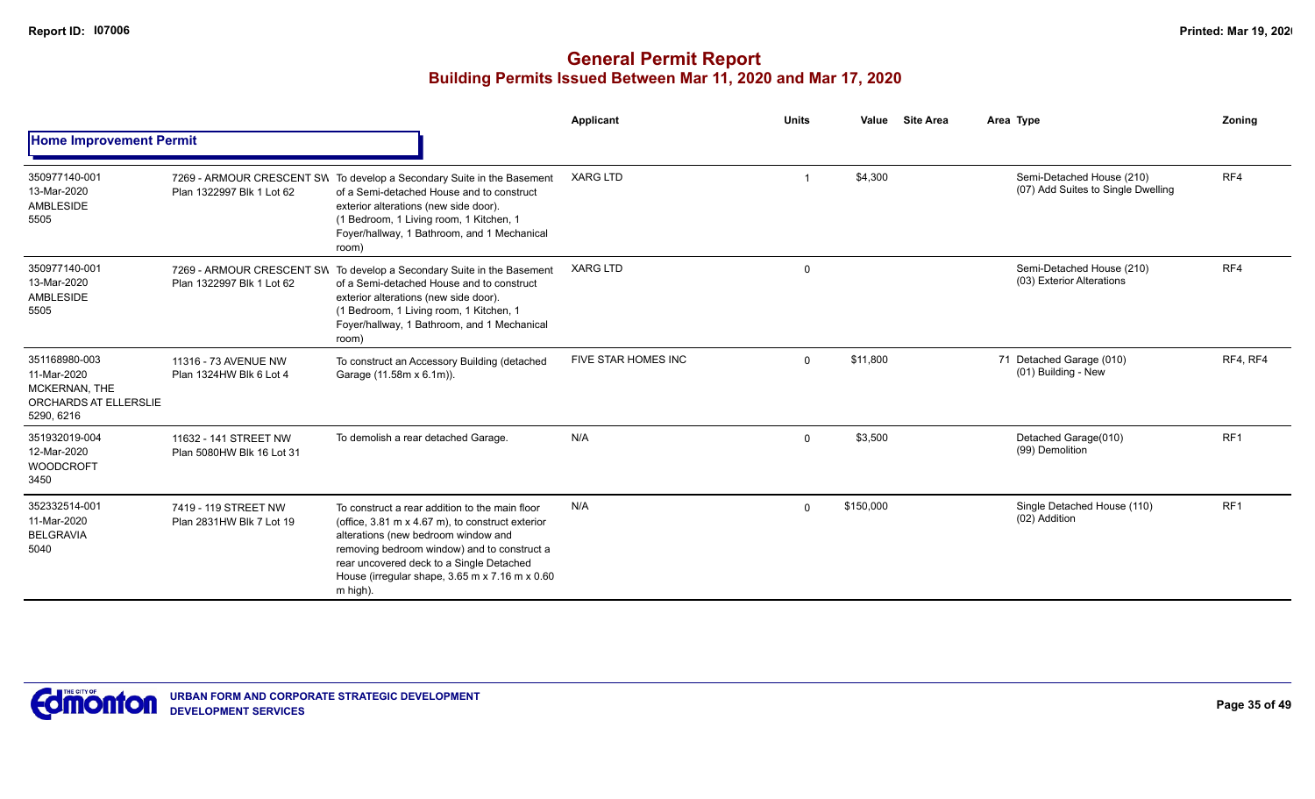|                                                                                             |                                                        |                                                                                                                                                                                                                                                                                                                            | <b>Applicant</b>    | <b>Units</b> | <b>Site Area</b><br>Value | Area Type                                                       | Zoning          |
|---------------------------------------------------------------------------------------------|--------------------------------------------------------|----------------------------------------------------------------------------------------------------------------------------------------------------------------------------------------------------------------------------------------------------------------------------------------------------------------------------|---------------------|--------------|---------------------------|-----------------------------------------------------------------|-----------------|
| <b>Home Improvement Permit</b>                                                              |                                                        |                                                                                                                                                                                                                                                                                                                            |                     |              |                           |                                                                 |                 |
| 350977140-001<br>13-Mar-2020<br><b>AMBLESIDE</b><br>5505                                    | Plan 1322997 Blk 1 Lot 62                              | 7269 - ARMOUR CRESCENT SW To develop a Secondary Suite in the Basement<br>of a Semi-detached House and to construct<br>exterior alterations (new side door).<br>(1 Bedroom, 1 Living room, 1 Kitchen, 1<br>Foyer/hallway, 1 Bathroom, and 1 Mechanical<br>room)                                                            | <b>XARG LTD</b>     |              | \$4,300                   | Semi-Detached House (210)<br>(07) Add Suites to Single Dwelling | RF4             |
| 350977140-001<br>13-Mar-2020<br>AMBLESIDE<br>5505                                           | 7269 - ARMOUR CRESCENT SW<br>Plan 1322997 Blk 1 Lot 62 | To develop a Secondary Suite in the Basement<br>of a Semi-detached House and to construct<br>exterior alterations (new side door).<br>(1 Bedroom, 1 Living room, 1 Kitchen, 1<br>Foyer/hallway, 1 Bathroom, and 1 Mechanical<br>room)                                                                                      | <b>XARG LTD</b>     | $\mathbf 0$  |                           | Semi-Detached House (210)<br>(03) Exterior Alterations          | RF4             |
| 351168980-003<br>11-Mar-2020<br>MCKERNAN, THE<br><b>ORCHARDS AT ELLERSLIE</b><br>5290, 6216 | 11316 - 73 AVENUE NW<br>Plan 1324HW Blk 6 Lot 4        | To construct an Accessory Building (detached<br>Garage (11.58m x 6.1m)).                                                                                                                                                                                                                                                   | FIVE STAR HOMES INC | $\Omega$     | \$11,800                  | 71 Detached Garage (010)<br>(01) Building - New                 | RF4, RF4        |
| 351932019-004<br>12-Mar-2020<br><b>WOODCROFT</b><br>3450                                    | 11632 - 141 STREET NW<br>Plan 5080HW Blk 16 Lot 31     | To demolish a rear detached Garage.                                                                                                                                                                                                                                                                                        | N/A                 | $\Omega$     | \$3,500                   | Detached Garage(010)<br>(99) Demolition                         | RF <sub>1</sub> |
| 352332514-001<br>11-Mar-2020<br><b>BELGRAVIA</b><br>5040                                    | 7419 - 119 STREET NW<br>Plan 2831HW Blk 7 Lot 19       | To construct a rear addition to the main floor<br>(office, $3.81 \text{ m} \times 4.67 \text{ m}$ ), to construct exterior<br>alterations (new bedroom window and<br>removing bedroom window) and to construct a<br>rear uncovered deck to a Single Detached<br>House (irregular shape, 3.65 m x 7.16 m x 0.60<br>m high). | N/A                 | $\Omega$     | \$150,000                 | Single Detached House (110)<br>(02) Addition                    | RF <sub>1</sub> |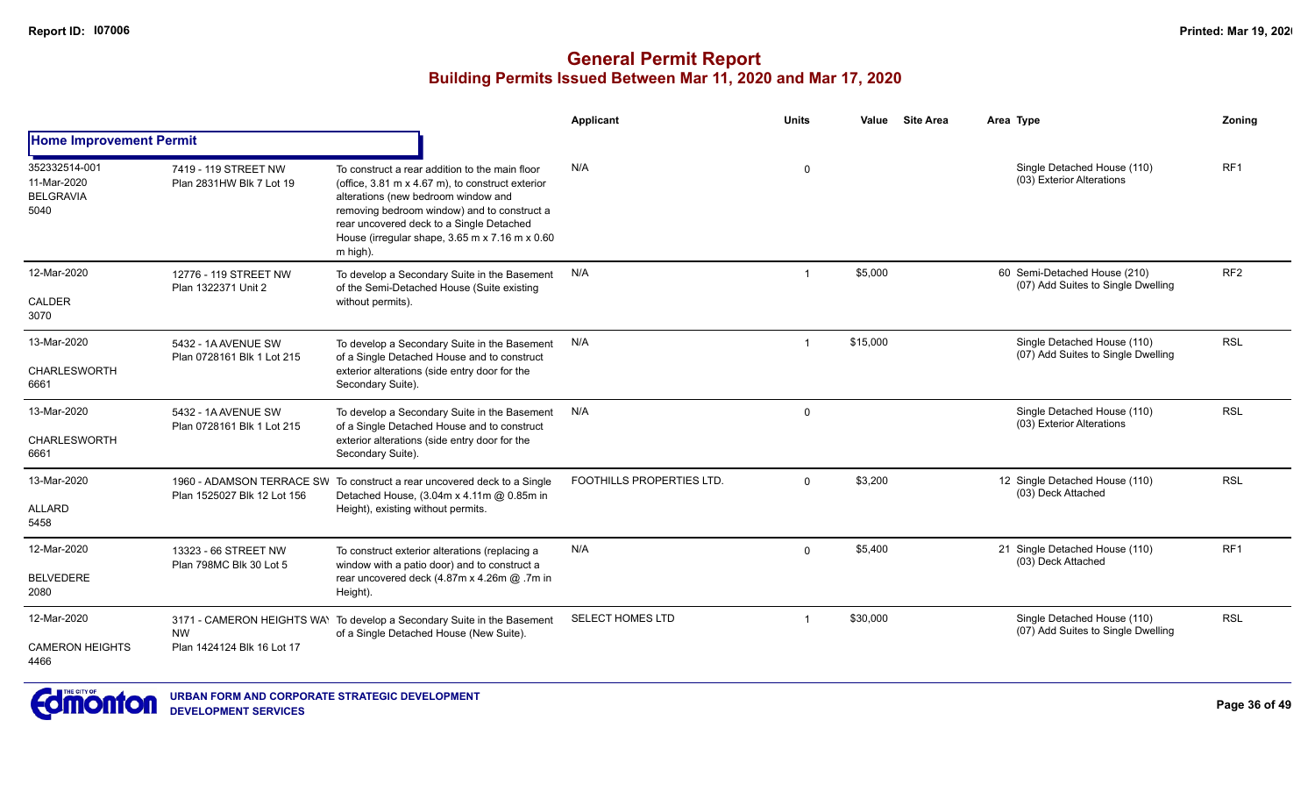|                                                          |                                                   |                                                                                                                                                                                                                                                                                                                            | <b>Applicant</b>                 | <b>Units</b>            | Value    | <b>Site Area</b> | Area Type                                                          | Zoning          |
|----------------------------------------------------------|---------------------------------------------------|----------------------------------------------------------------------------------------------------------------------------------------------------------------------------------------------------------------------------------------------------------------------------------------------------------------------------|----------------------------------|-------------------------|----------|------------------|--------------------------------------------------------------------|-----------------|
| <b>Home Improvement Permit</b>                           |                                                   |                                                                                                                                                                                                                                                                                                                            |                                  |                         |          |                  |                                                                    |                 |
| 352332514-001<br>11-Mar-2020<br><b>BELGRAVIA</b><br>5040 | 7419 - 119 STREET NW<br>Plan 2831HW Blk 7 Lot 19  | To construct a rear addition to the main floor<br>(office, $3.81 \text{ m} \times 4.67 \text{ m}$ ), to construct exterior<br>alterations (new bedroom window and<br>removing bedroom window) and to construct a<br>rear uncovered deck to a Single Detached<br>House (irregular shape, 3.65 m x 7.16 m x 0.60<br>m high). | N/A                              | $\mathbf 0$             |          |                  | Single Detached House (110)<br>(03) Exterior Alterations           | RF <sub>1</sub> |
| 12-Mar-2020<br>CALDER<br>3070                            | 12776 - 119 STREET NW<br>Plan 1322371 Unit 2      | To develop a Secondary Suite in the Basement<br>of the Semi-Detached House (Suite existing<br>without permits).                                                                                                                                                                                                            | N/A                              | $\overline{1}$          | \$5,000  |                  | 60 Semi-Detached House (210)<br>(07) Add Suites to Single Dwelling | RF <sub>2</sub> |
| 13-Mar-2020<br><b>CHARLESWORTH</b><br>6661               | 5432 - 1A AVENUE SW<br>Plan 0728161 Blk 1 Lot 215 | To develop a Secondary Suite in the Basement<br>of a Single Detached House and to construct<br>exterior alterations (side entry door for the<br>Secondary Suite).                                                                                                                                                          | N/A                              | $\overline{\mathbf{1}}$ | \$15,000 |                  | Single Detached House (110)<br>(07) Add Suites to Single Dwelling  | <b>RSL</b>      |
| 13-Mar-2020<br><b>CHARLESWORTH</b><br>6661               | 5432 - 1A AVENUE SW<br>Plan 0728161 Blk 1 Lot 215 | To develop a Secondary Suite in the Basement<br>of a Single Detached House and to construct<br>exterior alterations (side entry door for the<br>Secondary Suite).                                                                                                                                                          | N/A                              | $\Omega$                |          |                  | Single Detached House (110)<br>(03) Exterior Alterations           | <b>RSL</b>      |
| 13-Mar-2020<br><b>ALLARD</b><br>5458                     | Plan 1525027 Blk 12 Lot 156                       | 1960 - ADAMSON TERRACE SW To construct a rear uncovered deck to a Single<br>Detached House, (3.04m x 4.11m @ 0.85m in<br>Height), existing without permits.                                                                                                                                                                | <b>FOOTHILLS PROPERTIES LTD.</b> | $\Omega$                | \$3,200  |                  | 12 Single Detached House (110)<br>(03) Deck Attached               | <b>RSL</b>      |
| 12-Mar-2020<br><b>BELVEDERE</b><br>2080                  | 13323 - 66 STREET NW<br>Plan 798MC Blk 30 Lot 5   | To construct exterior alterations (replacing a<br>window with a patio door) and to construct a<br>rear uncovered deck (4.87m x 4.26m @ .7m in<br>Height).                                                                                                                                                                  | N/A                              | $\Omega$                | \$5,400  |                  | 21 Single Detached House (110)<br>(03) Deck Attached               | RF1             |
| 12-Mar-2020<br><b>CAMERON HEIGHTS</b><br>4466            | <b>NW</b><br>Plan 1424124 Blk 16 Lot 17           | 3171 - CAMERON HEIGHTS WAY To develop a Secondary Suite in the Basement<br>of a Single Detached House (New Suite).                                                                                                                                                                                                         | SELECT HOMES LTD                 | -1                      | \$30,000 |                  | Single Detached House (110)<br>(07) Add Suites to Single Dwelling  | <b>RSL</b>      |

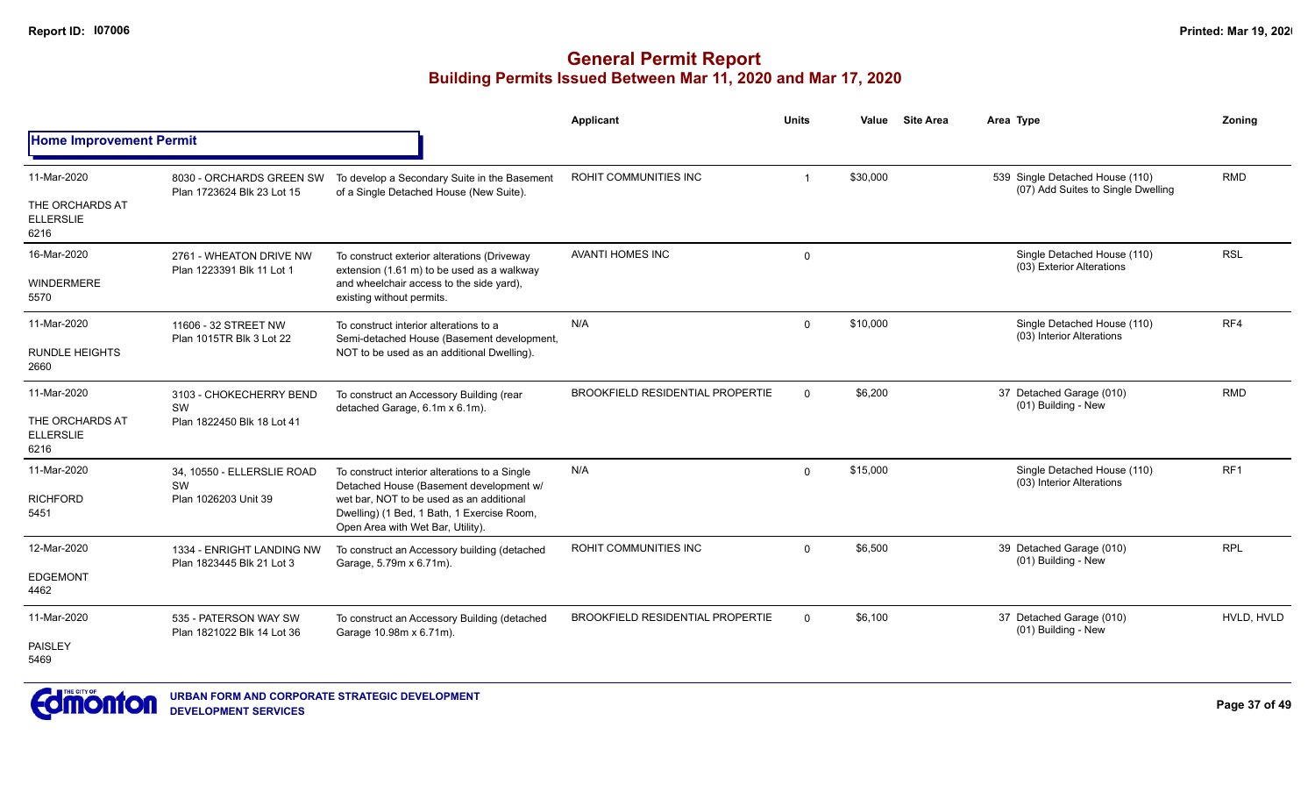|                                             |                                                        |                                                                                                                             | <b>Applicant</b>                        | <b>Units</b> | Value    | <b>Site Area</b> | Area Type                                                             | Zoning          |
|---------------------------------------------|--------------------------------------------------------|-----------------------------------------------------------------------------------------------------------------------------|-----------------------------------------|--------------|----------|------------------|-----------------------------------------------------------------------|-----------------|
| <b>Home Improvement Permit</b>              |                                                        |                                                                                                                             |                                         |              |          |                  |                                                                       |                 |
| 11-Mar-2020                                 | 8030 - ORCHARDS GREEN SW<br>Plan 1723624 Blk 23 Lot 15 | To develop a Secondary Suite in the Basement<br>of a Single Detached House (New Suite).                                     | ROHIT COMMUNITIES INC                   | -1           | \$30,000 |                  | 539 Single Detached House (110)<br>(07) Add Suites to Single Dwelling | <b>RMD</b>      |
| THE ORCHARDS AT<br><b>ELLERSLIE</b><br>6216 |                                                        |                                                                                                                             |                                         |              |          |                  |                                                                       |                 |
| 16-Mar-2020                                 | 2761 - WHEATON DRIVE NW<br>Plan 1223391 Blk 11 Lot 1   | To construct exterior alterations (Driveway<br>extension (1.61 m) to be used as a walkway                                   | <b>AVANTI HOMES INC</b>                 | $\mathbf{0}$ |          |                  | Single Detached House (110)<br>(03) Exterior Alterations              | <b>RSL</b>      |
| <b>WINDERMERE</b><br>5570                   |                                                        | and wheelchair access to the side yard),<br>existing without permits.                                                       |                                         |              |          |                  |                                                                       |                 |
| 11-Mar-2020                                 | 11606 - 32 STREET NW<br>Plan 1015TR Blk 3 Lot 22       | To construct interior alterations to a<br>Semi-detached House (Basement development,                                        | N/A                                     | $\mathbf{0}$ | \$10,000 |                  | Single Detached House (110)<br>(03) Interior Alterations              | RF4             |
| <b>RUNDLE HEIGHTS</b><br>2660               |                                                        | NOT to be used as an additional Dwelling).                                                                                  |                                         |              |          |                  |                                                                       |                 |
| 11-Mar-2020                                 | 3103 - CHOKECHERRY BEND                                | To construct an Accessory Building (rear<br>detached Garage, 6.1m x 6.1m).                                                  | <b>BROOKFIELD RESIDENTIAL PROPERTIE</b> | $\Omega$     | \$6,200  |                  | 37 Detached Garage (010)<br>(01) Building - New                       | <b>RMD</b>      |
| THE ORCHARDS AT<br><b>ELLERSLIE</b><br>6216 | <b>SW</b><br>Plan 1822450 Blk 18 Lot 41                |                                                                                                                             |                                         |              |          |                  |                                                                       |                 |
| 11-Mar-2020                                 | 34, 10550 - ELLERSLIE ROAD<br>SW                       | To construct interior alterations to a Single<br>Detached House (Basement development w/                                    | N/A                                     | $\mathbf{0}$ | \$15,000 |                  | Single Detached House (110)<br>(03) Interior Alterations              | RF <sub>1</sub> |
| <b>RICHFORD</b><br>5451                     | Plan 1026203 Unit 39                                   | wet bar, NOT to be used as an additional<br>Dwelling) (1 Bed, 1 Bath, 1 Exercise Room,<br>Open Area with Wet Bar, Utility). |                                         |              |          |                  |                                                                       |                 |
| 12-Mar-2020                                 | 1334 - ENRIGHT LANDING NW                              | To construct an Accessory building (detached<br>Garage, 5.79m x 6.71m).                                                     | ROHIT COMMUNITIES INC                   | $\Omega$     | \$6,500  |                  | 39 Detached Garage (010)<br>(01) Building - New                       | <b>RPL</b>      |
| <b>EDGEMONT</b><br>4462                     | Plan 1823445 Blk 21 Lot 3                              |                                                                                                                             |                                         |              |          |                  |                                                                       |                 |
| 11-Mar-2020                                 | 535 - PATERSON WAY SW<br>Plan 1821022 Blk 14 Lot 36    | To construct an Accessory Building (detached<br>Garage 10.98m x 6.71m).                                                     | <b>BROOKFIELD RESIDENTIAL PROPERTIE</b> | $\Omega$     | \$6,100  |                  | 37 Detached Garage (010)<br>(01) Building - New                       | HVLD. HVLD      |
| PAISLEY<br>5469                             |                                                        |                                                                                                                             |                                         |              |          |                  |                                                                       |                 |

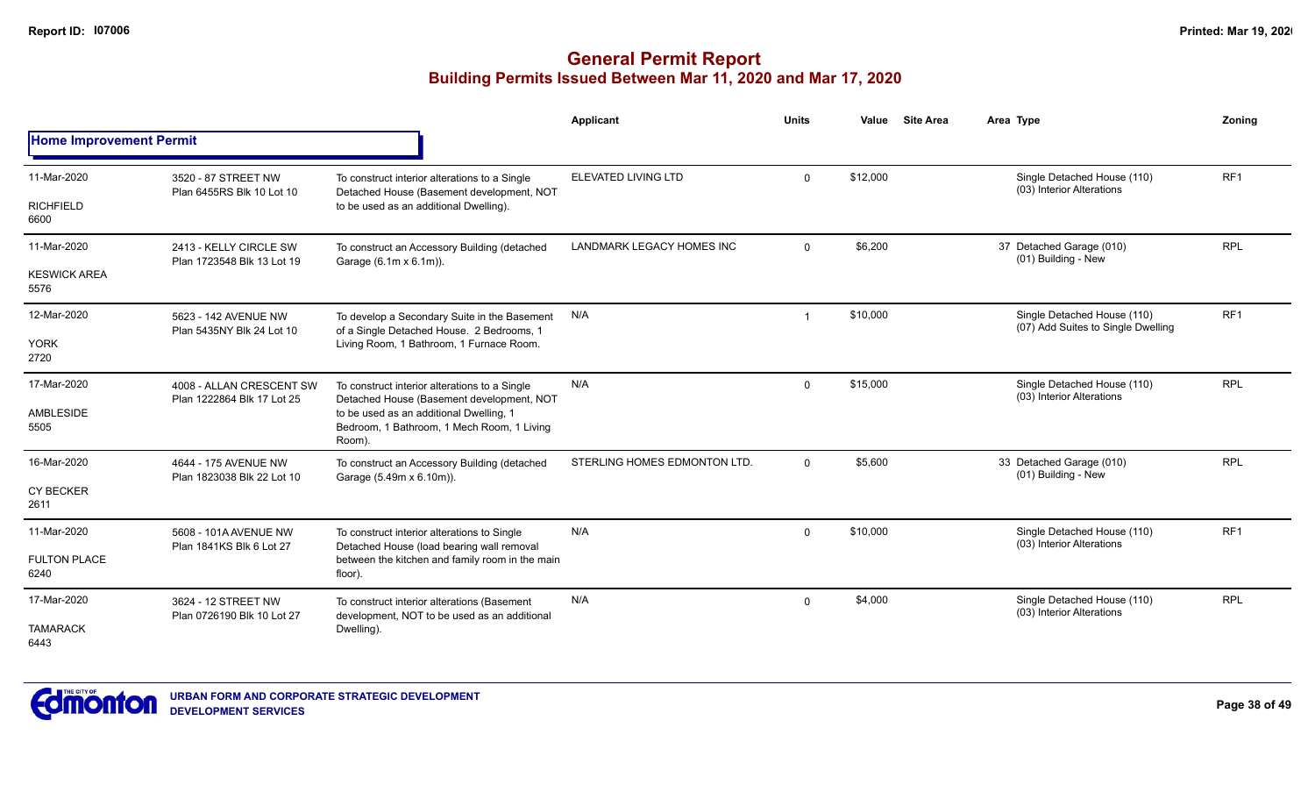|                                |                                                      |                                                                                                 | Applicant                        | <b>Units</b> | Value    | <b>Site Area</b> | Area Type                                                         | Zoning          |
|--------------------------------|------------------------------------------------------|-------------------------------------------------------------------------------------------------|----------------------------------|--------------|----------|------------------|-------------------------------------------------------------------|-----------------|
| <b>Home Improvement Permit</b> |                                                      |                                                                                                 |                                  |              |          |                  |                                                                   |                 |
| 11-Mar-2020                    | 3520 - 87 STREET NW<br>Plan 6455RS Blk 10 Lot 10     | To construct interior alterations to a Single<br>Detached House (Basement development, NOT      | ELEVATED LIVING LTD              | $\Omega$     | \$12,000 |                  | Single Detached House (110)<br>(03) Interior Alterations          | RF <sub>1</sub> |
| <b>RICHFIELD</b><br>6600       |                                                      | to be used as an additional Dwelling).                                                          |                                  |              |          |                  |                                                                   |                 |
| 11-Mar-2020                    | 2413 - KELLY CIRCLE SW<br>Plan 1723548 Blk 13 Lot 19 | To construct an Accessory Building (detached<br>Garage (6.1m x 6.1m)).                          | <b>LANDMARK LEGACY HOMES INC</b> | $\mathbf 0$  | \$6,200  |                  | 37 Detached Garage (010)<br>(01) Building - New                   | <b>RPL</b>      |
| <b>KESWICK AREA</b><br>5576    |                                                      |                                                                                                 |                                  |              |          |                  |                                                                   |                 |
| 12-Mar-2020                    | 5623 - 142 AVENUE NW<br>Plan 5435NY Blk 24 Lot 10    | To develop a Secondary Suite in the Basement<br>of a Single Detached House. 2 Bedrooms, 1       | N/A                              |              | \$10,000 |                  | Single Detached House (110)<br>(07) Add Suites to Single Dwelling | RF <sub>1</sub> |
| <b>YORK</b><br>2720            |                                                      | Living Room, 1 Bathroom, 1 Furnace Room.                                                        |                                  |              |          |                  |                                                                   |                 |
| 17-Mar-2020                    | 4008 - ALLAN CRESCENT SW                             | To construct interior alterations to a Single<br>Detached House (Basement development, NOT      | N/A                              | $\Omega$     | \$15,000 |                  | Single Detached House (110)<br>(03) Interior Alterations          | <b>RPL</b>      |
| AMBLESIDE<br>5505              | Plan 1222864 Blk 17 Lot 25                           | to be used as an additional Dwelling, 1<br>Bedroom, 1 Bathroom, 1 Mech Room, 1 Living<br>Room). |                                  |              |          |                  |                                                                   |                 |
| 16-Mar-2020                    | 4644 - 175 AVENUE NW<br>Plan 1823038 Blk 22 Lot 10   | To construct an Accessory Building (detached<br>Garage (5.49m x 6.10m)).                        | STERLING HOMES EDMONTON LTD.     | $\Omega$     | \$5,600  |                  | 33 Detached Garage (010)<br>(01) Building - New                   | <b>RPL</b>      |
| <b>CY BECKER</b><br>2611       |                                                      |                                                                                                 |                                  |              |          |                  |                                                                   |                 |
| 11-Mar-2020                    | 5608 - 101A AVENUE NW<br>Plan 1841KS Blk 6 Lot 27    | To construct interior alterations to Single<br>Detached House (load bearing wall removal        | N/A                              | $\Omega$     | \$10,000 |                  | Single Detached House (110)<br>(03) Interior Alterations          | RF <sub>1</sub> |
| <b>FULTON PLACE</b><br>6240    |                                                      | between the kitchen and family room in the main<br>floor).                                      |                                  |              |          |                  |                                                                   |                 |
| 17-Mar-2020                    | 3624 - 12 STREET NW<br>Plan 0726190 Blk 10 Lot 27    | To construct interior alterations (Basement<br>development, NOT to be used as an additional     | N/A                              | $\Omega$     | \$4,000  |                  | Single Detached House (110)<br>(03) Interior Alterations          | <b>RPL</b>      |
| <b>TAMARACK</b><br>6443        |                                                      | Dwelling).                                                                                      |                                  |              |          |                  |                                                                   |                 |

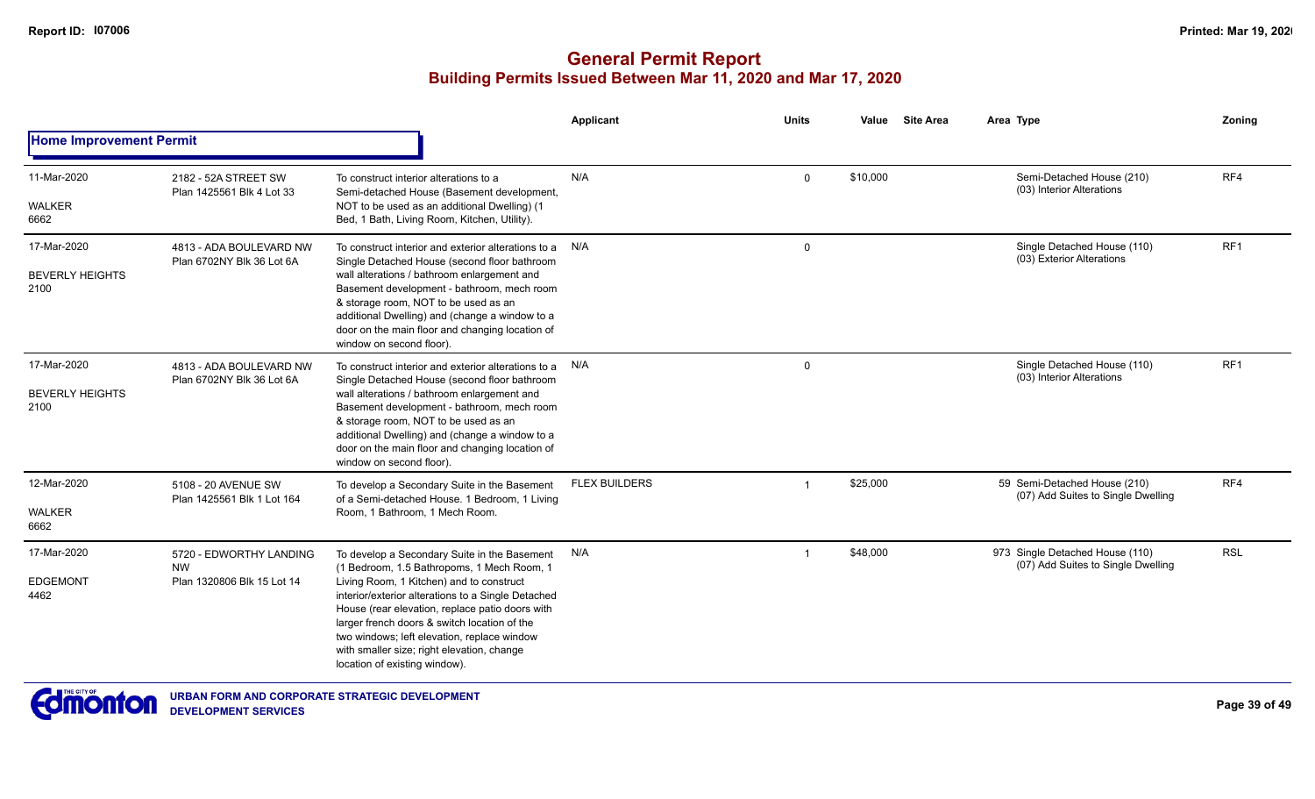|                                               |                                                                    |                                                                                                                                                                                                                                                                                                                                                                                                                               | Applicant            | <b>Units</b> | Value    | <b>Site Area</b> | Area Type                                                             | Zoning          |
|-----------------------------------------------|--------------------------------------------------------------------|-------------------------------------------------------------------------------------------------------------------------------------------------------------------------------------------------------------------------------------------------------------------------------------------------------------------------------------------------------------------------------------------------------------------------------|----------------------|--------------|----------|------------------|-----------------------------------------------------------------------|-----------------|
| <b>Home Improvement Permit</b>                |                                                                    |                                                                                                                                                                                                                                                                                                                                                                                                                               |                      |              |          |                  |                                                                       |                 |
| 11-Mar-2020                                   | 2182 - 52A STREET SW<br>Plan 1425561 Blk 4 Lot 33                  | To construct interior alterations to a<br>Semi-detached House (Basement development,                                                                                                                                                                                                                                                                                                                                          | N/A                  | $\mathbf{0}$ | \$10,000 |                  | Semi-Detached House (210)<br>(03) Interior Alterations                | RF4             |
| <b>WALKER</b><br>6662                         |                                                                    | NOT to be used as an additional Dwelling) (1<br>Bed, 1 Bath, Living Room, Kitchen, Utility).                                                                                                                                                                                                                                                                                                                                  |                      |              |          |                  |                                                                       |                 |
| 17-Mar-2020<br><b>BEVERLY HEIGHTS</b><br>2100 | 4813 - ADA BOULEVARD NW<br>Plan 6702NY Blk 36 Lot 6A               | To construct interior and exterior alterations to a N/A<br>Single Detached House (second floor bathroom<br>wall alterations / bathroom enlargement and<br>Basement development - bathroom, mech room<br>& storage room, NOT to be used as an<br>additional Dwelling) and (change a window to a<br>door on the main floor and changing location of<br>window on second floor).                                                 |                      | $\mathbf 0$  |          |                  | Single Detached House (110)<br>(03) Exterior Alterations              | RF <sub>1</sub> |
| 17-Mar-2020<br><b>BEVERLY HEIGHTS</b><br>2100 | 4813 - ADA BOULEVARD NW<br>Plan 6702NY Blk 36 Lot 6A               | To construct interior and exterior alterations to a N/A<br>Single Detached House (second floor bathroom<br>wall alterations / bathroom enlargement and<br>Basement development - bathroom, mech room<br>& storage room, NOT to be used as an<br>additional Dwelling) and (change a window to a<br>door on the main floor and changing location of<br>window on second floor).                                                 |                      | $\mathbf 0$  |          |                  | Single Detached House (110)<br>(03) Interior Alterations              | RF1             |
| 12-Mar-2020<br>WALKER                         | 5108 - 20 AVENUE SW<br>Plan 1425561 Blk 1 Lot 164                  | To develop a Secondary Suite in the Basement<br>of a Semi-detached House. 1 Bedroom, 1 Living<br>Room, 1 Bathroom, 1 Mech Room.                                                                                                                                                                                                                                                                                               | <b>FLEX BUILDERS</b> |              | \$25,000 |                  | 59 Semi-Detached House (210)<br>(07) Add Suites to Single Dwelling    | RF4             |
| 6662                                          |                                                                    |                                                                                                                                                                                                                                                                                                                                                                                                                               |                      |              |          |                  |                                                                       |                 |
| 17-Mar-2020<br><b>EDGEMONT</b><br>4462        | 5720 - EDWORTHY LANDING<br><b>NW</b><br>Plan 1320806 Blk 15 Lot 14 | To develop a Secondary Suite in the Basement<br>(1 Bedroom, 1.5 Bathropoms, 1 Mech Room, 1<br>Living Room, 1 Kitchen) and to construct<br>interior/exterior alterations to a Single Detached<br>House (rear elevation, replace patio doors with<br>larger french doors & switch location of the<br>two windows; left elevation, replace window<br>with smaller size; right elevation, change<br>location of existing window). | N/A                  |              | \$48,000 |                  | 973 Single Detached House (110)<br>(07) Add Suites to Single Dwelling | <b>RSL</b>      |

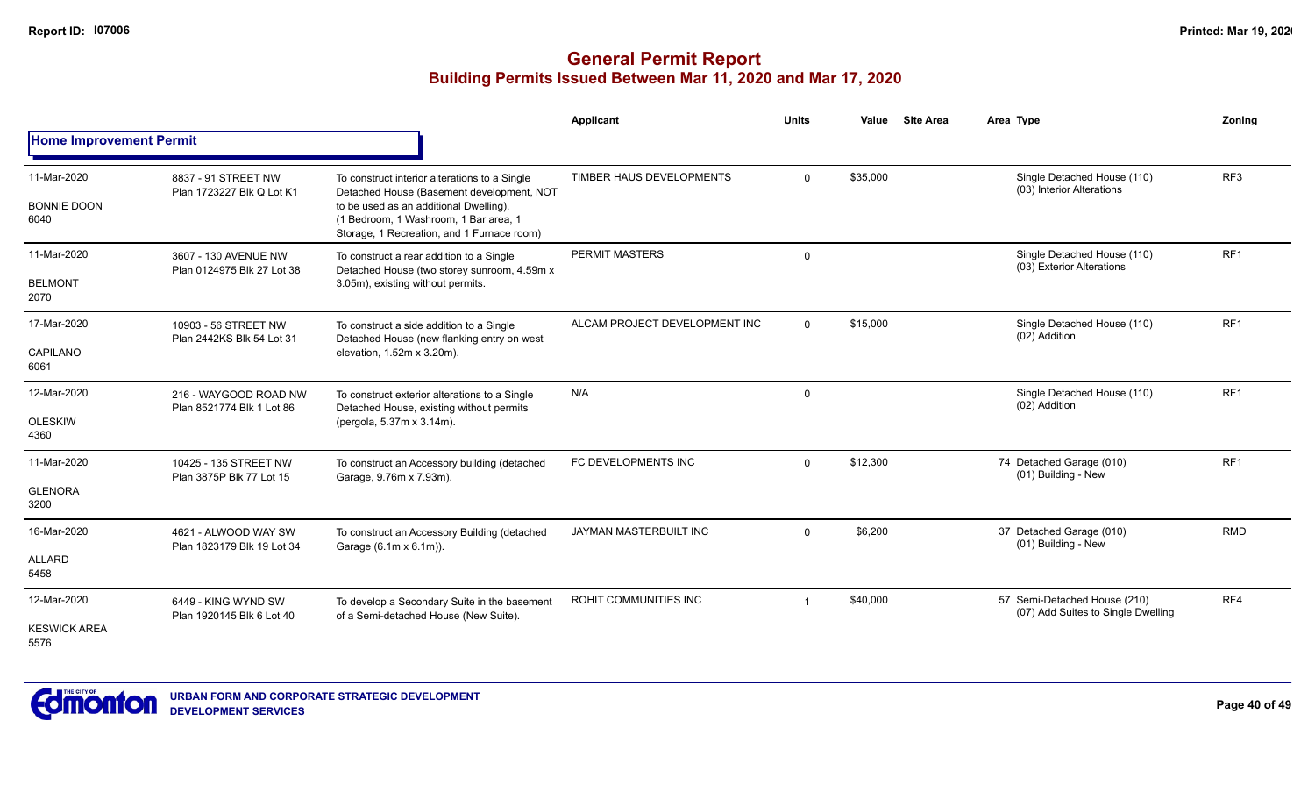|                                            |                                                    |                                                                                                                                                                                                                             | <b>Applicant</b>              | <b>Units</b> | Value    | <b>Site Area</b> | Area Type                                                          | Zoning          |
|--------------------------------------------|----------------------------------------------------|-----------------------------------------------------------------------------------------------------------------------------------------------------------------------------------------------------------------------------|-------------------------------|--------------|----------|------------------|--------------------------------------------------------------------|-----------------|
| <b>Home Improvement Permit</b>             |                                                    |                                                                                                                                                                                                                             |                               |              |          |                  |                                                                    |                 |
| 11-Mar-2020<br><b>BONNIE DOON</b><br>6040  | 8837 - 91 STREET NW<br>Plan 1723227 Blk Q Lot K1   | To construct interior alterations to a Single<br>Detached House (Basement development, NOT<br>to be used as an additional Dwelling).<br>(1 Bedroom, 1 Washroom, 1 Bar area, 1<br>Storage, 1 Recreation, and 1 Furnace room) | TIMBER HAUS DEVELOPMENTS      | $\mathbf 0$  | \$35,000 |                  | Single Detached House (110)<br>(03) Interior Alterations           | RF <sub>3</sub> |
| 11-Mar-2020<br><b>BELMONT</b><br>2070      | 3607 - 130 AVENUE NW<br>Plan 0124975 Blk 27 Lot 38 | To construct a rear addition to a Single<br>Detached House (two storey sunroom, 4.59m x<br>3.05m), existing without permits.                                                                                                | PERMIT MASTERS                | $\mathbf 0$  |          |                  | Single Detached House (110)<br>(03) Exterior Alterations           | RF <sub>1</sub> |
| 17-Mar-2020<br>CAPILANO<br>6061            | 10903 - 56 STREET NW<br>Plan 2442KS Blk 54 Lot 31  | To construct a side addition to a Single<br>Detached House (new flanking entry on west<br>elevation, 1.52m x 3.20m).                                                                                                        | ALCAM PROJECT DEVELOPMENT INC | $\Omega$     | \$15,000 |                  | Single Detached House (110)<br>(02) Addition                       | RF <sub>1</sub> |
| 12-Mar-2020<br><b>OLESKIW</b><br>4360      | 216 - WAYGOOD ROAD NW<br>Plan 8521774 Blk 1 Lot 86 | To construct exterior alterations to a Single<br>Detached House, existing without permits<br>(pergola, 5.37m x 3.14m).                                                                                                      | N/A                           | 0            |          |                  | Single Detached House (110)<br>(02) Addition                       | RF <sub>1</sub> |
| 11-Mar-2020<br><b>GLENORA</b><br>3200      | 10425 - 135 STREET NW<br>Plan 3875P Blk 77 Lot 15  | To construct an Accessory building (detached<br>Garage, 9.76m x 7.93m).                                                                                                                                                     | FC DEVELOPMENTS INC           | $\mathbf 0$  | \$12,300 |                  | 74 Detached Garage (010)<br>(01) Building - New                    | RF <sub>1</sub> |
| 16-Mar-2020<br><b>ALLARD</b><br>5458       | 4621 - ALWOOD WAY SW<br>Plan 1823179 Blk 19 Lot 34 | To construct an Accessory Building (detached<br>Garage (6.1m x 6.1m)).                                                                                                                                                      | <b>JAYMAN MASTERBUILT INC</b> | $\mathbf 0$  | \$6,200  |                  | 37 Detached Garage (010)<br>(01) Building - New                    | <b>RMD</b>      |
| 12-Mar-2020<br><b>KESWICK AREA</b><br>5576 | 6449 - KING WYND SW<br>Plan 1920145 Blk 6 Lot 40   | To develop a Secondary Suite in the basement<br>of a Semi-detached House (New Suite).                                                                                                                                       | ROHIT COMMUNITIES INC         |              | \$40,000 |                  | 57 Semi-Detached House (210)<br>(07) Add Suites to Single Dwelling | RF4             |

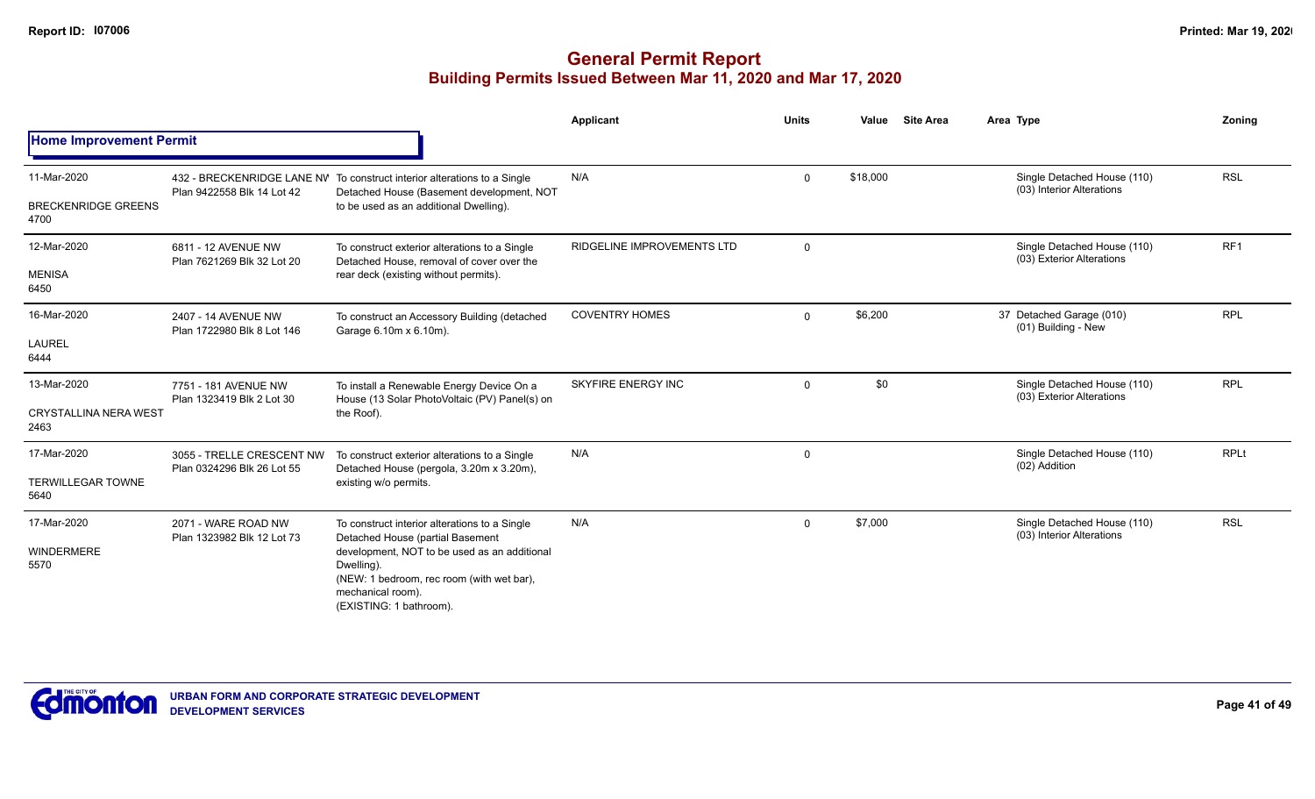|                                                     |                                                         |                                                                                                                                                                                                                                              | Applicant                  | <b>Units</b> | Value    | <b>Site Area</b> | Area Type                                                | Zoning          |
|-----------------------------------------------------|---------------------------------------------------------|----------------------------------------------------------------------------------------------------------------------------------------------------------------------------------------------------------------------------------------------|----------------------------|--------------|----------|------------------|----------------------------------------------------------|-----------------|
| <b>Home Improvement Permit</b>                      |                                                         |                                                                                                                                                                                                                                              |                            |              |          |                  |                                                          |                 |
| 11-Mar-2020<br><b>BRECKENRIDGE GREENS</b><br>4700   | Plan 9422558 Blk 14 Lot 42                              | 432 - BRECKENRIDGE LANE NV To construct interior alterations to a Single<br>Detached House (Basement development, NOT<br>to be used as an additional Dwelling).                                                                              | N/A                        | $\Omega$     | \$18,000 |                  | Single Detached House (110)<br>(03) Interior Alterations | <b>RSL</b>      |
| 12-Mar-2020<br><b>MENISA</b><br>6450                | 6811 - 12 AVENUE NW<br>Plan 7621269 Blk 32 Lot 20       | To construct exterior alterations to a Single<br>Detached House, removal of cover over the<br>rear deck (existing without permits).                                                                                                          | RIDGELINE IMPROVEMENTS LTD | $\Omega$     |          |                  | Single Detached House (110)<br>(03) Exterior Alterations | RF <sub>1</sub> |
| 16-Mar-2020<br><b>LAUREL</b><br>6444                | 2407 - 14 AVENUE NW<br>Plan 1722980 Blk 8 Lot 146       | To construct an Accessory Building (detached<br>Garage 6.10m x 6.10m).                                                                                                                                                                       | <b>COVENTRY HOMES</b>      | $\Omega$     | \$6,200  |                  | 37 Detached Garage (010)<br>(01) Building - New          | <b>RPL</b>      |
| 13-Mar-2020<br><b>CRYSTALLINA NERA WEST</b><br>2463 | 7751 - 181 AVENUE NW<br>Plan 1323419 Blk 2 Lot 30       | To install a Renewable Energy Device On a<br>House (13 Solar PhotoVoltaic (PV) Panel(s) on<br>the Roof).                                                                                                                                     | <b>SKYFIRE ENERGY INC</b>  | $\Omega$     | \$0      |                  | Single Detached House (110)<br>(03) Exterior Alterations | <b>RPL</b>      |
| 17-Mar-2020<br><b>TERWILLEGAR TOWNE</b><br>5640     | 3055 - TRELLE CRESCENT NW<br>Plan 0324296 Blk 26 Lot 55 | To construct exterior alterations to a Single<br>Detached House (pergola, 3.20m x 3.20m),<br>existing w/o permits.                                                                                                                           | N/A                        | 0            |          |                  | Single Detached House (110)<br>(02) Addition             | <b>RPLt</b>     |
| 17-Mar-2020<br><b>WINDERMERE</b><br>5570            | 2071 - WARE ROAD NW<br>Plan 1323982 Blk 12 Lot 73       | To construct interior alterations to a Single<br>Detached House (partial Basement<br>development, NOT to be used as an additional<br>Dwelling).<br>(NEW: 1 bedroom, rec room (with wet bar),<br>mechanical room).<br>(EXISTING: 1 bathroom). | N/A                        | $\Omega$     | \$7,000  |                  | Single Detached House (110)<br>(03) Interior Alterations | <b>RSL</b>      |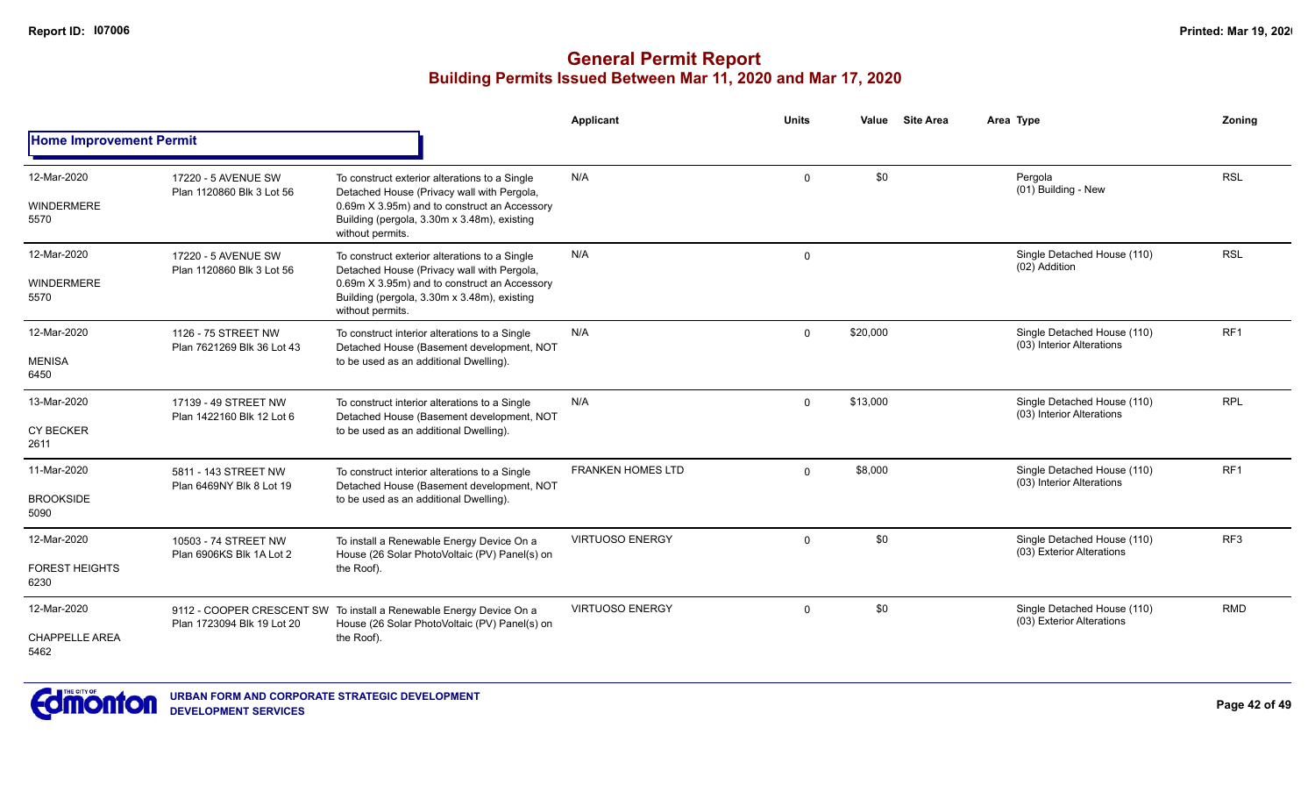|                                              |                                                   |                                                                                                                                                                                                                | Applicant                | <b>Units</b> | Value    | <b>Site Area</b> | Area Type                                                | Zoning          |
|----------------------------------------------|---------------------------------------------------|----------------------------------------------------------------------------------------------------------------------------------------------------------------------------------------------------------------|--------------------------|--------------|----------|------------------|----------------------------------------------------------|-----------------|
| <b>Home Improvement Permit</b>               |                                                   |                                                                                                                                                                                                                |                          |              |          |                  |                                                          |                 |
| 12-Mar-2020<br><b>WINDERMERE</b><br>5570     | 17220 - 5 AVENUE SW<br>Plan 1120860 Blk 3 Lot 56  | To construct exterior alterations to a Single<br>Detached House (Privacy wall with Pergola,<br>0.69m X 3.95m) and to construct an Accessory<br>Building (pergola, 3.30m x 3.48m), existing<br>without permits. | N/A                      | $\Omega$     | \$0      |                  | Pergola<br>(01) Building - New                           | <b>RSL</b>      |
| 12-Mar-2020<br><b>WINDERMERE</b><br>5570     | 17220 - 5 AVENUE SW<br>Plan 1120860 Blk 3 Lot 56  | To construct exterior alterations to a Single<br>Detached House (Privacy wall with Pergola,<br>0.69m X 3.95m) and to construct an Accessory<br>Building (pergola, 3.30m x 3.48m), existing<br>without permits. | N/A                      | $\mathbf 0$  |          |                  | Single Detached House (110)<br>(02) Addition             | <b>RSL</b>      |
| 12-Mar-2020<br><b>MENISA</b><br>6450         | 1126 - 75 STREET NW<br>Plan 7621269 Blk 36 Lot 43 | To construct interior alterations to a Single<br>Detached House (Basement development, NOT<br>to be used as an additional Dwelling).                                                                           | N/A                      | $\mathbf 0$  | \$20,000 |                  | Single Detached House (110)<br>(03) Interior Alterations | RF <sub>1</sub> |
| 13-Mar-2020<br><b>CY BECKER</b><br>2611      | 17139 - 49 STREET NW<br>Plan 1422160 Blk 12 Lot 6 | To construct interior alterations to a Single<br>Detached House (Basement development, NOT<br>to be used as an additional Dwelling).                                                                           | N/A                      | $\Omega$     | \$13,000 |                  | Single Detached House (110)<br>(03) Interior Alterations | <b>RPL</b>      |
| 11-Mar-2020<br><b>BROOKSIDE</b><br>5090      | 5811 - 143 STREET NW<br>Plan 6469NY Blk 8 Lot 19  | To construct interior alterations to a Single<br>Detached House (Basement development, NOT<br>to be used as an additional Dwelling).                                                                           | <b>FRANKEN HOMES LTD</b> | $\Omega$     | \$8,000  |                  | Single Detached House (110)<br>(03) Interior Alterations | RF1             |
| 12-Mar-2020<br><b>FOREST HEIGHTS</b><br>6230 | 10503 - 74 STREET NW<br>Plan 6906KS Blk 1A Lot 2  | To install a Renewable Energy Device On a<br>House (26 Solar PhotoVoltaic (PV) Panel(s) on<br>the Roof).                                                                                                       | <b>VIRTUOSO ENERGY</b>   | $\Omega$     | \$0      |                  | Single Detached House (110)<br>(03) Exterior Alterations | RF <sub>3</sub> |
| 12-Mar-2020<br><b>CHAPPELLE AREA</b><br>5462 | Plan 1723094 Blk 19 Lot 20                        | 9112 - COOPER CRESCENT SW To install a Renewable Energy Device On a<br>House (26 Solar PhotoVoltaic (PV) Panel(s) on<br>the Roof).                                                                             | <b>VIRTUOSO ENERGY</b>   | $\Omega$     | \$0      |                  | Single Detached House (110)<br>(03) Exterior Alterations | <b>RMD</b>      |

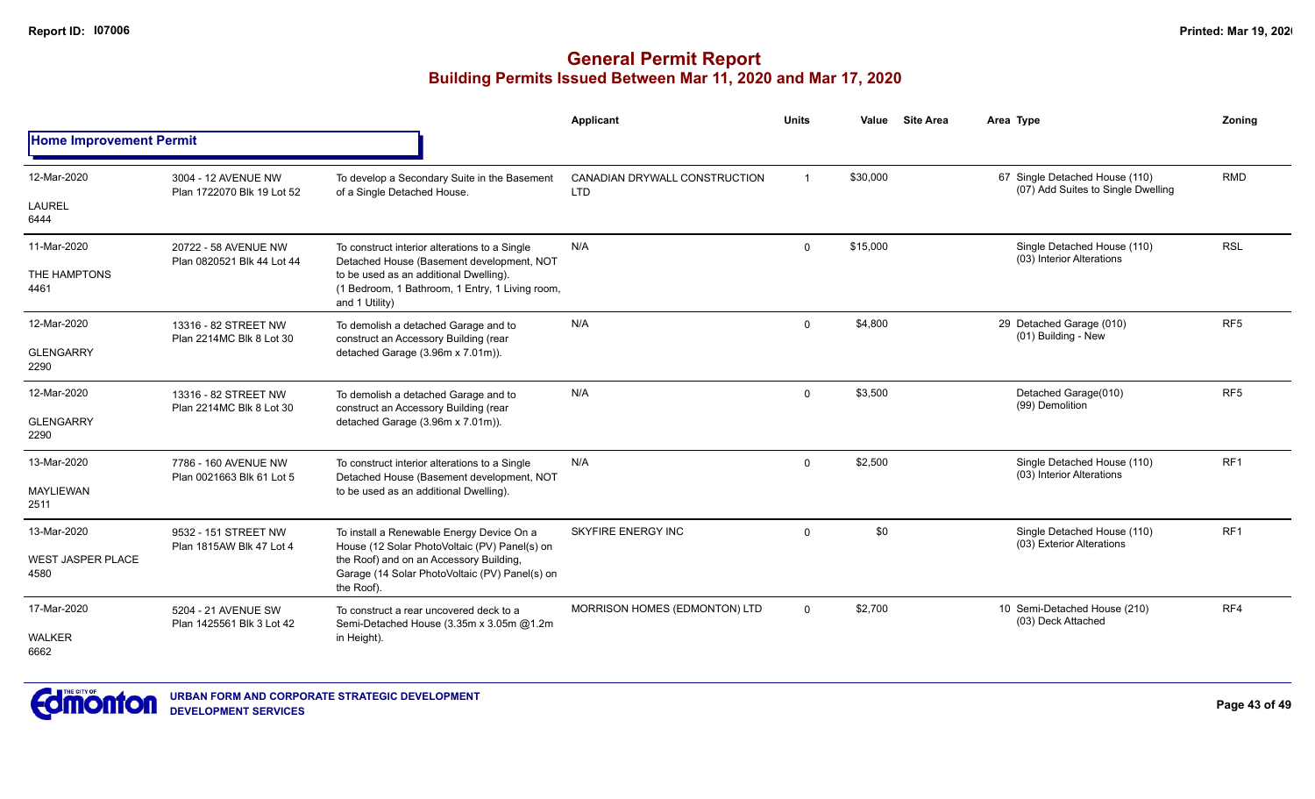|                                  |                                                    |                                                                                                             | Applicant                                   | <b>Units</b>   | Value    | <b>Site Area</b> | Area Type                                                            | Zoning          |
|----------------------------------|----------------------------------------------------|-------------------------------------------------------------------------------------------------------------|---------------------------------------------|----------------|----------|------------------|----------------------------------------------------------------------|-----------------|
| <b>Home Improvement Permit</b>   |                                                    |                                                                                                             |                                             |                |          |                  |                                                                      |                 |
| 12-Mar-2020                      | 3004 - 12 AVENUE NW<br>Plan 1722070 Blk 19 Lot 52  | To develop a Secondary Suite in the Basement<br>of a Single Detached House.                                 | CANADIAN DRYWALL CONSTRUCTION<br><b>LTD</b> | $\overline{1}$ | \$30,000 |                  | 67 Single Detached House (110)<br>(07) Add Suites to Single Dwelling | <b>RMD</b>      |
| LAUREL<br>6444                   |                                                    |                                                                                                             |                                             |                |          |                  |                                                                      |                 |
| 11-Mar-2020                      | 20722 - 58 AVENUE NW<br>Plan 0820521 Blk 44 Lot 44 | To construct interior alterations to a Single<br>Detached House (Basement development, NOT                  | N/A                                         | $\Omega$       | \$15,000 |                  | Single Detached House (110)<br>(03) Interior Alterations             | <b>RSL</b>      |
| THE HAMPTONS<br>4461             |                                                    | to be used as an additional Dwelling).<br>(1 Bedroom, 1 Bathroom, 1 Entry, 1 Living room,<br>and 1 Utility) |                                             |                |          |                  |                                                                      |                 |
| 12-Mar-2020                      | 13316 - 82 STREET NW<br>Plan 2214MC Blk 8 Lot 30   | To demolish a detached Garage and to<br>construct an Accessory Building (rear                               | N/A                                         | $\mathbf 0$    | \$4,800  |                  | 29 Detached Garage (010)<br>(01) Building - New                      | RF <sub>5</sub> |
| <b>GLENGARRY</b><br>2290         |                                                    | detached Garage (3.96m x 7.01m)).                                                                           |                                             |                |          |                  |                                                                      |                 |
| 12-Mar-2020                      | 13316 - 82 STREET NW                               | To demolish a detached Garage and to<br>construct an Accessory Building (rear                               | N/A                                         | $\Omega$       | \$3,500  |                  | Detached Garage(010)<br>(99) Demolition                              | RF <sub>5</sub> |
| <b>GLENGARRY</b><br>2290         | Plan 2214MC Blk 8 Lot 30                           | detached Garage (3.96m x 7.01m)).                                                                           |                                             |                |          |                  |                                                                      |                 |
| 13-Mar-2020                      | 7786 - 160 AVENUE NW<br>Plan 0021663 Blk 61 Lot 5  | To construct interior alterations to a Single<br>Detached House (Basement development, NOT                  | N/A                                         | $\Omega$       | \$2,500  |                  | Single Detached House (110)<br>(03) Interior Alterations             | RF <sub>1</sub> |
| <b>MAYLIEWAN</b><br>2511         |                                                    | to be used as an additional Dwelling).                                                                      |                                             |                |          |                  |                                                                      |                 |
| 13-Mar-2020                      | 9532 - 151 STREET NW<br>Plan 1815AW Blk 47 Lot 4   | To install a Renewable Energy Device On a<br>House (12 Solar PhotoVoltaic (PV) Panel(s) on                  | <b>SKYFIRE ENERGY INC</b>                   | $\mathbf 0$    | \$0      |                  | Single Detached House (110)<br>(03) Exterior Alterations             | RF <sub>1</sub> |
| <b>WEST JASPER PLACE</b><br>4580 |                                                    | the Roof) and on an Accessory Building,<br>Garage (14 Solar PhotoVoltaic (PV) Panel(s) on<br>the Roof).     |                                             |                |          |                  |                                                                      |                 |
| 17-Mar-2020                      | 5204 - 21 AVENUE SW<br>Plan 1425561 Blk 3 Lot 42   | To construct a rear uncovered deck to a<br>Semi-Detached House (3.35m x 3.05m @1.2m                         | MORRISON HOMES (EDMONTON) LTD               | $\Omega$       | \$2,700  |                  | 10 Semi-Detached House (210)<br>(03) Deck Attached                   | RF4             |
| <b>WALKER</b><br>6662            |                                                    | in Height).                                                                                                 |                                             |                |          |                  |                                                                      |                 |

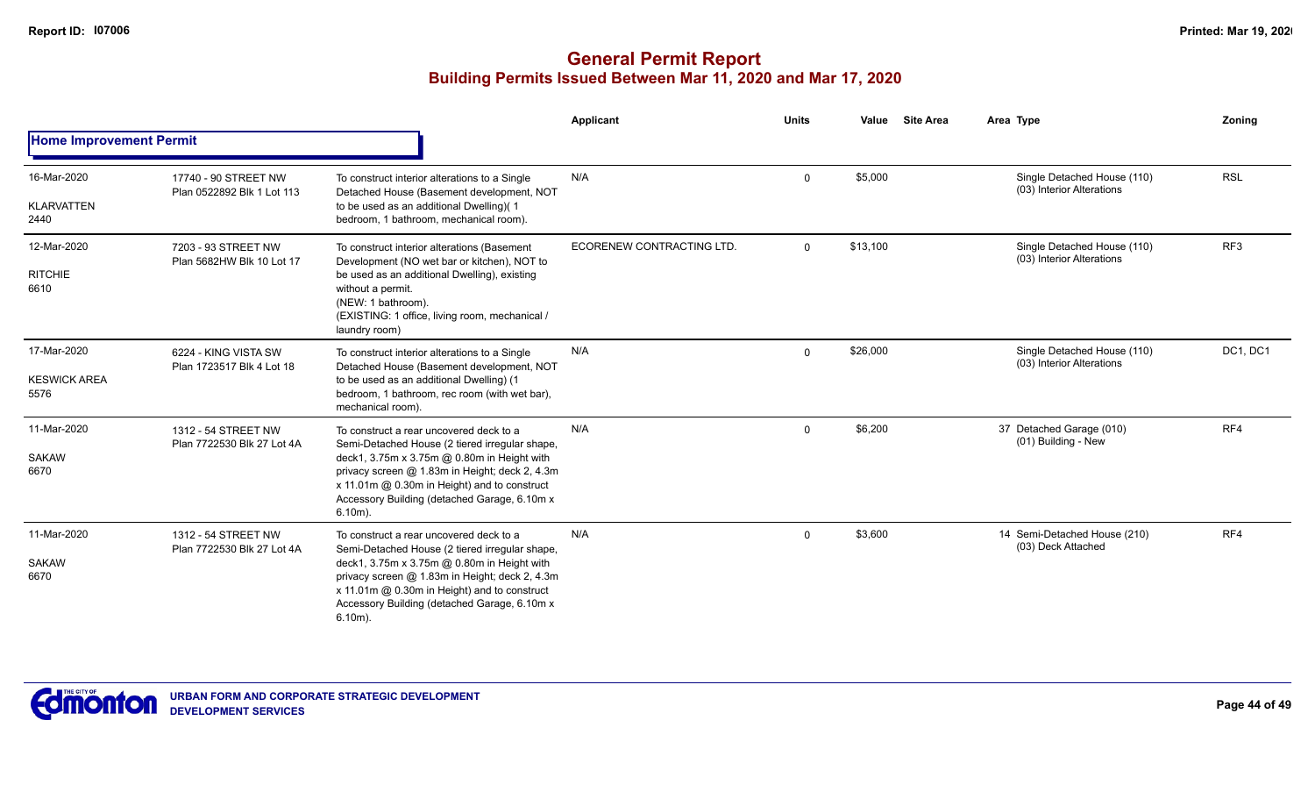|                                            |                                                    |                                                                                                                                                                                                                                                                                                           | <b>Applicant</b>          | <b>Units</b> | Value    | <b>Site Area</b> | Area Type                                                | Zoning          |
|--------------------------------------------|----------------------------------------------------|-----------------------------------------------------------------------------------------------------------------------------------------------------------------------------------------------------------------------------------------------------------------------------------------------------------|---------------------------|--------------|----------|------------------|----------------------------------------------------------|-----------------|
| <b>Home Improvement Permit</b>             |                                                    |                                                                                                                                                                                                                                                                                                           |                           |              |          |                  |                                                          |                 |
| 16-Mar-2020<br><b>KLARVATTEN</b><br>2440   | 17740 - 90 STREET NW<br>Plan 0522892 Blk 1 Lot 113 | To construct interior alterations to a Single<br>Detached House (Basement development, NOT<br>to be used as an additional Dwelling)(1<br>bedroom, 1 bathroom, mechanical room).                                                                                                                           | N/A                       | $\mathbf 0$  | \$5,000  |                  | Single Detached House (110)<br>(03) Interior Alterations | <b>RSL</b>      |
| 12-Mar-2020<br><b>RITCHIE</b><br>6610      | 7203 - 93 STREET NW<br>Plan 5682HW Blk 10 Lot 17   | To construct interior alterations (Basement<br>Development (NO wet bar or kitchen), NOT to<br>be used as an additional Dwelling), existing<br>without a permit.<br>(NEW: 1 bathroom).<br>(EXISTING: 1 office, living room, mechanical /<br>laundry room)                                                  | ECORENEW CONTRACTING LTD. | $\mathbf 0$  | \$13,100 |                  | Single Detached House (110)<br>(03) Interior Alterations | RF <sub>3</sub> |
| 17-Mar-2020<br><b>KESWICK AREA</b><br>5576 | 6224 - KING VISTA SW<br>Plan 1723517 Blk 4 Lot 18  | To construct interior alterations to a Single<br>Detached House (Basement development, NOT<br>to be used as an additional Dwelling) (1<br>bedroom, 1 bathroom, rec room (with wet bar),<br>mechanical room).                                                                                              | N/A                       | $\Omega$     | \$26,000 |                  | Single Detached House (110)<br>(03) Interior Alterations | DC1, DC1        |
| 11-Mar-2020<br><b>SAKAW</b><br>6670        | 1312 - 54 STREET NW<br>Plan 7722530 Blk 27 Lot 4A  | To construct a rear uncovered deck to a<br>Semi-Detached House (2 tiered irregular shape,<br>deck1, 3.75m x 3.75m @ 0.80m in Height with<br>privacy screen @ 1.83m in Height; deck 2, 4.3m<br>x 11.01m @ 0.30m in Height) and to construct<br>Accessory Building (detached Garage, 6.10m x<br>$6.10m$ ).  | N/A                       | $\mathbf 0$  | \$6,200  |                  | 37 Detached Garage (010)<br>(01) Building - New          | RF4             |
| 11-Mar-2020<br><b>SAKAW</b><br>6670        | 1312 - 54 STREET NW<br>Plan 7722530 Blk 27 Lot 4A  | To construct a rear uncovered deck to a<br>Semi-Detached House (2 tiered irregular shape,<br>deck1, 3.75m x 3.75m @ 0.80m in Height with<br>privacy screen @ 1.83m in Height; deck 2, 4.3m<br>x 11.01m @ 0.30m in Height) and to construct<br>Accessory Building (detached Garage, 6.10m x)<br>$6.10m$ ). | N/A                       | $\Omega$     | \$3,600  |                  | 14 Semi-Detached House (210)<br>(03) Deck Attached       | RF4             |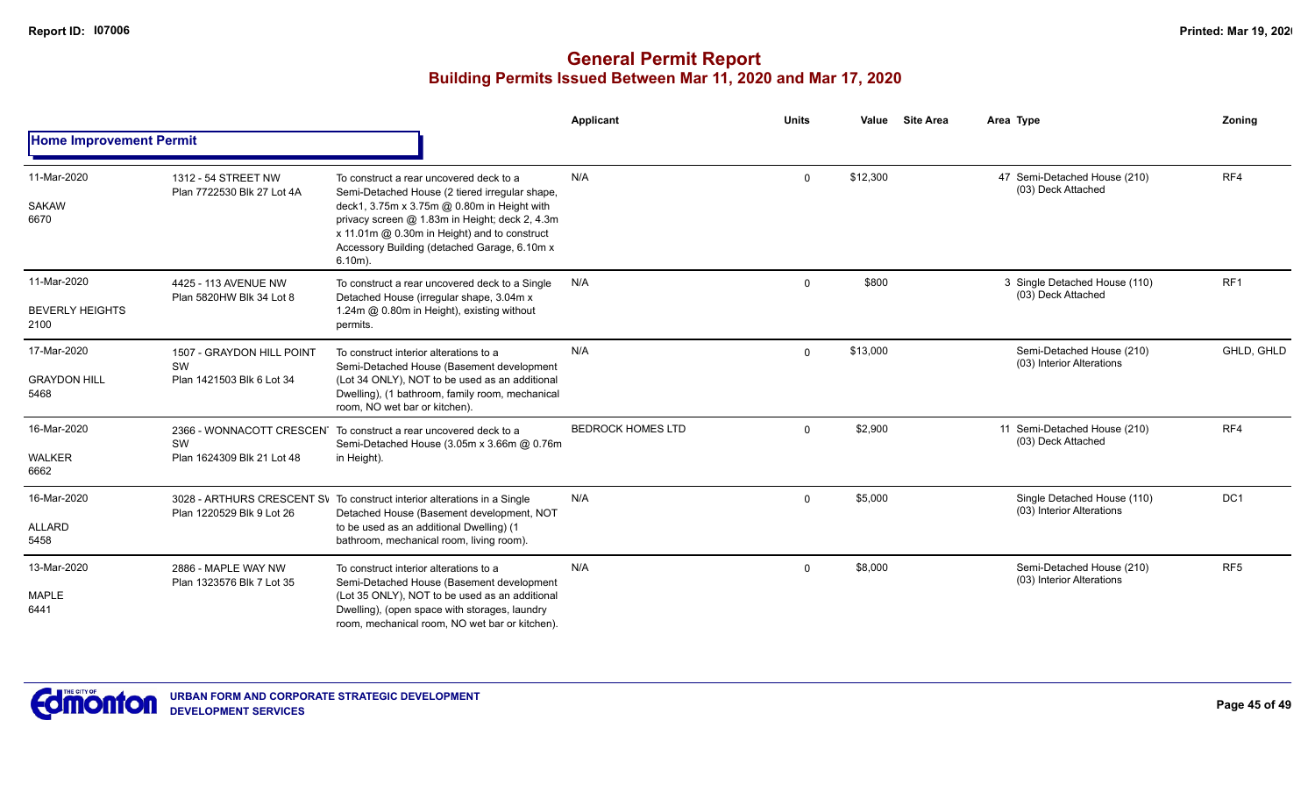|                                               |                                                              |                                                                                                                                                                                                                                                                                                          | <b>Applicant</b>         | <b>Units</b> | Value    | <b>Site Area</b> | Area Type                                                | Zoning          |
|-----------------------------------------------|--------------------------------------------------------------|----------------------------------------------------------------------------------------------------------------------------------------------------------------------------------------------------------------------------------------------------------------------------------------------------------|--------------------------|--------------|----------|------------------|----------------------------------------------------------|-----------------|
| <b>Home Improvement Permit</b>                |                                                              |                                                                                                                                                                                                                                                                                                          |                          |              |          |                  |                                                          |                 |
| 11-Mar-2020<br><b>SAKAW</b><br>6670           | 1312 - 54 STREET NW<br>Plan 7722530 Blk 27 Lot 4A            | To construct a rear uncovered deck to a<br>Semi-Detached House (2 tiered irregular shape,<br>deck1, 3.75m x 3.75m @ 0.80m in Height with<br>privacy screen @ 1.83m in Height; deck 2, 4.3m<br>x 11.01m @ 0.30m in Height) and to construct<br>Accessory Building (detached Garage, 6.10m x<br>$6.10m$ ). | N/A                      | $\mathbf{0}$ | \$12,300 |                  | 47 Semi-Detached House (210)<br>(03) Deck Attached       | RF4             |
| 11-Mar-2020<br><b>BEVERLY HEIGHTS</b><br>2100 | 4425 - 113 AVENUE NW<br>Plan 5820HW Blk 34 Lot 8             | To construct a rear uncovered deck to a Single<br>Detached House (irregular shape, 3.04m x<br>1.24m @ 0.80m in Height), existing without<br>permits.                                                                                                                                                     | N/A                      | $\Omega$     | \$800    |                  | 3 Single Detached House (110)<br>(03) Deck Attached      | RF1             |
| 17-Mar-2020<br><b>GRAYDON HILL</b><br>5468    | 1507 - GRAYDON HILL POINT<br>SW<br>Plan 1421503 Blk 6 Lot 34 | To construct interior alterations to a<br>Semi-Detached House (Basement development<br>(Lot 34 ONLY), NOT to be used as an additional<br>Dwelling), (1 bathroom, family room, mechanical<br>room, NO wet bar or kitchen).                                                                                | N/A                      | $\mathbf 0$  | \$13,000 |                  | Semi-Detached House (210)<br>(03) Interior Alterations   | GHLD, GHLD      |
| 16-Mar-2020<br><b>WALKER</b><br>6662          | SW<br>Plan 1624309 Blk 21 Lot 48                             | 2366 - WONNACOTT CRESCEN To construct a rear uncovered deck to a<br>Semi-Detached House (3.05m x 3.66m @ 0.76m<br>in Height).                                                                                                                                                                            | <b>BEDROCK HOMES LTD</b> | $\mathbf 0$  | \$2,900  |                  | 11 Semi-Detached House (210)<br>(03) Deck Attached       | RF4             |
| 16-Mar-2020<br>ALLARD<br>5458                 | Plan 1220529 Blk 9 Lot 26                                    | 3028 - ARTHURS CRESCENT SV To construct interior alterations in a Single<br>Detached House (Basement development, NOT<br>to be used as an additional Dwelling) (1<br>bathroom, mechanical room, living room).                                                                                            | N/A                      | $\mathbf{0}$ | \$5,000  |                  | Single Detached House (110)<br>(03) Interior Alterations | DC <sub>1</sub> |
| 13-Mar-2020<br><b>MAPLE</b><br>6441           | 2886 - MAPLE WAY NW<br>Plan 1323576 Blk 7 Lot 35             | To construct interior alterations to a<br>Semi-Detached House (Basement development<br>(Lot 35 ONLY), NOT to be used as an additional<br>Dwelling), (open space with storages, laundry<br>room, mechanical room, NO wet bar or kitchen).                                                                 | N/A                      | 0            | \$8,000  |                  | Semi-Detached House (210)<br>(03) Interior Alterations   | RF <sub>5</sub> |

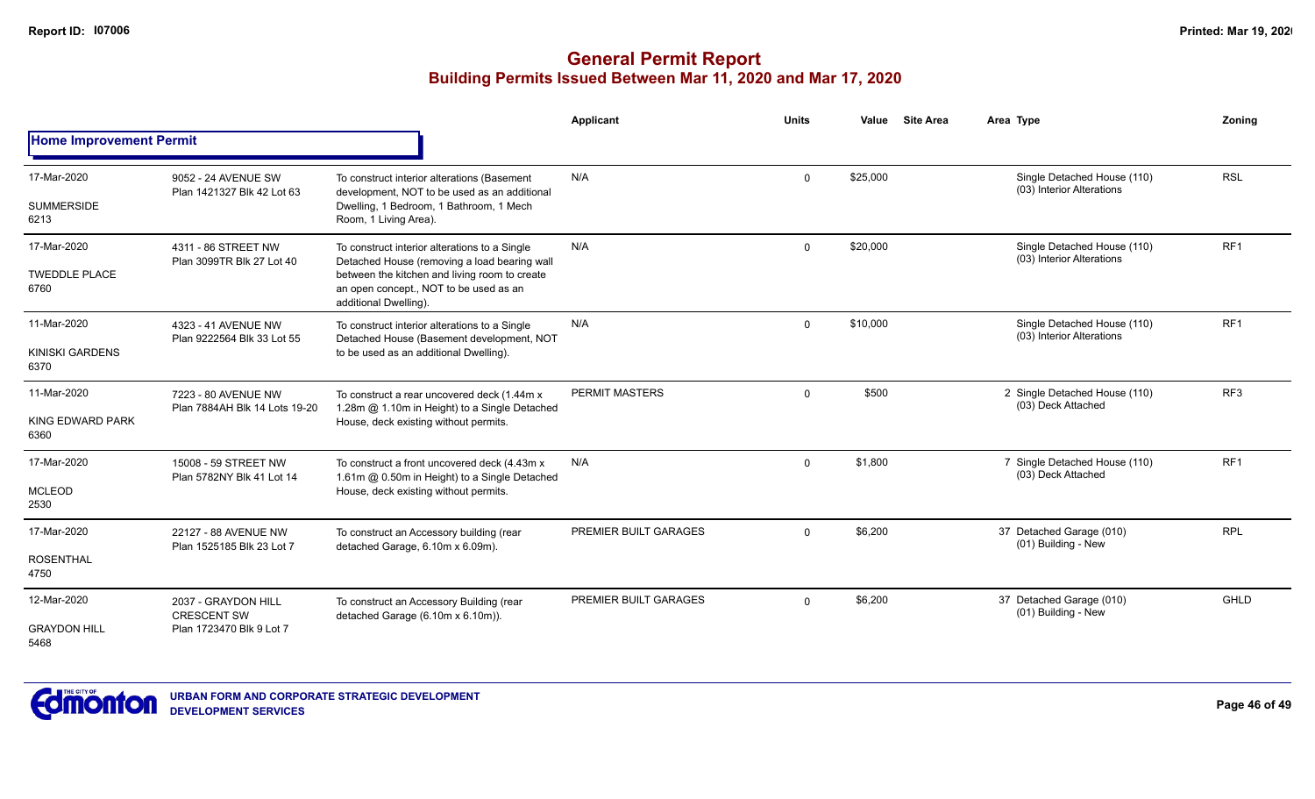|                                             |                                                                       |                                                                                                                                                                                                                   | <b>Applicant</b>      | <b>Units</b> | Value    | <b>Site Area</b> | Area Type                                                | Zoning          |
|---------------------------------------------|-----------------------------------------------------------------------|-------------------------------------------------------------------------------------------------------------------------------------------------------------------------------------------------------------------|-----------------------|--------------|----------|------------------|----------------------------------------------------------|-----------------|
| <b>Home Improvement Permit</b>              |                                                                       |                                                                                                                                                                                                                   |                       |              |          |                  |                                                          |                 |
| 17-Mar-2020<br><b>SUMMERSIDE</b><br>6213    | 9052 - 24 AVENUE SW<br>Plan 1421327 Blk 42 Lot 63                     | To construct interior alterations (Basement<br>development, NOT to be used as an additional<br>Dwelling, 1 Bedroom, 1 Bathroom, 1 Mech<br>Room, 1 Living Area).                                                   | N/A                   | $\Omega$     | \$25,000 |                  | Single Detached House (110)<br>(03) Interior Alterations | <b>RSL</b>      |
| 17-Mar-2020<br><b>TWEDDLE PLACE</b><br>6760 | 4311 - 86 STREET NW<br>Plan 3099TR Blk 27 Lot 40                      | To construct interior alterations to a Single<br>Detached House (removing a load bearing wall<br>between the kitchen and living room to create<br>an open concept., NOT to be used as an<br>additional Dwelling). | N/A                   | $\mathbf 0$  | \$20,000 |                  | Single Detached House (110)<br>(03) Interior Alterations | RF <sub>1</sub> |
| 11-Mar-2020<br>KINISKI GARDENS<br>6370      | 4323 - 41 AVENUE NW<br>Plan 9222564 Blk 33 Lot 55                     | To construct interior alterations to a Single<br>Detached House (Basement development, NOT<br>to be used as an additional Dwelling).                                                                              | N/A                   | $\Omega$     | \$10,000 |                  | Single Detached House (110)<br>(03) Interior Alterations | RF <sub>1</sub> |
| 11-Mar-2020<br>KING EDWARD PARK<br>6360     | 7223 - 80 AVENUE NW<br>Plan 7884AH Blk 14 Lots 19-20                  | To construct a rear uncovered deck (1.44m x)<br>1.28m @ 1.10m in Height) to a Single Detached<br>House, deck existing without permits.                                                                            | <b>PERMIT MASTERS</b> | $\Omega$     | \$500    |                  | 2 Single Detached House (110)<br>(03) Deck Attached      | RF <sub>3</sub> |
| 17-Mar-2020<br><b>MCLEOD</b><br>2530        | 15008 - 59 STREET NW<br>Plan 5782NY Blk 41 Lot 14                     | To construct a front uncovered deck (4.43m x)<br>1.61m @ 0.50m in Height) to a Single Detached<br>House, deck existing without permits.                                                                           | N/A                   | $\Omega$     | \$1,800  |                  | 7 Single Detached House (110)<br>(03) Deck Attached      | RF <sub>1</sub> |
| 17-Mar-2020<br><b>ROSENTHAL</b><br>4750     | 22127 - 88 AVENUE NW<br>Plan 1525185 Blk 23 Lot 7                     | To construct an Accessory building (rear<br>detached Garage, 6.10m x 6.09m).                                                                                                                                      | PREMIER BUILT GARAGES | $\Omega$     | \$6,200  |                  | 37 Detached Garage (010)<br>(01) Building - New          | <b>RPL</b>      |
| 12-Mar-2020<br><b>GRAYDON HILL</b><br>5468  | 2037 - GRAYDON HILL<br><b>CRESCENT SW</b><br>Plan 1723470 Blk 9 Lot 7 | To construct an Accessory Building (rear<br>detached Garage (6.10m x 6.10m)).                                                                                                                                     | PREMIER BUILT GARAGES | $\Omega$     | \$6,200  |                  | 37 Detached Garage (010)<br>(01) Building - New          | <b>GHLD</b>     |

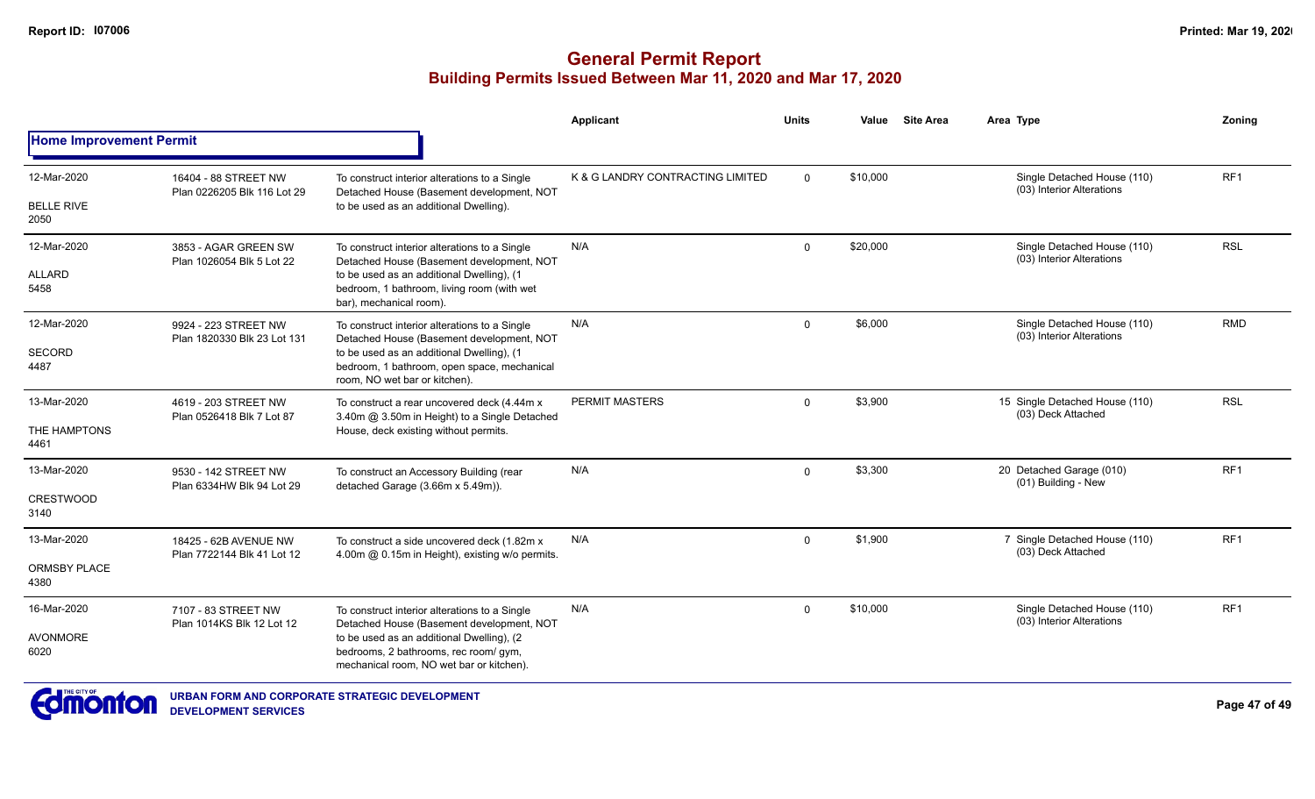|                                |                                                     |                                                                                                                                | <b>Applicant</b>                 | <b>Units</b> | Value    | <b>Site Area</b> | Area Type                                                | Zoning          |
|--------------------------------|-----------------------------------------------------|--------------------------------------------------------------------------------------------------------------------------------|----------------------------------|--------------|----------|------------------|----------------------------------------------------------|-----------------|
| <b>Home Improvement Permit</b> |                                                     |                                                                                                                                |                                  |              |          |                  |                                                          |                 |
| 12-Mar-2020                    | 16404 - 88 STREET NW<br>Plan 0226205 Blk 116 Lot 29 | To construct interior alterations to a Single<br>Detached House (Basement development, NOT                                     | K & G LANDRY CONTRACTING LIMITED | $\Omega$     | \$10,000 |                  | Single Detached House (110)<br>(03) Interior Alterations | RF <sub>1</sub> |
| <b>BELLE RIVE</b><br>2050      |                                                     | to be used as an additional Dwelling).                                                                                         |                                  |              |          |                  |                                                          |                 |
| 12-Mar-2020                    | 3853 - AGAR GREEN SW<br>Plan 1026054 Blk 5 Lot 22   | To construct interior alterations to a Single<br>Detached House (Basement development, NOT                                     | N/A                              | $\Omega$     | \$20,000 |                  | Single Detached House (110)<br>(03) Interior Alterations | <b>RSL</b>      |
| <b>ALLARD</b><br>5458          |                                                     | to be used as an additional Dwelling), (1<br>bedroom, 1 bathroom, living room (with wet<br>bar), mechanical room).             |                                  |              |          |                  |                                                          |                 |
| 12-Mar-2020                    | 9924 - 223 STREET NW<br>Plan 1820330 Blk 23 Lot 131 | To construct interior alterations to a Single<br>Detached House (Basement development, NOT                                     | N/A                              | $\mathbf 0$  | \$6,000  |                  | Single Detached House (110)<br>(03) Interior Alterations | <b>RMD</b>      |
| <b>SECORD</b><br>4487          |                                                     | to be used as an additional Dwelling), (1<br>bedroom, 1 bathroom, open space, mechanical<br>room, NO wet bar or kitchen).      |                                  |              |          |                  |                                                          |                 |
| 13-Mar-2020                    | 4619 - 203 STREET NW                                | To construct a rear uncovered deck (4.44m x<br>3.40m @ 3.50m in Height) to a Single Detached                                   | <b>PERMIT MASTERS</b>            | $\mathbf 0$  | \$3,900  |                  | 15 Single Detached House (110)<br>(03) Deck Attached     | <b>RSL</b>      |
| THE HAMPTONS<br>4461           | Plan 0526418 Blk 7 Lot 87                           | House, deck existing without permits.                                                                                          |                                  |              |          |                  |                                                          |                 |
| 13-Mar-2020                    | 9530 - 142 STREET NW<br>Plan 6334HW Blk 94 Lot 29   | To construct an Accessory Building (rear<br>detached Garage (3.66m x 5.49m)).                                                  | N/A                              | $\mathbf 0$  | \$3,300  |                  | 20 Detached Garage (010)<br>(01) Building - New          | RF1             |
| <b>CRESTWOOD</b><br>3140       |                                                     |                                                                                                                                |                                  |              |          |                  |                                                          |                 |
| 13-Mar-2020                    | 18425 - 62B AVENUE NW<br>Plan 7722144 Blk 41 Lot 12 | To construct a side uncovered deck (1.82m x<br>4.00m @ 0.15m in Height), existing w/o permits.                                 | N/A                              | $\mathbf 0$  | \$1,900  |                  | 7 Single Detached House (110)<br>(03) Deck Attached      | RF <sub>1</sub> |
| <b>ORMSBY PLACE</b><br>4380    |                                                     |                                                                                                                                |                                  |              |          |                  |                                                          |                 |
| 16-Mar-2020                    | 7107 - 83 STREET NW<br>Plan 1014KS Blk 12 Lot 12    | To construct interior alterations to a Single<br>Detached House (Basement development, NOT                                     | N/A                              | $\mathbf 0$  | \$10,000 |                  | Single Detached House (110)<br>(03) Interior Alterations | RF <sub>1</sub> |
| <b>AVONMORE</b><br>6020        |                                                     | to be used as an additional Dwelling), (2<br>bedrooms, 2 bathrooms, rec room/ gym,<br>mechanical room, NO wet bar or kitchen). |                                  |              |          |                  |                                                          |                 |

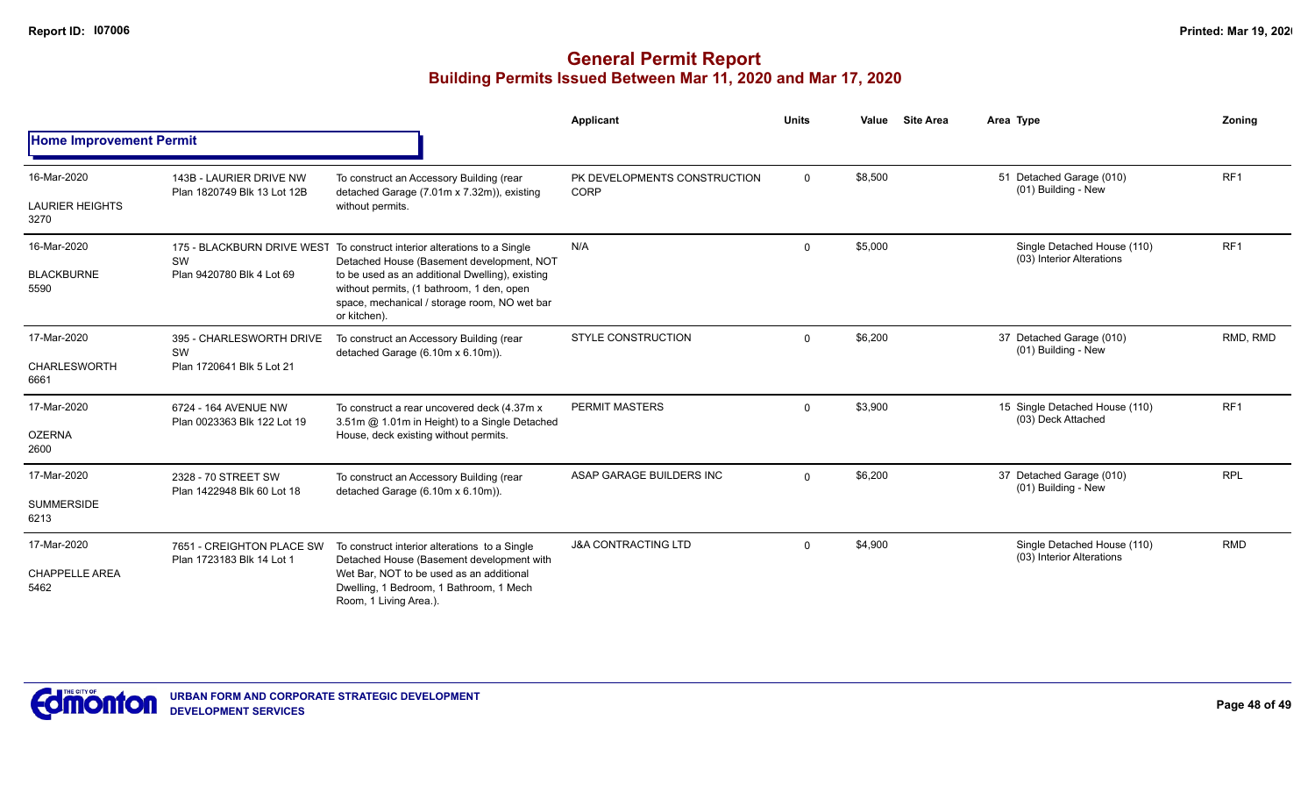|                                               |                                                             |                                                                                                                                                                                                                                                                                       | <b>Applicant</b>                            | <b>Units</b> | Value   | <b>Site Area</b> | Area Type                                                | Zonina          |
|-----------------------------------------------|-------------------------------------------------------------|---------------------------------------------------------------------------------------------------------------------------------------------------------------------------------------------------------------------------------------------------------------------------------------|---------------------------------------------|--------------|---------|------------------|----------------------------------------------------------|-----------------|
| <b>Home Improvement Permit</b>                |                                                             |                                                                                                                                                                                                                                                                                       |                                             |              |         |                  |                                                          |                 |
| 16-Mar-2020<br><b>LAURIER HEIGHTS</b><br>3270 | 143B - LAURIER DRIVE NW<br>Plan 1820749 Blk 13 Lot 12B      | To construct an Accessory Building (rear<br>detached Garage (7.01m x 7.32m)), existing<br>without permits.                                                                                                                                                                            | PK DEVELOPMENTS CONSTRUCTION<br><b>CORP</b> | $\mathbf 0$  | \$8,500 |                  | 51 Detached Garage (010)<br>(01) Building - New          | RF <sub>1</sub> |
| 16-Mar-2020<br><b>BLACKBURNE</b><br>5590      | SW<br>Plan 9420780 Blk 4 Lot 69                             | 175 - BLACKBURN DRIVE WEST To construct interior alterations to a Single<br>Detached House (Basement development, NOT<br>to be used as an additional Dwelling), existing<br>without permits, (1 bathroom, 1 den, open<br>space, mechanical / storage room, NO wet bar<br>or kitchen). | N/A                                         | $\mathbf 0$  | \$5,000 |                  | Single Detached House (110)<br>(03) Interior Alterations | RF <sub>1</sub> |
| 17-Mar-2020<br>CHARLESWORTH<br>6661           | 395 - CHARLESWORTH DRIVE<br>SW<br>Plan 1720641 Blk 5 Lot 21 | To construct an Accessory Building (rear<br>detached Garage (6.10m x 6.10m)).                                                                                                                                                                                                         | <b>STYLE CONSTRUCTION</b>                   | $\mathbf 0$  | \$6,200 |                  | 37 Detached Garage (010)<br>(01) Building - New          | RMD, RMD        |
| 17-Mar-2020<br><b>OZERNA</b><br>2600          | 6724 - 164 AVENUE NW<br>Plan 0023363 Blk 122 Lot 19         | To construct a rear uncovered deck (4.37m x)<br>3.51m @ 1.01m in Height) to a Single Detached<br>House, deck existing without permits.                                                                                                                                                | PERMIT MASTERS                              | $\mathbf 0$  | \$3,900 |                  | 15 Single Detached House (110)<br>(03) Deck Attached     | RF <sub>1</sub> |
| 17-Mar-2020<br><b>SUMMERSIDE</b><br>6213      | 2328 - 70 STREET SW<br>Plan 1422948 Blk 60 Lot 18           | To construct an Accessory Building (rear<br>detached Garage (6.10m x 6.10m)).                                                                                                                                                                                                         | ASAP GARAGE BUILDERS INC                    | $\mathbf 0$  | \$6,200 |                  | 37 Detached Garage (010)<br>(01) Building - New          | <b>RPL</b>      |
| 17-Mar-2020<br><b>CHAPPELLE AREA</b><br>5462  | 7651 - CREIGHTON PLACE SW<br>Plan 1723183 Blk 14 Lot 1      | To construct interior alterations to a Single<br>Detached House (Basement development with<br>Wet Bar, NOT to be used as an additional<br>Dwelling, 1 Bedroom, 1 Bathroom, 1 Mech<br>Room, 1 Living Area.).                                                                           | <b>J&amp;A CONTRACTING LTD</b>              | $\mathbf 0$  | \$4,900 |                  | Single Detached House (110)<br>(03) Interior Alterations | <b>RMD</b>      |